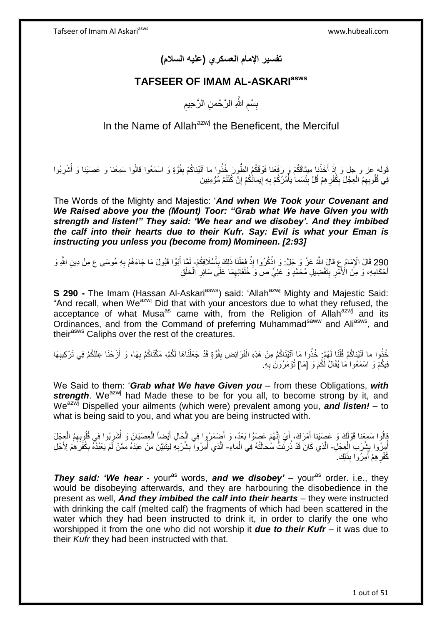**تفسير اإلمام العسكري )عليه السالم(**

## **TAFSEER OF IMAM AL-ASKARIasws**

ِ بِسْمِ اللَّهِ الرَّحْمنِ الرَّحِيمِ ِ ِ

In the Name of Allah<sup>azwj</sup> the Beneficent, the Merciful

قوله عز و جل وَ إِذْ أَخَذْنا مِيثاقَكُمْ وَ رَفَعْنا فَوْقَكُمُ الطَّوِرَ خُذُوا ما آتَيْناكُمْ بِقُوَّةٍ وَ اسْمَعُوا قالُوا سَمِعْنا وَ عَصَيْنا وَ أُشْرِبُوا **ٔ :** <u>ٔ</u> ِ ُ **∣** فِي قُلُوبِهِمُ الْعِجْلَ بِكُفْرِ هِمْ قُلْ بِئْسَما يَأْمُرُكُمْ بِهِ إِيمانُكُمْ إِنْ كُنْتُمْ مُؤْمِنِينَ ِ <u>֖֖֚֚֚֚֓</u>֦֧֦֧֦֓֡֝ **∶** ا<br>ا ِ ِ ِ ْ

The Words of the Mighty and Majestic: '*And when We Took your Covenant and We Raised above you the (Mount) Toor: "Grab what We have Given you with strength and listen!" They said: 'We hear and we disobey'. And they imbibed the calf into their hearts due to their Kufr. Say: Evil is what your Eman is instructing you unless you (become from) Momineen. [2:93]*

290 قَالَ الْإِمَامُ عِ قَالَ اللَّهُ عَنَّ وَ جَلَّ: وَ اذْكُرُوا إِذْ فَعَلْنَا ذَلِكَ بِأَسْلَافِكُمْ- لَمَّا أَبَوْا قَبُولَ مَا جَاءَهُمْ بِهِ مُوسَى ع مِنْ دِينِ اللَّهِ وَ<br>وَدِينَ الْإِمَامُ عِ قَالَ اللَّهُ عَنَّ و ِ َ اً ِ :<br>ا **ٔ** ِ ْ أَحْكَامِهِ، وَ مِنَ الْأَمْرِ بِتَفْضِيلِ مُحَمَّدٍ وَ عَلِيٍّ ص وَ خُلَفَائِهِمَا عَلَى سَائِرِ الْخَلْقِ **∣** ِ َ ْ ْ **∶** ِ

**S 290 -** The Imam (Hassan Al-Askari<sup>asws</sup>) said: 'Allah<sup>azwj</sup> Mighty and Majestic Said: "And recall, when We<sup>azwj</sup> Did that with your ancestors due to what they refused, the acceptance of what Musa<sup>as</sup> came with, from the Religion of Allah<sup>azwj</sup> and its Ordinances, and from the Command of preferring Muhammad<sup>saww</sup> and Ali<sup>asws</sup>, and their<sup>asws</sup> Caliphs over the rest of the creatures.

خُذُوا ما آتَيْناكُمْ قُلْنَا لَهُمْ: خُذُوا مَا آتَيْنَاكُمْ مِنْ هَذِهِ الْفَرَائِضِ بِقُوَّةٍ قَدْ جَعَلْنَاهَا لَكُمْ، مَكَّنَاكُمْ بِهَا، وَ أَزَحْنَا عِلَلَكُمْ فِي تَرْكِيبِهَا ْ ْ ْ **!** اُ **∶ ∶** فِيكُمْ وَ اسْمَعُوا مَا يُقَالُ لَكُمْ وَ [مَا] تُؤْمَرُونَ بِهِ. **∶** 

We Said to them: '*Grab what We have Given you* – from these Obligations, *with*  **strength**. We<sup>azwj</sup> had Made these to be for you all, to become strong by it, and Weazwj Dispelled your ailments (which were) prevalent among you, *and listen!* – to what is being said to you, and what you are being instructed with.

قُلْكَ وَ عَصَيْنا أَمْرَكَ، أَيْ إِنَّهُمْ عَصَوُا بَعْدُ، وَ أَضْمَرُوا فِي الْحَالِ أَيْضِاً الْعِصْيَانَ وَ أُشْرِبُوا فِي قُلُوبِهِمُ الْعِجْلَ ֦֦֦֦֦֧֦֧ׅ֧֦֧ׅ֧֦֧֦֧֦֧ׅ֧ׅ֧ׅ֧ׅ֧֚֚֚֚֚֚֚֚֚֚֚֚֚֚֚֚֚֚֚֚֚֚֚֚֚֝֝֝֝֝֝֓֕֝֓֜֜֜ اً.<br>ا ْ َ ْ َ ْ ِ ا<br>أ اْمِرْوا بِشُرْبِ الْعِجْلِ- الَّذِي كَانَ قَدْ ذُرِنَتُ سُحَالَتُهُ فِي الْمَاءِ- الَّذِي أُمِرُوا بِشُرْبِهِ لِيَتَبَيَّنَ مَنْ عَبَدَهُ مِمَّنْ لَمْ يَعْبُدْهُ بِكُفْرَهِمْ لِأَجْلِ ْ ِ ُ ِ ِ ِ ُ ه ِ ِ كُفْرِ هِمْ أَمِرُوا بِذَلِكَ. ؚ<br>ٌ ِ

**They said: 'We hear** - your<sup>as</sup> words, and we disobey' – your<sup>as</sup> order. i.e., they would be disobeying afterwards, and they are harbouring the disobedience in the present as well, *And they imbibed the calf into their hearts* – they were instructed with drinking the calf (melted calf) the fragments of which had been scattered in the water which they had been instructed to drink it, in order to clarify the one who worshipped it from the one who did not worship it *due to their Kufr* – it was due to their *Kufr* they had been instructed with that.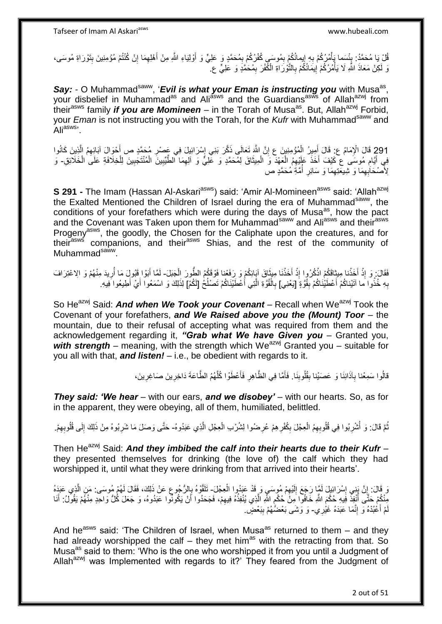قُلْ يَا مُحَمَّدُ: بِئْسَما يَأْمُرُكُمْ بِهِ إِيمانُكُمْ بِمُوسَى كُفْرُكُمْ بِمُحَمَّدٍ وَ عَلِيٍّ وَ أَوْلِيَاءِ اللَّهِ مِنْ أَهْلِهِمَا إِنْ كُنْتُمْ مُؤْمِنِينَ بِتَوْرَاةِ مُوسَى، ِ ِ ْ **∫** ِ َ َ ِ ِ ِ نَ لَكِنْ مَعَاذَ اللَّهِ لَا يَأْمُرُكُمْ إِيمَانُكُمْ بِالنَّوْرَاةِ الْكَُفْرَ بِمُحَمَّدٍ وَ عَلِيٍّ ع ِ ِ ِ ِ ْ

Say: - O Muhammad<sup>saww</sup>, 'Evil is what your Eman is instructing you with Musa<sup>as</sup>, your disbelief in Muhammad<sup>as</sup> and Ali<sup>asws</sup> and the Guardians<sup>asws</sup> of Allah<sup>azwj</sup> from theirasws family *if you are Momineen* – in the Torah of Musaas. But, Allahazwj Forbid, your *Eman* is not instructing you with the Torah, for the *Kufr* with Muhammadsaww and Ali<sup>asws,</sup>

291 قَالَ الْإِمَامُ عِ: قَالَ أَمِيزُ الْمُؤْمِنِينَ عِ إِنَّ اللَّهَ تَعَالَى ذَكَّرَ بَنِي إِسْرَائِيلَ فِي عَصْدِ مُحَمَّدٍ ص أُخْوَالَ آبَائِهِمُ الَّذِينَ كَانُوا ه َ ِ ِ ْ َ فِي أَيَّامِ مُوسَى عَ كَيْفَ أَخَذَ عَلَيْهِمُ الْعَهْدَ وَ الْمِيثَاقَ لِمُحَمَّدٍ وَ عَلِيٍّ وَ آلِهِمَا ٱلطَّيِّبِينَ الْمُنْتَجِبِينَ لِلْخِلَافَةِ عَلَى الْخَلَائِقِ- وَ  $\ddot{\phantom{0}}$ ْ ْ َ ِ َ ْ ْ ِ ْ ِ ِ لِأَصْحَابِهِمَا وَ شِيعَتِهِمَا وَ سَائِرِ أُمَّةٍ مُحَمَّدٍ صَ ا<br>ا ِ ِ ِ

**S 291 -** The Imam (Hassan Al-Askari<sup>asws</sup>) said: 'Amir Al-Momineen<sup>asws</sup> said: 'Allah<sup>azwj</sup> the Exalted Mentioned the Children of Israel during the era of Muhammad<sup>saww</sup>, the conditions of your forefathers which were during the days of Musa<sup>as</sup>, how the pact and the Covenant was Taken upon them for Muhammad<sup>saww</sup> and Ali<sup>asws</sup> and their<sup>asws</sup> Progeny<sup>asws</sup>, the goodly, the Chosen for the Caliphate upon the creatures, and for their<sup>asws</sup> companions, and their<sup>asws</sup> Shias, and the rest of the community of Muhammad<sup>saww</sup>.

فَقَالَ: وَ إِذْ أَخَذْنا مِيثَاقَكُمْ اذْكُرُوا إِذْ أَخَذْنَا مِيثَاقَ آبَائِكُمْ وَ رَفَعْنا فَوْقَكُمُ الطُّورَ الْجَبَلَ- لَمَّا أَبَوْا قَبُولَ مَا أُرِيدَ مِنْهُمْ وَ الِاعْتِرَافَ<br>وَمَثَلَ أَبَوْا إِذْ أَخَذْنا مِي <u>ٔ</u> َ **ٔ** ة<br>أ **ٔ** َ ْ **ٔ** ْ ِ اُ َ لَ بِهِ خُذُوا َما آتَيْناكُمْ أَعْطَيْٰنَاكُمْ بِقُوَّةٍ ۖ [يَعْنِي] بِالْقُوَّةِ الَّتِي أَعْطَيْنَاكُمْ تَصْلُحُ [لَكُمْ] لِذَلِكَ وَ اسْمَعُوا أَيْ أَطِيعُوا فِيهِ. **∶ ِ** ُ َ ه ْ **∶** َ َ

So He<sup>azwj</sup> Said: **And when We Took your Covenant** – Recall when We<sup>azwj</sup> Took the Covenant of your forefathers, *and We Raised above you the (Mount) Toor* – the mountain, due to their refusal of accepting what was required from them and the acknowledgement regarding it, *"Grab what We have Given you* – Granted you, with strength – meaning, with the strength which We<sup>azwj</sup> Granted you – suitable for you all with that, *and listen!* – i.e., be obedient with regards to it.

> قالُوا سَمِعْنا بِآذَانِنَا وَ عَصَيْنا بِقُلُوبِنَا. فَأَمَّا فِي الظَّاهِرِ فَأَعْطَوْا كُلَّهُمُ الطَّاعَةَ دَاخِرِينَ صَاغِرِينَ، ِ ه َ ِ َ **ِ ∶ ∶**

*They said: 'We hear* – with our ears, *and we disobey'* – with our hearts. So, as for in the apparent, they were obeying, all of them, humiliated, belittled.

نْمَ قَالَ: وَ أَشْرِبُوا فِي قُلُوبِهِمُ الْعِجْلَ بِكُفْرِهِمْ عُرِضُوا لِشُرْبِ الْعِجْلِ الَّذِي عَبَدُوهُ- حَتَّى وَصَلَ مَا شَرِبُوهُ مِنْ ذَلِكَ إِلَى قُلُوبِهِمْ. ِ ِ ْ ِ ُ ُ ه ْ ِ **∶** ِ ِ

Then He<sup>azwj</sup> Said: **And they imbibed the calf into their hearts due to their Kufr –** they presented themselves for drinking (the love of) the calf which they had worshipped it, until what they were drinking from that arrived into their hearts'.

وَ قَالَ: إِنَّ بَنِي إِسْرَائِيلَ لَمَّا رَجَعَ إِلَيْهِمْ مُوسَىٍ وَ قَدْ عَبَدُوا الْعِجْلَ- تَلَقَّوْهُ بِالرُّجُوعِ عَنْ ذَلِكَ، فَقَالَ لَهُمْ مُوسَى: مَنِ الَّذِي عَبَدَهُ ْ ِ لَ ِ ِ ِ ه ِ ្ត្ مِنْكُمْ حَتَّى أُنْفِذُ فِيهِ حُكْمَ اللَّهِ خَافُوا مِنْ حُكْمِ اللَّهِ الَّذِي يُنْفِذُهُ فِيهِمْ، فَجَحَدُوا أَنْ يَكُونُوا عَبَدُوهُ، وَ جَعَلَ كُلُّ وَاحِدٍ مِنْهُمْ يَقُولُ: أَنَا ِ ا<br>ا اُ ِ ه َ لَمْ أَعْبُدْهُ وَ إِنَّمَا عَبَدَهُ غَيْرِي- وَ وَشَى بَعْضُهُمْ بِبَعْضٍ. ِ َ **!** 

And he<sup>asws</sup> said: 'The Children of Israel, when Musa<sup>as</sup> returned to them – and they had already worshipped the calf – they met him<sup>as</sup> with the retracting from that. So Musa<sup>as</sup> said to them: 'Who is the one who worshipped it from you until a Judgment of Allah<sup>azwj</sup> was Implemented with regards to it?' They feared from the Judgment of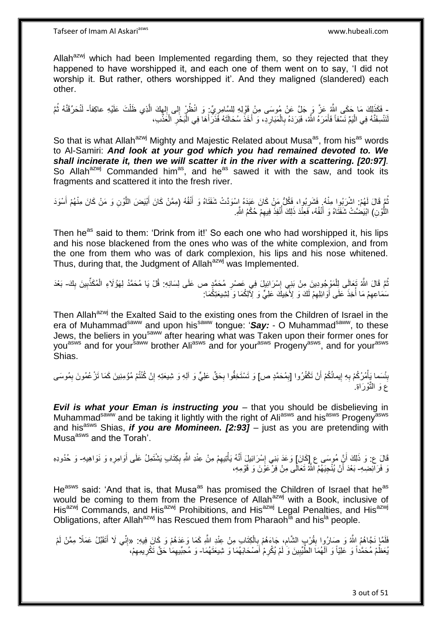Allah<sup>azwj</sup> which had been Implemented regarding them, so they rejected that they happened to have worshipped it, and each one of them went on to say, 'I did not worship it. But rather, others worshipped it'. And they maligned (slandered) each other.

ِ فَكَذَلِكَ مَا حَكَى اللَّهُ عَزَّ وَ جَلَّ عَنْ مُوسَى مِنْ قَوْلِهِ لِلسَّامِرِيِّ وَ انْظُرْ إِلى إِلهاكَ الَّذِي ظَلْتَ عَلَيْهِ عاكِفاً- لَنُحَرِّقَنَّهُ ثُمَّ ِ ِ ْ ه ِ ِ ر<br>: لَ لَنَنْسِفَنَّهُ فِي الْيَمِّ نَسْفاً فَأَمَرَهُ اللَّهُ، فَبَرَدَهُ بِالْمَبَارِدِ، وَ أَخَذَ سُحَالَتَهُ فَذَرَأَهَا فِي الْبَحْرِ الْعَذْبِ، **∶** َ ֦֧֖֧֦֧֦֧֦֧֦֧֦֧֦֧֦֧֦֧֧֦֧֦֧֡֝֟֟֓֕֝֟֟֓֓֟֓֓֡֟֓֟֓֡֟֓֟֓֡֟֓֓֞֟֓֟֓֡֟֓֓֞֓֞֟֓֡֟֓֓֞֟֓֟֓֓֞֟֓֟֓֝֓֝֬ ْ ْ ِ ْ َ َ ِ ْ

So that is what Allah<sup>azwj</sup> Mighty and Majestic Related about Musa<sup>as</sup>, from his<sup>as</sup> words to Al-Samiri: *And look at your god which you had remained devoted to. We shall incinerate it, then we will scatter it in the river with a scattering. [20:97].*  So Allah<sup>azwj</sup> Commanded him<sup>as</sup>, and he<sup>as</sup> sawed it with the saw, and took its fragments and scattered it into the fresh river.

ثُمَّ قَالَ لَهُمْ: اشْرَبُوا مِنْهُ. فَشَرِبُوا، فَكُلُّ مَنْ كَانَ عَبَدَهُ إِسْوَدَتْ شَفَتَاهُ وَ أَنْفُهُ (مِمَّنْ كَانَ أَبْيَضَ اللَّوْنِ وَ مَنْ كَانَ مِنْهُمْ أَسْوَدَ ِ َ ه َ َ اللُّوْنِ) ابْيَضَّتْ شَفَتَاهُ وَ أَنْفُهُ، فَعِنْدَ ذَلِكَ أُنْفِذَ فِيهِمْ حُكْمُ اللَّهِ. ِ ا<br>ا َ ه

Then he<sup>as</sup> said to them: 'Drink from it!' So each one who had worshipped it, his lips and his nose blackened from the ones who was of the white complexion, and from the one from them who was of dark complexion, his lips and his nose whitened. Thus, during that, the Judgment of Allah<sup>azwj</sup> was Implemented.

ثُمَّ قَالَ اللَّهُ تَعَالَى لِلْمَوْجُودِينَ مِنْ بَنِي إِسْرَائِيلَ فِي عَصْرِ مُحَمَّدٍ ص عَلَى لِسَانِهِ: قُلْ يَا مُحَمَّدُ لِهَوُلَاءِ الْمُكَذِّبِينَ بِكَ- بَعْدَ ُ **∶** ِ ْ ِ ِ ْ سَمَاعِهِمْ مَا أُخِذَ عَلَى أَوَائِلِهِمْ لَكَ وَ لِأَخْلِكَ عَلِيٌّ وَ لِأَلِكُمَا وَ لِشِيعَتِكُمَا: ِ َ ابل<br>ا ِ

Then Allah<sup>azwj</sup> the Exalted Said to the existing ones from the Children of Israel in the era of Muhammad<sup>saww</sup> and upon his<sup>saww</sup> tongue: 'Say: - O Muhammad<sup>saww</sup>, to these Jews, the beliers in you<sup>saww</sup> after hearing what was Taken upon their former ones for you<sup>asws</sup> and for your<sup>saww</sup> brother Ali<sup>asws</sup> and for your<sup>asws</sup> Progeny<sup>asws</sup>, and for your<sup>asws</sup> Shias.

بِئْسَما يَأْمُرُكُمْ بِهِ إِيمانُكُمْ أَنْ تَكْفُرُوا [بِمُحَمَّدٍ ص] وَ تَسْتَخِفُّوا بِحَقِّ عَلِيٍّ وَ آلِهِ وَ شِيعَتِهِ إِنْ كُنْتُمْ مُؤْمِنِينَ كَمَا تَرْ عُمُونَ بِمُوسَى <u>֖֖֚֚֚֚֚</u> **∶** ْ **ِ** ِ ِ ِ ِ ع وَ النُّوْرَاةِ ِ

*Evil is what your Eman is instructing you* – that you should be disbelieving in Muhammad<sup>saww</sup> and be taking it lightly with the right of Aliasws and his<sup>asws</sup> Progeny<sup>asws</sup> and his<sup>asws</sup> Shias, *if you are Momineen. [2:93]* – just as you are pretending with Musa<sup>asws</sup> and the Torah'.

قَالَ ع: وَ ذَلِكَ أَنَّ مُوسَى ع إِكَانَ] وَعَدَ بَنِي إِسْرَائِيلَ أَنَّهُ يَأْتِيهِمْ مِنْ عِنْدِ اللَّهِ بِكِنَابٍ يَشْتَمِلُ عَلَى أَوَامِرٍ وَ نَوَاهِيهِ- وَ حُدُودِهِ اً َ ِ ِ ْ َ ِ ِ وَ فَرَآئِضِهِ- بَعْدَ أَنْ يُنْجِيَهُمُ الثَّهُ تَعَالَّى مِنْ فِرْعَوَْنَ وَ قَوْمِهِ، اً

He<sup>asws</sup> said: 'And that is, that Musa<sup>as</sup> has promised the Children of Israel that he<sup>as</sup> would be coming to them from the Presence of Allah<sup>azwj</sup> with a Book, inclusive of His<sup>azwj</sup> Commands, and His<sup>azwj</sup> Prohibitions, and His<sup>azwj</sup> Legal Penalties, and His<sup>azwj</sup> Obligations, after Allah<sup>azwj</sup> has Rescued them from Pharaoh<sup>la</sup> and his<sup>la</sup> people.

فَلَمَّا نَجَّاهُمُ اللَّهُ وَ صَارُوا بِقُرْبٍ الشَّامِ، جَاءَهُمْ بِالْكِتَابِ مِنْ عِنْدِ اللَّهِ كَمَا وَعَدَهُمْ وَ كَانَ فِيهِ: «إِنِّي لَا أَتَقَبَّلُ عَمَلًا مِمَّنْ لَمْ ْ ِ ِ **ِ** َ ِ يُعَظِّمْ مُحَمَّداً وَ عَلِيّاً وَ ٱلْهُمَاَ الْطَّيِّبِينَ وَ ٰلَمْ يُكْرِمْ أَصْحَابَهُمَا وَ شِيعَتَهُمَا- وَ مُحِبِّيهِمَا حَقَّ تَكْرِيمِهِمْ، ِ **!** ِ ِ ِ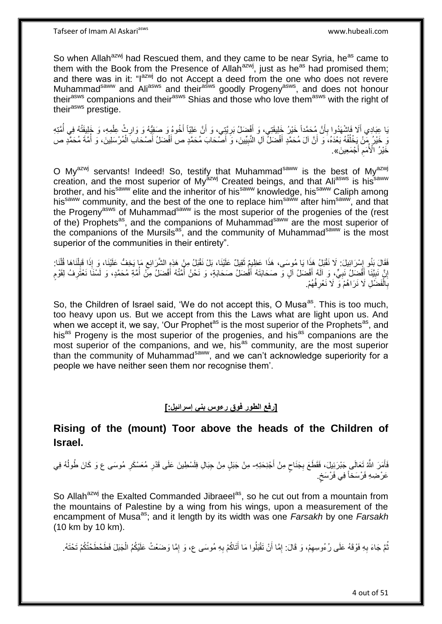So when Allah<sup>azwj</sup> had Rescued them, and they came to be near Syria, he<sup>as</sup> came to them with the Book from the Presence of Allah $a^{2}$ , just as he<sup>as</sup> had promised them; and there was in it: "l<sup>azwj</sup> do not Accept a deed from the one who does not revere Muhammad<sup>saww</sup> and Ali<sup>asws</sup> and their<sup>asws</sup> goodly Progeny<sup>asws</sup>, and does not honour their<sup>asws</sup> companions and their<sup>asws</sup> Shias and those who love them<sup>asws</sup> with the right of their<sup>asws</sup> prestige.

يَا عِبَادِي أَلَا فَاشْهَدُوا بِأَنَّ مُحَمَّداً خَيْرُ خَلِيقَتِي، وَ أَفْضَلُ بَرِيَّتِي، وَ أَنَّ عَلِيّاً أَخُوهُ وَ صَفِيُّهُ وَ وَارِثُ عِلْمِهِ، وَ خَلِيفَتُهُ فِي أُمَّتِهِ ز<br>ا **∶** َ َ ِ ُ ْ ِ َ يَ خَيْرُ مِّنْ يَخْلُفُهُ بَعْدَهُ، وَ أَنَّ آلَ مُحَمَّدٍ أَفْضَلُّ آلِ النَّبِيِّينَ، وَ أَصْحَابَ مُحَمَّدٍ ِ َ اُ ُ َ ا<br>ا ْ دِّيْرُ الْأُمَمِ أَجْمَعِينَ». َ ِ

O My<sup>azwj</sup> servants! Indeed! So, testify that Muhammad<sup>saww</sup> is the best of My<sup>azwj</sup> creation, and the most superior of My<sup>ázwj</sup> Created beings, and that Ali<sup>asws</sup> is his<sup>saww</sup> brother, and his<sup>saww</sup> elite and the inheritor of his<sup>saww</sup> knowledge, his<sup>saww</sup> Caliph among his<sup>saww</sup> community, and the best of the one to replace him<sup>saww</sup> after him<sup>saww</sup>, and that the Progeny<sup>asws</sup> of Muhammad<sup>saww</sup> is the most superior of the progenies of the (rest of the) Prophets<sup>as</sup>, and the companions of Muhammad<sup>saww</sup> are the most superior of the companions of the Mursils<sup>as'</sup>, and the community of Muhammad<sup>saww</sup> is the most superior of the communities in their entirety".

ْفَقَالَ بَنُو إِسْرَائِيلَ: لَا نَقْبَلُ هَذَا يَا مُوسَى، هَذَا عَظِيمٌ تَقِيلٌ عَلَيْنَا، بَلْ نَقْبَلُ مِنْ هَذِهِ الشَّرَائِعِ مَا يَخِفُّ عَلَيْنَا، وَ إِذَا قَبِلْنَاهَا قُلْنَا: ِ َ ْ ْ ِ ِ إِنَّ نَبِيَّنَا أَفْضَلُ نَبِيٍّ، وَ آلَهُ أَفْضَلُ آلٍ وَ صَحَابَتَهُ أَفْضَلُ صَحَابَةٍ، وَ نَحْنُ أَمَّتُهُ أَفْضَلُ مِنَّ أُمَّةٍ مُحَمَّدٍ، وَ لَسْنَا نَعْتَرِفُ لِقَوْمِ َ َ ِ َ ِ <u>֖֚֚֚֚֚֚֚֓</u> ֧֖֧֦֧֦֧֦֖֚֚֝֝֝֝֓֝֬֟֓֝֓֬֝֬֝֓֬֝֬֝֓**֓** ِ ُ َ ر<br>ا بَالْفَضُلِ لَا نَرَاهُمْ َوَ لَا نَعْرِفُهُمْ. ِ ْ ِ

So, the Children of Israel said, 'We do not accept this, O Musa<sup>as</sup>. This is too much, too heavy upon us. But we accept from this the Laws what are light upon us. And when we accept it, we say, 'Our Prophet<sup>as</sup> is the most superior of the Prophets<sup>as</sup>, and his<sup>as</sup> Progeny is the most superior of the progenies, and his<sup>as</sup> companions are the most superior of the companions, and we, his<sup>as</sup> community, are the most superior than the community of Muhammad<sup>saww</sup>, and we can't acknowledge superiority for a people we have neither seen them nor recognise them'.

## **]رفع الطور فوق رءوس بني إسرائيل:[**

## **Rising of the (mount) Toor above the heads of the Children of Israel.**

فَأَمَرَ اللَّهُ تَعَالَى جَبْرَئِيلَ، فَقَطَعَ بِجَنَاحٍ مِنْ أَجْنِحَتِهِ- مِنْ جَبَلٍ مِنْ جِبَالِ فِلَسْطِينَ عَلَى قَدْرِ مُعَسْكَرِ مُوسَى ع وَ كَانَ طُولُهُ فِي َ ٍ ِ  $\overline{a}$ **∶** ِ عَرْضِهِ فَرْسَخاً فِي فَرْسَخِ. ٍ

So Allah<sup>azwj</sup> the Exalted Commanded Jibraeel<sup>as</sup>, so he cut out from a mountain from the mountains of Palestine by a wing from his wings, upon a measurement of the encampment of Musa<sup>as</sup>; and it length by its width was one *Farsakh* by one *Farsakh* (10 km by 10 km).

نُّمَّ جَاءَ بِهِ فَوْقَهُ عَلَى رُءُوسِهِمْ، وَ قَالَ: إِمَّا أَنْ تَقْبَلُوا مَا أَتَاكُمْ بِهِ مُوسَى ع، وَ إِمَّا وَضَعْتُ عَلَيْكُمُ الْجَبَلَ فَطَحْطَحْتُكُمْ تَحْتَهُ. ِ **∶** َ َ ِ ِ **∶** ْ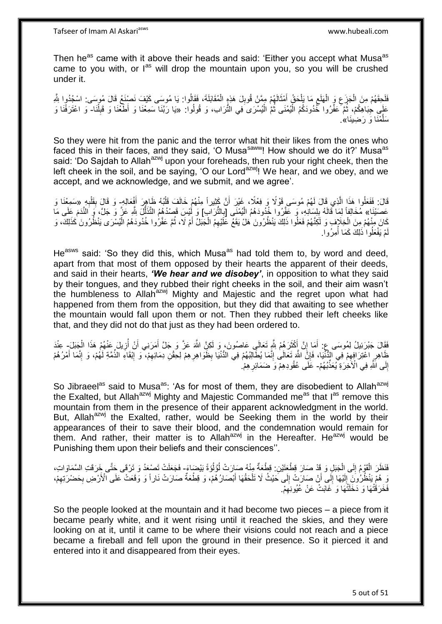Then he<sup>as</sup> came with it above their heads and said: 'Either you accept what Musa<sup>as</sup> came to you with, or  $I^{as}$  will drop the mountain upon you, so you will be crushed under it.

فَلَحِقَهُمْ مِنَ الْجَزَعِ وَ الْهَلَعِ مَا بَلْحَقُ أَمْثَالَهُمْ مِمَّنْ قُوبِلَ هَذِهِ الْمُقَابَلَةَ، فَقَالُوا: يَا مُوسَى كَيْفَ نَصْنِغُ قَالَ مُوسَى: اسْجُدُوا شِّهِ ْ ِ َ َ ْ ِ ْ ِ ْ عَلِّي جِبَاهِكُمْ، ثُمَّ عَفِّرُوا خُّدُودَكُمُ الْيُمْنَى ثُمَّ الْيُسْرَى َفِي التُّرَابِ، وَ قُولُوا: «يَا رَبَّنَا سَمِعْنَا وَ أَطَّعْنَا وَ اعْلَى فَا وَاعْتَرَفْنَا وَ ْ ان<br>المقام المقام المقام المقام المقام المقام المقام المقام المقام المقام المقام المقام المقام المقام المقام المقا ْ ُ ْ ِ سَلَّمْنَا وَ رَضِينَا».

So they were hit from the panic and the terror what hit their likes from the ones who faced this in their faces, and they said, 'O Musa<sup>saww</sup>! How should we do it?' Musa<sup>as</sup> said: 'Do Sajdah to Allah<sup>azwj</sup> upon your foreheads, then rub your right cheek, then the left cheek in the soil, and be saying, 'O our Lord<sup>azwj</sup>! We hear, and we obey, and we accept, and we acknowledge, and we submit, and we agree'.

قَالَ: فَفَعَلُوا هَذَا الَّذِي قَالَ لَهُمْ مُوسَى قَوْلًا وَ فِعْلًا، غَيْرَ أَنَّ كَثِيراً مِنْهُمْ خَالَفَ قَلْبُهُ ظَاهِرَ أَفْعَالِهِ- وَ قَالَ بِقَلْبِهِ «سَمِعْنَا وَ ه َ ْ اُ ِ ْ عَصَيْنَا» مُخَالِفاً لِمَا قَالَهُ بِلِسَانِهِ، وَ عَفِّرُوا خُدُودَهُمُ الْيُمْنَى [بِالتُّرَابِ] وَ لُيْسَ قَصْدُهُمُ الثَّنَالُ شِّهِ عَزَّ وَ جَلَّ، وَ النَّدَمَ عَلَى مَا ِ ا<br>ا ِ ُّ كَانَ مِنْهُمْ مِنَ الْخِلَافِ وَ لَكِنَّهُمْ فَعَلُوا ذَلِكَ يَنْظُرُونَ هَلْ يَقَعْ عَلَيْهِمُ الْجَبَلُ أَمْ لَا، ثُمَّ عَقَرُوا خُدُودَهُمُ الْيُسْرَى يَنْظُرُونَ كَذَلِكَ، وَ ْ ْ ُ َ ْ لَمْ يَفْعَلُوا ٰذَلِكَ كَمَا أُمِرُوا. ُ

He<sup>asws</sup> said: 'So they did this, which Musa<sup>as</sup> had told them to, by word and deed, apart from that most of them opposed by their hearts the apparent of their deeds, and said in their hearts, *'We hear and we disobey'*, in opposition to what they said by their tongues, and they rubbed their right cheeks in the soil, and their aim wasn't the humbleness to Allah<sup>azwj</sup> Mighty and Majestic and the regret upon what had happened from them from the opposition, but they did that awaiting to see whether the mountain would fall upon them or not. Then they rubbed their left cheeks like that, and they did not do that just as they had been ordered to.

فَقَالَ جَبْرَئِيلُ لِمُوسَى عٍ: أَمَا إِنَّ أَكْثَرَ هُمْ بِلَّهٍ تَعَالَى عَاصُونَ، وَ لَكِنَّ اللَّهَ عَزَّ وَ جَلَّ أَمَرَنِي أَنْ أُزِيلَ عَنْهُمْ هَذَا الْجَبَلَ- عِنْدَ ِ َ َ ِ َ ْ ِ َ ظَاهِرٍ اعْتِرَافِهِمْ فِي الْذُّنْيَا، فَإِنَّ اللَّهَ تَعَالَىٰ إِنَّمَا يُطَالِبُهُمْ فِي الدُّنْيَا بِظَوَاهِرِهِمْ لِحِقْنِ دِمَائِهِمْ، ۖ وَ إِنَّقَا أَمْرُهُمْ مُو إِنَّمَا أَمْرُهُمْ ِ ِ ِ ِ ِ ِ َ ِ ِ ِ ِ إِلَى الَّلَّهِ فِي الْأَخِرَةِ يُعَذِّبُهُمْ- عَلَى عُقُودِهِمْ وَ ضَمَائِرِ هِمْ ٰ **ٍ** 

So Jibraeel<sup>as</sup> said to Musa<sup>as</sup>: 'As for most of them, they are disobedient to Allah<sup>azwj</sup> the Exalted, but Allah<sup>azwj</sup> Mighty and Majestic Commanded me<sup>as</sup> that  $I^{as}$  remove this mountain from them in the presence of their apparent acknowledgment in the world. But, Allah<sup>azwj</sup> the Exalted, rather, would be Seeking them in the world by their appearances of their to save their blood, and the condemnation would remain for them. And rather, their matter is to Allah<sup>azwj</sup> in the Hereafter. He<sup>azwj</sup> would be Punishing them upon their beliefs and their consciences''.

فَظَنَ الْقَوْمُ إِلَى الْجَبَلِ وَ قَدْ صَارَ قِطْعَتَيْنِ: قِطْعَةٌ مِنْهُ صَبِارَتْ لُؤُلُوَةَ بَيْضَاءَ- فَجَعَلَتْ تَصْعَدُ وَ تَرْقَى حَتَّى خَرَقَتِ السَّمَاوَاتِ، ُ ُ ْ י<br>י ْ وَ هُمّْ يَنْظُرُونَ إِلَيْهَا إِلَى أَنْ صَارَتْ إِلَى خَيْثُ لَا تَلْحَقُهَا أَبْصَارُهُمْ، وَ قِطْعَةٌ صَارَتْ نَاراً وَ وَقَعَتْ عَلَى الْأَرْضِ بِحَضْرَتِهِمْ، َ ْ  $\frac{1}{2}$ اً  $\frac{1}{2}$ لَ ِ ِ ِ فَخَرَقَتْٰهَا وَ دَخَلَتَْٰهَا وَ غَابَتْ عَنْ عُيُونِهِمْ. ِ

So the people looked at the mountain and it had become two pieces – a piece from it became pearly white, and it went rising until it reached the skies, and they were looking on at it, until it came to be where their visions could not reach and a piece became a fireball and fell upon the ground in their presence. So it pierced it and entered into it and disappeared from their eyes.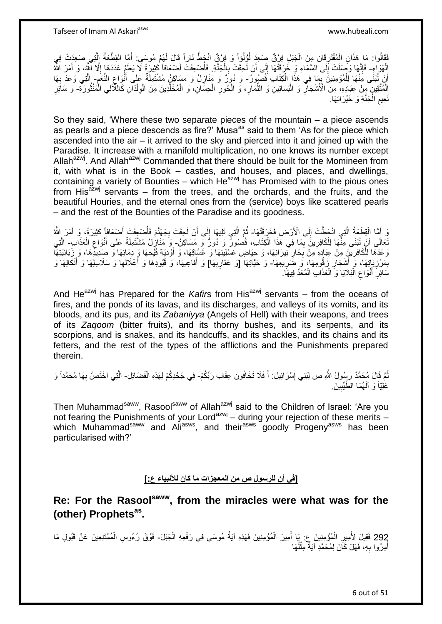فَقَالُوا: مَا هَذَانِ الْمُفْتَرِقَانِ مِنَ الْجَبَلِ فِرْقٌ صَعَدٍ لُؤُلُواً وَ فِرْقٌ انْجَطَّ نَاراً قَالَ لَهُمْ مُوسَى: أَمَّا الْقِطْعَةُ اِلَّتِي صَعَدٍتْ فِي ْ ِ ْ ه ْ َ ا<br>ا الْهَوَاءِ- فَإِنَّهَا وَصَلَتْ إَلَى السَّمَاءِ وَ خُرَقَتْهَا إِلَى أَنْ لَحِقَتْ بِالْجَنَّةِ. فَأُضْعِفَتْ أَضْعَافاً كَثِيرَةً لَا يَعْلَمُ عَدَهَا إِلَّا أَسَّهُ، وَ أَمَرَ اللَّهُ ْ َ ُ ْ ِ ∣∣<br>∶ ∣l<br>∶ ِ َ ِ أَنْ تُبْنَى مَِنْهَا لِلْمُؤْمِنِينَ بِمَا فِي هَذَا الْكِتَابِ َقُصُورٌ- وَ دُوِرٌ وَ مَنَازِلُ وَ مَسَاكِنُ مُشْتَمِلَةٌ عَلَى أَنْوَاع النَّعَم- الَّتِي وَعَدَ بِهَا ْ ِ ْ اً  $\ddot{\phantom{a}}$ ِ َ ِ ِ ه الْمُتَّقِينَ ۖ مِنْ عِبَادِهِ، مِنَ الْأَشْجَارِ وَ الْبَسَاتِينِ وَ الثَّمَارِ ، وَ الْحُورِ الْحِسَّانِ، وَ الْمُخَلَّدِينَ مِنَ الْوِلْدَانِ كَاللَّأْلِي الْمَنْثُورَةِ- وَ سَائِرِ ِ ا پایا<br>ا ْ ْ ِ ه ْ ْ **∶** ْ ِ ِّ ِ نَعِيم الْجَنَّةِ وَ خَيْرَاتِهَا. ْ ِ

So they said, 'Where these two separate pieces of the mountain – a piece ascends as pearls and a piece descends as fire?' Musa<sup>as</sup> said to them 'As for the piece which ascended into the air – it arrived to the sky and pierced into it and joined up with the Paradise. It increase with a manifold multiplication, no one knows its number except Allah<sup>azwj</sup>. And Allah<sup>azwj</sup> Commanded that there should be built for the Momineen from it, with what is in the Book – castles, and houses, and places, and dwellings, containing a variety of Bounties – which  $He^{azwj}$  has Promised with to the pious ones from His<sup>azwj</sup> servants – from the trees, and the orchards, and the fruits, and the beautiful Houries, and the eternal ones from the (service) boys like scattered pearls – and the rest of the Bounties of the Paradise and its goodness.

وَ أَمَّا الْقِطْعَةُ الَّتِي انْحَطَّتْ إِلَى الْأَرْضِ فَخَرَقَتْهَا- ثُمَّ الَّتِي تَلِيهَا إِلَى أَنْ لَحِقَتْ بِجَهَنَّمَ فَأُصْبِعِفَتْ أَصْبَعَافاً كَثِيرَةً، وَ أَمَرَ اللَّهُ ه ْ َ  $\frac{1}{2}$ َ أَ ُ ِ َ  $\frac{1}{2}$ ه ا با اللہ اللہ علیہ اللہ علیہ اللہ علیہ اللہ علیہ اللہ علیہ اللہ علیہ اللہ علیہ اللہ علیہ اللہ علیہ اللہ علیہ<br>منظمہ نَعالَى أَنْ تُبْنَى مِنْْهَا لِلْكَافِرِينَ بِمَا فِي هَذَا الْكِتَابِ، قُصُورٌ وَ دُورٌ وَ مَسَاكِنُ- وَ مَنَازِلُ مُشْتَمِلَةٌ عَلَى أَنْوَاع الْعَذَابِ- الَّتِي ْ ِ ِ ْ اً ْ ِ َ ِ ه رَعَدَهَا لِلْكَافِرِينَ مِنْ عِبَادِهِ مِنْ بِحَارٍ نِيرَانِهَا، وَ حِيَاضِ غِسْلِينِهَا وَ غَسَّاقِهَا، وَ أَوْدِيَةِ قَيْحِهَا وَ دِمَائِهَا وَ صَدِيدَهَا، وَ زَبَانِيَتِهَا ِ ْ َ ِ **∶** بِمَرْزِبَاتِهَا، وَ أَشْجَارٍ زَقُومِهَا، وَ ضَرِيعِهَا- وَ حَيَّاتِهَا [وَ عَقَارِبِهَا] وَ أَفَاعِيهَا، وَ قُيُودِهَا وَ أَغْلَالِها وَ سَلَاسِلِهَا وَ أَنْكَالِهَا وَ َ ِ ِ **∶** ِ َ ِ َ َ **∶ ∶** سَائِرٍ أَنْوَاعِ الْبَلَايَا وَ الْعَذَابِ الْمُعَدِّ فِيهَا. ْ ْ :<br>ا ِ اً<br>ا ِ

And He<sup>azwj</sup> has Prepared for the *Kafir*s from His<sup>azwj</sup> servants – from the oceans of fires, and the ponds of its lavas, and its discharges, and valleys of its vomits, and its bloods, and its pus, and its *Zabaniyya* (Angels of Hell) with their weapons, and trees of its *Zaqoom* (bitter fruits), and its thorny bushes, and its serpents, and its scorpions, and is snakes, and its handcuffs, and its shackles, and its chains and its fetters, and the rest of the types of the afflictions and the Punishments prepared therein.

نُّمَّ فَإِلَ مُحَمَّدٌ رَسُولُ اللَّهِ ص لِبَنِي إِسْرَائِيلَ: أَ فَلَا تَخَافُونَ عِقَابَ رَبِّكُمْ- فِي جَحْدِكُمْ لِهَذِهِ الْفَضَائِلِ- الَّتِي اخْتَصَّ بِهَا مُحَمَّداً وَ َ ِ ْ **∶** ه عَلِّيّاً وَ آلَهُمَا الطَّيِّبِينَ **!** 

Then Muhammad<sup>saww</sup>, Rasool<sup>saww</sup> of Allah<sup>azwj</sup> said to the Children of Israel: 'Are you not fearing the Punishments of your Lord<sup>azwj</sup> – during your rejection of these merits – which Muhammad<sup>saww</sup> and Ali<sup>asws</sup>, and their<sup>asws</sup> goodly Progeny<sup>asws</sup> has been particularised with?'

**]في أن للرسول ص من المعجزات ما كان لألنبياء ع:[**

**Re: For the Rasoolsaww, from the miracles were what was for the (other) Prophetsas .**

292 فَقِيلَ لِأُمِيرِ الْمُؤْمِنِينَ عِ: يَا أَمِيرَ الْمُؤْمِنِينَ فَهَذِهِ آيَةُ مُوسَى فِي رَفْعِهِ الْجَبَلَ- فَوْقَ رُءُوسِ الْمُمْتَنِعِينَ عَنْ قَبُولِ مَا<br>292 فَقِيلَ بِأَمْرِ بَيْنِ بِأَمْرَةٍ مِنْ يَنْفُسُ الْمُ ْ ْ ُ ْ َ ْ أُمِرُوا بِهِ، فَهَلْ كَانَ لِمُحَمَّدٍ آيَةٌ مِثْلُهَا ٔ<br>ا ْ **∶** ا<br>ا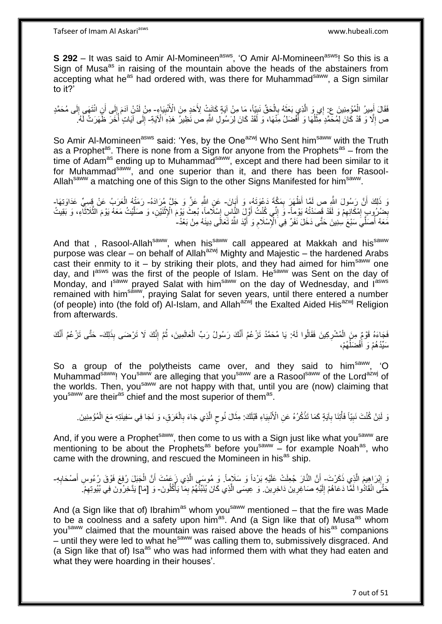**S 292** – It was said to Amir Al-Momineen<sup>asws</sup>, 'O Amir Al-Momineen<sup>asws</sup>! So this is a Sign of Musa<sup>as</sup> in raising of the mountain above the heads of the abstainers from accepting what he<sup>as</sup> had ordered with, was there for Muhammad<sup>saww</sup>, a Sign similar to it?'

ِ فَقَالَ أَمِيرُ الْمُؤْمِنِينَ ع: إِي وَ الَّذِي بَعَثَهُ بِالْحَقِّ نَبِيّاً، مَا مِنْ آيَةٍ كَانَتْ لِأَخَدٍ مِنَ الْأُنْبِيَاءِ- مِنْ لَدُنْ آدَمَ إِلَى أَنِ انْتَهَى إِلَى مُحَمَّدٍ ِ ْ ِ  $\ddot{\phantom{0}}$ ه ْ َ لَ ِ َ ِ ص إِلَّا وَ قَدْ كَانَ لِمُحَمَّدٍ مِثْلُهَا وَ أَفْضَلُ مِنْهَا، وَ لَقَدْ كَانَ لِرَسُولِ اللَّهِ ص نَظِيرُ هَذِهِ الْآيَةِ- إِلَى آيَاتٍ أَخَرَ ظَهَرَتْ لَهُ. َ ا<br>ا **ٔ**  $\ddot{\phantom{a}}$ ر:<br>ا ِ

So Amir Al-Momineen<sup>asws</sup> said: 'Yes, by the One<sup>azwj</sup> Who Sent him<sup>saww</sup> with the Truth as a Prophet<sup>as</sup>. There is none from a Sign for anyone from the Prophets<sup>as</sup> – from the time of Adam<sup>as</sup> ending up to Muhammad<sup>saww</sup>, except and there had been similar to it for Muhammad<sup>saww</sup>, and one superior than it, and there has been for Rasool-Allah<sup>saww</sup> a matching one of this Sign to the other Signs Manifested for him<sup>saww</sup>.

وَ ذَلِكَ أَنَّ رَسُولَ اللَّهِ صِ لَمَّا أَظْهَرَ بِمَكَّةَ دَعْوَتَهُ، وَ أَيَانَ- عَنِ اللَّهِ عَزَّ وَ جَلَّ مُرَادَهُ- رَمَنْهُ الْعَرَبُ عَنْ قِسِيٍّ عَدَاوَتِهَا-َ ِ :<br>نا ْ ِضْرُوبِ إِمْكَانِهِمْ وَ لَقَدْ قَصَدْتُهُ يَوْماً- وَ إِنِّي كُنْتُ أَوَّلَ النَّاسِ إِسْلَاماً، بُعِثَ يَوْم<br>بِحِمْرُ بِ إِمْكَانِهِمْ وَ لَقَدْ قَصَدْتُهُ وَمَيْلاً وَ إِنِّي كُنْتُ أَوَّلَ النَّاسِ إِسْلَاماً، بُعِثَ ِ ِ ِ َ יִי י َ ه ه **ٔ** ।।<br>द مَعَهُ أَصَلِّيَ سَبْعَ سِنِينَ حَتَّى دَخَلَ نَفَرٌ فِي الْإِسْلَامِ وَ أَيَّدَ اللَّهُ تَعَالَى دِينَهُ مِنْ بَعْدُ-َ ِ ا<br>ا

And that, Rasool-Allah<sup>saww</sup>, when his<sup>saww</sup> call appeared at Makkah and his<sup>saww</sup> purpose was clear – on behalf of Allah<sup>azwj</sup> Mighty and Majestic – the hardened Arabs cast their enmity to it – by striking their plots, and they had aimed for him<sup>saww</sup> one day, and lasws was the first of the people of Islam. He<sup>saww</sup> was Sent on the day of Monday, and Isaww prayed Salat with him<sup>saww</sup> on the day of Wednesday, and Iasws remained with him<sup>saww</sup>, praying Salat for seven years, until there entered a number (of people) into (the fold of) Al-Islam, and Allah<sup>azwj</sup> the Exalted Aided His<sup>azwj</sup> Religion from afterwards.

فَجَاءَهُ قَوْمٌٍ مِنَ الْمُشْرِكِينَ فَقَالُوا لَهُ: يَا مُحَمَّدُ تَزْعُمُ أَنَّكَ رَسُولُ رَبِّ الْعَالَمِينَ، ثُمَّ إِنَّكَ لَا تَرْضَى بِذَلِكَ- حَتَّى تَزْعُمُ أَنَّكَ ِ ْ ِ ُ ْ َ َ سَيِّدُهُمْ وَ أَفْضَلُّهُمْ، ُ

So a group of the polytheists came over, and they said to him<sup>saww</sup>, 'O Muhammad<sup>saww</sup>! You<sup>saww</sup> are alleging that you<sup>saww</sup> are a Rasool<sup>saww</sup> of the Lord<sup>azwj</sup> of the worlds. Then, you<sup>saww</sup> are not happy with that, until you are (now) claiming that you<sup>saww</sup> are their<sup>as</sup> chief and the most superior of them<sup>as</sup>.

وَ لَئِنْ كُنْتَ نَبِيّاً فَأْتِنَا بِآيَةٍ كَمَا تَذْكُرُهُ عَنِ الْأَنْبِيَاءِ قَبْلَكَ: مِثَالَ نُوحٍ الَّذِي جَاءَ بِالْغَرَقِ، وَ نَجَا فِي سَفِينَتِهِ مَعَ الْمُؤْمِنِينَ ـ **!** ْ ِ ْ ِ ْ ْ ِ ه ٍ َ

And, if you were a Prophet<sup>saww</sup>, then come to us with a Sign just like what you<sup>saww</sup> are mentioning to be about the Prophets<sup>as</sup> before you<sup>saww</sup> – for example Noah<sup>as</sup>, who came with the drowning, and rescued the Momineen in his<sup>as</sup> ship.

#### وَ إِبْرَاهِيمَ الَّذِي ذَكَرْتَ- أَنَّ النَّارَ جُعِلَتْ عَلَيْهِ بَرْداً وَ سَلَامٍاً وَ مُوسَى الَّذِي زَعَمْتَ أَنَّ الْجَبَلَ رُفِعَ فَوْقَ رُءُوسِ أَصْحَابِهِ-ه **ֽוּ** ِ َ ْ َ حَتَّى انْقَادُوا لَمَّا دَعَاهُمْ إِلَيْهِ صَاغِرِينَ دَاخِرِينَ. وَ عِيسَى الَّذِي كَانَ يُنَبِّئُهُمْ بِمَا يَأْكُلُونَ- وَ [مَا] يَدَّخِرُونَ فِي بُيُوتِهِمْ. :<br>أ ِ ه **∶ ∶** لَ  $\frac{1}{2}$ ِ

And (a Sign like that of) Ibrahim<sup>as</sup> whom you<sup>saww</sup> mentioned – that the fire was Made to be a coolness and a safety upon him<sup>as</sup>. And (a Sign like that of) Musa<sup>as</sup> whom you<sup>saww</sup> claimed that the mountain was raised above the heads of his<sup>as</sup> companions – until they were led to what he<sup>saww</sup> was calling them to, submissively disgraced. And (a Sign like that of) Isa<sup>as</sup> who was had informed them with what they had eaten and what they were hoarding in their houses'.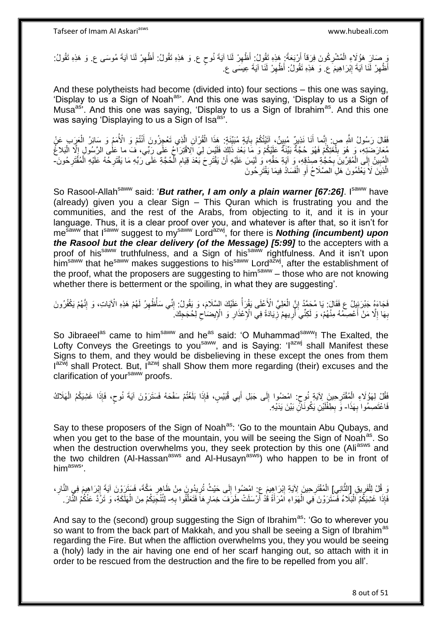وَ مَعَارَ هَؤُلَاءِ الْمُشْرِكُونَ فِرَقاً أَرْبَعَةً: هَذِهِ تَقُولُ: أَظْهِرْ لَنَا آيَةَ نُوحٍ ع. وَ هَذِه تَقُولُ: أَظْهِرْ لَنَا آيَةَ مُوسَى ع. وَ هَذِهِ تَقُولُ: ِ ْ ٍ ِ ِ أَظْهِرْ لَّذَا آيَةَ إِبْرَاهِيمَ ۚع. وَ هَذِهِ تَقُولُ: أَظْهِرْ لَذَاۤ آيَةَ عِيسَى ع. ِ ِ ِ

And these polytheists had become (divided into) four sections – this one was saying, 'Display to us a Sign of Noah<sup>as</sup>'. And this one was saying, 'Display to us a Sign of Musa<sup>as</sup>'. And this one was saying, 'Display to us a Sign of Ibrahim<sup>as</sup>. And this one was saying 'Displaying to us a Sign of Isa<sup>as'</sup>.

فَقَالَ رَسُولُ اللَّهِ صِرٍ. إِنَّما أَنَا نَذِيرٌ مُبِينٌ، إِنَّيْتُكُمْ بِآيَةٍ مُبَيِّّنَةٍ: هَذَا الْقُرْآنِ الَّذِي تَعْجِزُونَ أَنْتُمْ وَ الْأُمَمُ وَ سَائِرُ الْعَرَبِ عَنْ ِ َ ِ ْ َ ه ْ ِ مُعَارَضَتِهِ، وَ هُوَ بِلُغَتِكُمْ فَهُوَ حُجَّةٌ بَيِّنَةٌ عَلَيْكُمْ وَ مَا بَعْدَ ذَلِكَ فَلَيْسَ لِيَ الِاقْتِرَاحُ عَلَى رَبِّي، فَ ما عَلَى الرَّسُولِ إِلَّا الْبَلاغُ ُ ِ ْ  $\frac{1}{3}$ الْمُبِينُ إِلَى الْمُقِرِّينَ بِحُجَّةِ صِدْقِهِ، وَ آيَةِ حَقِّهِ، وَ لَيْسَ عَلَيْهِ أَنْ يَقْتَرِحَ بَعْدَ قِيَام الْحُجَّةِ عَلَى رَبِّهِ مَا يَقْتَرِحُهُ عَلَيْهِ الْمُقَتَرِحُونَ-**!** ْ  $\frac{1}{2}$ ا<br>ا ِ **ٍ** اُ ِ ِ ْ ِ الَّذِينَ لَا يَعْلَمُونَ هَلِ الصَّلَاحُ أَوِ الْفَسَادُ فِيمَا يَقْتَرِحُونَ **∶** ْ **∶** اً ه

So Rasool-Allah<sup>saww</sup> said: '*But rather, I am only a plain warner [67:26]*. I<sup>saww</sup> have (already) given you a clear Sign – This Quran which is frustrating you and the communities, and the rest of the Arabs, from objecting to it, and it is in your language. Thus, it is a clear proof over you, and whatever is after that, so it isn't for me<sup>saww</sup> that I<sup>saww</sup> suggest to my<sup>saww</sup> Lord<sup>azwj</sup>, for there is **Nothing (incumbent) upon** *the Rasool but the clear delivery (of the Message) [5:99]* to the accepters with a proof of his<sup>saww</sup> truthfulness, and a Sign of his<sup>saww</sup> rightfulness. And it isn't upon him<sup>saww</sup> that he<sup>saww</sup> makes suggestions to his<sup>saww</sup> Lord<sup>azwj</sup>, after the establishment of the proof, what the proposers are suggesting to him<sup>saww</sup> – those who are not knowing whether there is betterment or the spoiling, in what they are suggesting'.

فَجَاءَهُ جَبْرَئِيلُ ع فَقَالَ: يَا مُحَمَّدُ إِنَّ الْعَلِيَّ الْأَعْلَى يَقْرَأُ عَلَيْكَ السَّلَامَ، وَ يَقُولُ: إِنِّي سَأُظْهِرُ لَهُمْ هَذِهِ الْآيَاتِ، وَ إِنَّهُمْ يَكْفُرُونَ ا<br>ا ْ ֧<u>׀</u> ِ ِ ِ ِ بِهَا إِلَّا مَنْ أَعْصِمْهُ مِنْهُمْ، وَ لَكِنِّيَ أُرِيهِمْ زِيَادَةً فِي الْإِعْذَارِ وَ الْإِيضَاحِ لِحُجَجِكَ **∶** ِ ِ ر<br>ا َ ِ **∶**  $\zeta$ 

So Jibraeel<sup>as</sup> came to him<sup>saww</sup> and he<sup>as</sup> said: 'O Muhammad<sup>saww</sup>! The Exalted, the Lofty Conveys the Greetings to you<sup>saww</sup>, and is Saying: 'I<sup>azwj</sup> shall Manifest these Signs to them, and they would be disbelieving in these except the ones from them Iazwj shall Protect. But, I<sup>azwj</sup> shall Show them more regarding (their) excuses and the clarification of your<sup>saww</sup> proofs.

فَقُّلْ لِهَؤُلَاءِ الْمُقْتَرِحِينَ لِآيَةِ نُوحٍ: امْضُوا إِلَى جَبَلِ أَبِي قُبَيْسٍ، فَإِذَا بَلَغْتُمْ سَفْحَهُ فَسَتَرَوْنَ آيَةَ نُوحٍ، فَإِذَا غَشِيَكُمُ الْهَلَاكُ **∶** ْ  $\frac{1}{2}$ ٍ ْ ٍ فَاعْتَصِمُوا بِهَذَا- وَ بِطِفْلَيْنِ يَكُونَاكِّ بَيْنَ يَدَيْهِ **∶** لَ **ِ** 

Say to these proposers of the Sign of Noah<sup>as</sup>: 'Go to the mountain Abu Qubays, and when you get to the base of the mountain, you will be seeing the Sign of Noah<sup>as</sup>. So when the destruction overwhelms you, they seek protection by this one (Ali<sup>asws</sup> and the two children (Al-Hassan<sup>asws</sup> and Al-Husayn<sup>asws</sup>) who happen to be in front of him<sup>asws</sup>'.

وَ قُلْ لِلْفَرِيقِ [الذَّانِي] الْمُقْتَرِحِينَ لِآيَةِ إِبْرَاهِيمَ عِ: امْضُوا إِلَى حَيْثُ تُرِيدُونَ مِنْ ظَاهِرِ مَكَّةَ، فَسَتَرَوْنَ آيَةَ إِبْرَاهِيمَ فِي النَّارِ، ه **ٍ** ْ ِ ِ ِ ِ ِ ِ ِ فَإِذَا غَشِيَكُمُ اَلْبَلَاءُ فَسَتَرَوْنَ فِي الْهَوَاءِ اَمْرَأَةً قُدْ أَرْسَلَتْ طَرَفَ خِمَارِهَا فَتَعَلَّقُوا بِهِ- لِتُنْجِيَكُمْ مِنَ الْهَلَكَةِ، وَ تَرُدَّ عَنْكُمُ النَّارَ :<br>ا **∶** ه ِ َ َ ْ ْ

And say to the (second) group suggesting the Sign of Ibrahim<sup>as</sup>: 'Go to wherever you so want to from the back part of Makkah, and you shall be seeing a Sign of Ibrahim<sup>as</sup> regarding the Fire. But when the affliction overwhelms you, they you would be seeing a (holy) lady in the air having one end of her scarf hanging out, so attach with it in order to be rescued from the destruction and the fire to be repelled from you all'.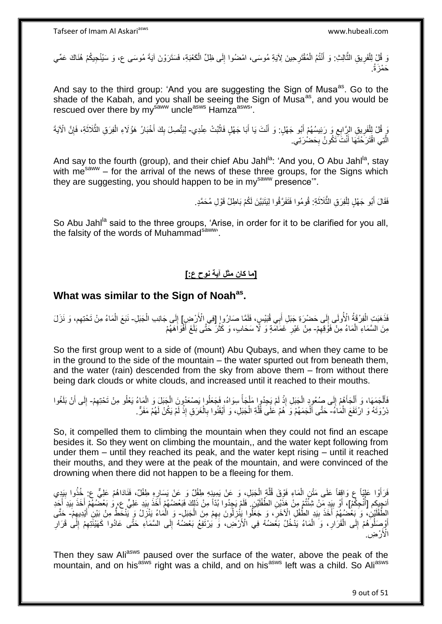َ قُلْ اِلْفَرِيقِ الثَّالِثِ: وَ أَنْتُمُ الْمُقْتَرِحِينَ لِآيَةِ مُوسَى، امْضُوا إِلَى ظِلِّ الْكَعْبَةِ، فَسَتَرَوْنَ آيَةَ مُوسَى ع، وَ سَيُنْجِيكُمْ هُنَاكَ عَمِّي ْ ِ **∶** ْ َ ه **ٍ** ْ حَمْزَةُ.

And say to the third group: 'And you are suggesting the Sign of Musa<sup>as</sup>. Go to the shade of the Kabah, and you shall be seeing the Sign of Musa<sup>as</sup>, and you would be rescued over there by my<sup>saww</sup> uncle<sup>asws</sup> Hamza<sup>asws</sup>'.

وَ إِلْفَرِيقِ الرَّابِعِ وَ رَئِيسُهُمْ أَبُو جَهْلٍ: وَ أَنْتَ يَا أَبَا جَهْلٍ فَاتْبُتْ عِنْدِي- لِيَتَّصِلَ بِكَ أَخْبَارُ هَؤُلَاءِ الْفِرَقِ الثَّلَاثَةِ، فَإِنَّ الْآيَةَ َ ِ ِ ْ **ٔ** َ ِ ِ َ ه ْ َ الَّتِي اقْتَرَحْتَهَا أَنْتَ تَكُونُ بِحَضْرَتِي. **∶** َ ه

And say to the fourth (group), and their chief Abu Jahl<sup>la</sup>: 'And you, O Abu Jahl<sup>la</sup>, stay with me<sup>saww</sup> – for the arrival of the news of these three groups, for the Signs which they are suggesting, you should happen to be in my<sup>saww</sup> presence".

> فَقَالَ أَبُو جَهْلٍ لِلْفِرَقِ الثَّلَاثَةِ: قُومُوا فَتَفَرَّقُوا لِيَتَبَيَّنَ لَكُمْ بَاطِلُ قَوْلِ مُحَمَّدٍ. ٔ, ه ْ َ

So Abu Jahl<sup>la</sup> said to the three groups, 'Arise, in order for it to be clarified for you all, the falsity of the words of Muhammad<sup>saww</sup>.

## **]ما كان مثل آية نوح ع:[**

## **What was similar to the Sign of Noahas .**

فَذَهَبَتِ الْفِرْقَةُ الْأُولَى إِلَى حَضْرَةِ جَبَلِ أَبِي قُبَيْسٍ، فَلَمَّا صَارُورِ [فِي الْأَرْضِرِ] إِلَى جَانِب الْجَبَلِ- نَبَعَ الْمَاءُ مِنْ تَحْتِهِم، وَ نَزَلَ َ  $\frac{1}{2}$ ْ ْ ِ ِ ْ مِنَ السَّمَاءِ الْمَاءُ مِنْ فَوْقِهِمْ- مِنْ غَيْرِ غَمَاَمَةٍ وَ لَأَ سَحَابٍ، وَ كَثُرَ حَتَّى بَلَغَ أَفْوَاهَهُمْ ِ ِ َ ُ

So the first group went to a side of (mount) Abu Qubays, and when they came to be in the ground to the side of the mountain – the water spurted out from beneath them, and the water (rain) descended from the sky from above them – from without there being dark clouds or white clouds, and increased until it reached to their mouths.

فَأَلْجَمَهَا، وَ أَلْجَأَهُمْ إِلَى صُعُودٍ الْجَبَلِ إِذْ لَمْ يَجِدُورٍا مَلْجَأً سِوَاهُ، فَجَعَلُوا يَصْعَدُونَ الْجَبَلَ وَ الْمَاءُ يَعْلُو مِنْ تَحْتِهِمْ- إِلَى أَنْ بَلَغُوا ْ ً ْ لَ **ٔ** ْ ֦֦֦֦֦֦֦֦֧֦֧֦֧֦֚֚֚֚֚֚֚֚֚֚֚֚֚֚֚֝֟֝֝֟֡֡֝֟֓֡֟֓֡֟֓֡֟֓֡֟֓֡֡֟֓֡֟֟֟֟ ا<br>ا ْ َ ْ ُ ِ َ ِ ذِرْوَتَهُ وَ ارْتَفَعَ الْمَاءُ- حَتَّى أَلْجَمَهُمْ وَ هُمْ عَلَى قُلَّةِ الْجَبَلِ، وَ أَيْقَتُوا بِالْغَرَقِ إِذْ لَمْ يَكُنْ لَهُمْ مَفَرٌّ. ْ ْ َ لَ **ٔ** ْ ِ َ ْ ه

So, it compelled them to climbing the mountain when they could not find an escape besides it. So they went on climbing the mountain,, and the water kept following from under them – until they reached its peak, and the water kept rising – until it reached their mouths, and they were at the peak of the mountain, and were convinced of the drowning when there did not happen to be a fleeing for them.

فَرَأَوْا عَلِيّاً ع وَاقِفاً عَلَى مَثْنِ الْمَاءِ فَوْقَ قُلَّةٍ الْجَبَلِ، وَ عَنْ يَمِينِهِ طفْلٌ وَ عَنْ يَسَارِهِ طفْلٌ، فَنَادَاهُمْ عَلِيٍّ عِ خُذُوا بِبَدِي ْ ه ْ َ ِ ِ انْجِيِكِم [أُنْجِكُمْ]، أَوْ بِيَدِ مَنْ شِئْتُمْ مِنْ هَذَّيْنِ الطِّفْلَيْنِ. فَلَمْ يَجِدُوا بُدَّا مِنْ ذَلِكَ فَبَعْضُهُمْ أَخَذَ بِيَدِ عَلِيٍّ عِ، وَ بَعْضُهُمْ أَخَذَ بِيَدِ أَجَدِ ِ َ لَ ِ َ ِ َ الطَّفْلَيْنِ، وَ بَعْضُهُمْ أَخَذَ بِيَدٍ الطَّفْلِ الْآخَرِ ، وَ جَعَلُوا يَبْٰزِلُونَ بِهِمْ مِنَ الْجَبَلِ- وَ الْمَاءُ يَنْزِلُ وَ يَنْحَطُ مِنْ بَيْنِ أَيْدِيهِمْ- حَتَّى لَ ِ ْ ِ ِ ِ ِ َ ِ أَوْصَلُوَهُمْ إِلَى الْقَرَارِ ، وَ الْمَاءُ يَذْخُلُ بَعْضُهُ فِي الْأَرْضَى، وَ يَرْتَقِعُ بَعْضُهُ إِلَى السَّمَاءِ حَثَّى عَادُوا كَهَيْئَتِهِمْ إِلَى قَرَارِ ْ **∶** ْ י<br>י َ ِ ِ ِ ِ الْأَرْضِ.

Then they saw Ali<sup>asws</sup> paused over the surface of the water, above the peak of the mountain, and on his<sup>asws</sup> right was a child, and on his<sup>asws</sup> left was a child. So Ali<sup>asws</sup>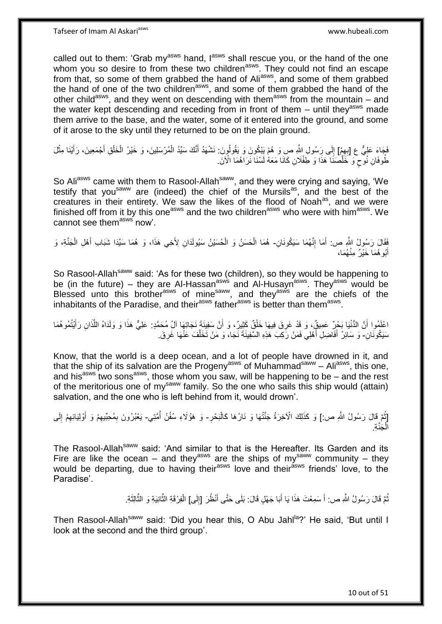called out to them: 'Grab my<sup>asws</sup> hand, l<sup>asws</sup> shall rescue you, or the hand of the one whom you so desire to from these two children<sup>asws</sup>. They could not find an escape from that, so some of them grabbed the hand of Aliasws, and some of them grabbed the hand of one of the two children<sup>asws</sup>, and some of them grabbed the hand of the other child<sup>asws</sup>, and they went on descending with them<sup>asws</sup> from the mountain – and the water kept descending and receding from in front of them  $-$  until they<sup>asws</sup> made them arrive to the base, and the water, some of it entered into the ground, and some of it arose to the sky until they returned to be on the plain ground.

َفَجَاءَ عَلِيٌّ ع [بِهِمْ] إِلَى رَِسُولِ اللَّهِ صِ وَ هُمْ يَبْكُونَ وَ يَقُولُونَ: نَشْهَدُ أَنَّكَ سَيِّدُ الْمُرْسَلِينَ، وَ خَيْرُ الْخَلْقِ أَجْمَعِينَ، رَأَيْنَا مِثْلَ ِ ِ ْ َ ْ َ َ ْ ْ طُوفَانِ نُوحٍ وَ خَلَّصَنَٰا هَذَا وَ طَفْلَانِ كَانَا مَعَهُ لَسْنَا نَرَاهُمَا الْآنَ. ه ٍ

So Aliasws came with them to Rasool-Allah<sup>saww</sup>, and they were crying and saying, 'We testify that you<sup>saww</sup> are (indeed) the chief of the Mursils<sup>as</sup>, and the best of the creatures in their entirety. We saw the likes of the flood of Noah<sup>as</sup>, and we were finished off from it by this one<sup>asws</sup> and the two children<sup>asws</sup> who were with him<sup>asws</sup>. We cannot see them<sup>asws'</sup> now'

فَقَالَ رَسُولُ اللَّهِ ص: أَمَا إِنَّهُمَا سَيَكُونَانِ- هُمَا الْحَسَنُ وَ الْحُسَيْنُ سَيُولَدَانِ لِأَخِي هَذَا، وَ هُمَا سَيِّدَا شَبَابِ أَهْلِ الْجَنَّةِ، وَ<br>نَبْ ֺ֧ׅ֧ׅ֧֧֚֚֚֚֚֚֚֚֚֚֚֚֚֚֚֚֚֝֝֬֓֡֡֡֡֡֡֡֬֓֡֟֓֡֟֓֡֟֓֡֡֡֬֓֡֡֬֩֓֓֬֩ َ ْ َ ْ ْ أَبُو هُمَا خَيْرٌ مِنْهُمَا، َ

So Rasool-Allah<sup>saww</sup> said: 'As for these two (children), so they would be happening to be (in the future) – they are Al-Hassan<sup>asws</sup> and Al-Husayn<sup>asws</sup>. They<sup>asws'</sup> would be Blessed unto this brother<sup>asws</sup> of mine<sup>saww</sup>, and they<sup>asws</sup> are the chiefs of the inhabitants of the Paradise, and their<sup>asws</sup> father<sup>asws</sup> is better than them<sup>asws</sup>.

اغْلَمُوا أَنَّ الدُّنْيَا بَحْرٍ عَمِيقٌٍ، وَ قَدْ غَرِقَ فِيهَا خَلْقٌ كَثِيرٌ ، وَ أَنَّ سَفِينَةٍ نَجَاتِهَا آلُ مُحَمَّدٍ: عَلِيٌّ هَذَا وَ وَلَدَاهُ اللَّذَانِ رَأَيْتُمُوهُمَا َ ِ َ َ ه سَيَكُونَانِ- وَ سَائِرُ أَفَاضِلِ أَهْلِي فَمَنْ رَكِبَ هَذِهِ السَّفِينَةَ نَجَا، وَ مَنْ تَخَلَّفَ عَنْهَا غَرِقَ َ ِ ه

Know, that the world is a deep ocean, and a lot of people have drowned in it, and that the ship of its salvation are the Progeny<sup>asws</sup> of Muhammad<sup>saww</sup> – Ali<sup>asws</sup>, this one, and his<sup>asws</sup> two sons<sup>asws</sup>, those whom you saw, will be happening to be – and the rest of the meritorious one of mysaww family. So the one who sails this ship would (attain) salvation, and the one who is left behind from it, would drown'.

[ثُمَّ قَالَ رَسُولُ اللَّهِ ص:] وَ كَذَلِكَ الْأَخِرَةُ جَنَّتُهَا وَ نَارُهَا كَالْبَحْرِ- وَ هَؤُلَاءِ سُفُنُ أُمَّتِي- يَعْبُرُونَ بِمُحِبِّيهِمْ وَ أَوْلِيَائِهِمْ إِلَى ُ **∶** ْ ُ لَ ِ ِ َ ِ ِ الْجَنَّةِ. ْ

The Rasool-Allah<sup>saww</sup> said: 'And similar to that is the Hereafter. Its Garden and its Fire are like the ocean – and they<sup>asws</sup> are the ships of my<sup>saww</sup> community – they would be departing, due to having their<sup>asws</sup> love and their<sup>asws</sup> friends' love, to the Paradise'.

> نُّمَّ قَالَ رَسُولُ اللَّهِ ص: أَ سَمِعْتَ هَذَا يَا أَبَا جَهْلٍ قَالَ: بَلَى حَتَّى أَنْظُرَ [إِلَى] الْفِرْقَةِ الثَّانِيَةِ وَ الثَّالِثَةِ. لَ ِ َ َ َ ْ َ ه ه

Then Rasool-Allah<sup>saww</sup> said: 'Did you hear this, O Abu Jahl<sup>la</sup>?' He said, 'But until I look at the second and the third group'.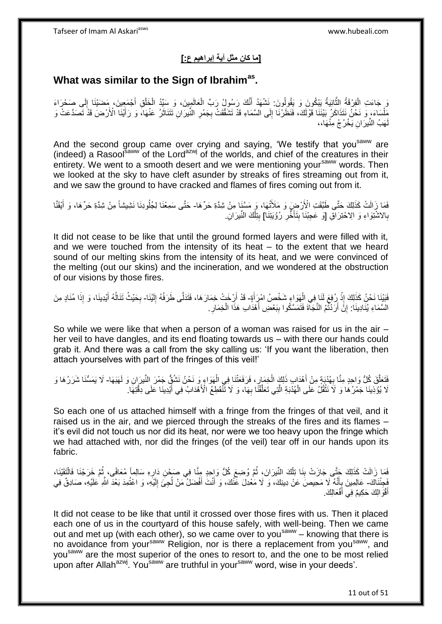## **]ما كان مثل آية إبراهيم ع:[**

## **What was similar to the Sign of Ibrahimas .**

ْ وَ جَاءَتِ الْفِرْقَةُ اِلثَّانِيَةُ يَبْكُونَ وَ يَقُولُونَ: نَشْهَدُ أَنَّكَ رَسُولُ رَبِّ الْعَالَمِينَ، وَ سَيِّدُ الْخَلْقِ أَجْمَعِينَ، مَضَيْنَا إِلَى صَحْرَاءَ ْ ْ َ ه لَ ِ َ ِق أ مَلْسَاءَ، وَ نَحْنُ نَتَذَاكَرُ بَيْنَنَا قَوْلَكَ، فَنَظَرْنَا إِلَى السَّمَاءِ قَدْ تَشَقَّقَتْ بِجَمْرِ النَّيْرَانِ تَتَنَاثَرُ عَنْهَا، وَ رَأَيْنَا الْأَرْضَ قَدْ تَصَدَّعَتْ وَ ْ ِ َ َ ِ **∶** لَهَبُ النِّيرَانِ يَخْرُجُ مِنْهَا،،

And the second group came over crying and saying, 'We testify that you<sup>saww</sup> are (indeed) a Rasoolsaww of the Lordazwj of the worlds, and chief of the creatures in their entirety. We went to a smooth desert and we were mentioning your<sup>saww</sup> words. Then we looked at the sky to have cleft asunder by streaks of fires streaming out from it, and we saw the ground to have cracked and flames of fires coming out from it.

فَمَا زِّالَتْ كَذَلِكَ حَتَّى طَبَّقَتِ الْأَرْضِ وَ مَلَأَتْهَا، وَ مَسَّنَا مِنْ شِدَّةِ حَرِّهَا- حَتَّى سَمِعْنَا لِجُلُودِنَا نَشِيشاً مِنْ شِدَّةِ حَرِّهَا، وَ أَيْقَنَّا َ بِالاشْتِوَاءِ وَ الِاحْتِرَاقِ [وَ عَجِبْنَا بِتَأَخَّرِ رُؤْيَتِنَا] بِتِلْكَ النِّيرَانِ. ْ ِ **∶** ا<br>است ِ

It did not cease to be like that until the ground formed layers and were filled with it, and we were touched from the intensity of its heat – to the extent that we heard sound of our melting skins from the intensity of its heat, and we were convinced of the melting (out our skins) and the incineration, and we wondered at the obstruction of our visions by those fires.

#### فَبَيْنَا نَحْنُ كَذَلِكَ إِذْ رُفِعَ لَنَا فِي الْمَوَاعِ شَخْصُ امْرِأَةٍ- قَدْ أَرْخَتْ خِمَارَهَا، فَتَدَلَّى طَرَفُهُ إِلَيْنَا- بِحَيْثُ تَنَالُهُ أَيْدِينَا، وَ إِذَا مُنَادٍ مِنَ َ ْ **ٔ** :<br>نا لَ ِ َ َ ُ **∶** السَّمَاءِ يُنَادِينَا: إِنَّ أَرَدْتُمُ النَّجَاّةَ فَتَمَسَّكُوا بِبَعْضِ أَهْدَابِ هَذَا الْخِمَارِ. َ ِ اُ ِ ِ ْ

So while we were like that when a person of a woman was raised for us in the air – her veil to have dangles, and its end floating towards us – with there our hands could grab it. And there was a call from the sky calling us: 'If you want the liberation, then attach yourselves with part of the fringes of this veil!'

فَتَعَلَّقَ كُلُّ وَاحِدٍ مِنَّا بِعُدْبَةٍ مِنْ أَهْدَابٍ ذَلِكَ الْخِمَارِ ، فَرَفَعَتْنَا فِي الْهَوَاءِ وَ نَحْنُ نَشُقٌّ جَمْرَ النِّيرَانِ وَ لَهَنَهَا- لَا يَمَسُّنَا شَرَرُهَا وَ ْ ِ ْ َ **∶** ه لَا يُؤْذِينَا جَمْرُ هَا وَ لَا نَتْقُلُ عَلَى الْهُدْبَةِ الَّتِي تَعَلَّقُنَّا بِهَا، وَ لَا تَّنْقَطِعُ الْأَهْدَابُ فِي أَيْدِينَا عَلَى دِقَّتِهَا ۚ **∶** ه ه ْ **ٔ** َ

So each one of us attached himself with a fringe from the fringes of that veil, and it raised us in the air, and we pierced through the streaks of the fires and its flames – it's evil did not touch us nor did its heat, nor were we too heavy upon the fringe which we had attached with, nor did the fringes (of the veil) tear off in our hands upon its fabric.

فَمَا زَالَتْ كَذَلِكَ حَتَّى جَازَتْ بِنَا تِلْكَ النِّيرَانَ، ثُمَّ وُضِعَ كُلُّ وَإِحِدٍ مِنَّا فِي صَحْنِ دَارِهِ سَالِماً مُعَافًى، ثُمَّ خَرَجْنَا فَالْتَقَيْنَا، ِ ان<br>المقام المقام المقام المقام المقام المقام المقام المقام المقام المقام المقام المقام المقام المقام المقام المقا ْ ِ ْ ر<br>: ْفَجِئْنَاكَ- عَالِمِينَ بِأَنَّهُ لَا مَحِيصَ عَنْ دِينِكَ، وَ لَا مَعْدِلَ عَنْكَ، وَ أَنْتَ أَفْضَلُ مَنْ لُجِئَ إِلَيْهِ، وَ اعْتُمِدَ بَعْدَ اللَّهِ عَلَيْهِ، صَادِقٌ فِي ֧֞<sup>֟</sup>֓֡֘֩׆ ِ لَ ِ ُ َ َ أَقْوَالِكَ حَكِيمٌ فِي أَفْعَالِكَ. َ َ

It did not cease to be like that until it crossed over those fires with us. Then it placed each one of us in the courtyard of this house safely, with well-being. Then we came out and met up (with each other), so we came over to you<sup>saww</sup> – knowing that there is no avoidance from your<sup>saww</sup> Religion, nor is there a replacement from you<sup>saww</sup>, and you<sup>saww</sup> are the most superior of the ones to resort to, and the one to be most relied upon after Allah<sup>azwj</sup>. You<sup>saww</sup> are truthful in your<sup>saww</sup> word, wise in your deeds'.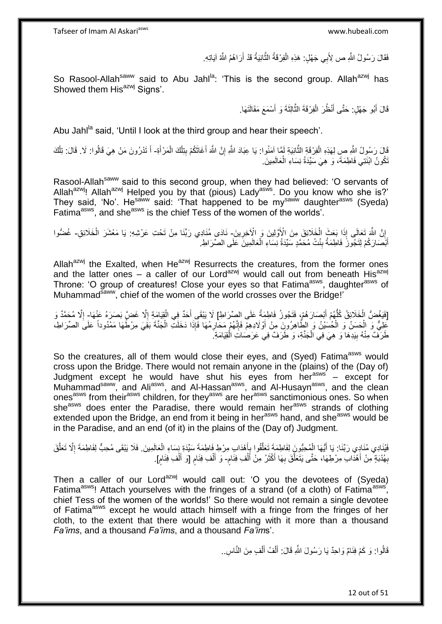Tafseer of Imam Al Askariasws www.hubeali.com

فَقَالَ رَسُولُ اللَّهِ ص لِأَبِي جَهْلٍ: هَذِهِ الْفِرْقَةُ النَّانِيَةُ قَدْ أَرَاهُمُ اللَّهُ آيَاتِهِ. َ ه ْ

So Rasool-Allah<sup>saww</sup> said to Abu Jahl<sup>la</sup>: 'This is the second group. Allah<sup>azwj</sup> has Showed them His<sup>azwj</sup> Signs'.

> قَالَ أَبُو جَهْلٍ: حَتَّى أَنْظُرَ الْفِرْقَةَ الثَّالِثَةَ وَ أَسْمَعَ مَقَالَتَهَا. َ ه ْ َ َ

Abu Jahl<sup>la</sup> said, 'Until I look at the third group and hear their speech'.

ْ قَالَ رَسُولُ اللَّهِ صِ لِهَذِهِ الْفِرْقَةِ الثَّانِيَةِ لَمَّا إِمَنُوا: يَا عِبَادَ اللَّهِ إِنَّ اللَّهَ أَغَاثَكُمْ بِتِلْكَ الْمَرْأَةِ- أَ تَدْرُونَ مَنْ هِيَ قَالُوا: لَا. قَالَ: تِلْك ِ َ ِ ه ْ َ ْ ْ نَكُونُ ابْنَتِي فَاطِمَةَ، وَ هِيَ سَيِّدَةُ نِسَاءِ الْعَالَمِينَ. ْ

Rasool-Allah<sup>saww</sup> said to this second group, when they had believed: 'O servants of Allah<sup>azwj</sup>! Allah<sup>azwj</sup> Helped you by that (pious) Lady<sup>asws</sup>. Do you know who she is?' They said, 'No'. He<sup>saww</sup> said: 'That happened to be my<sup>saww</sup> daughter<sup>asws</sup> (Syeda) Fatima<sup>asws</sup>, and she<sup>asws</sup> is the chief Tess of the women of the worlds'.

إِنَّ اللَّهَ تَعَالَى إِذَا بَعَثَ الْخَلَائِقَ مِنَ الْإَوَّلِينَ وَ الْإِخِرِينَ- نَادَى مُنَادِي رَبِّنَا مِنْ تَحْتِ عَرْشِهِ: يَا مَعْشَرَ الْخَلَائِقِ- غُضُوا **∶** ْ ْ أَبْصَارَكُمْ لِتَجُوزَ ۖ فَاطِمَةُ بِنْتُ مُحَمَّدٍ سَيِّدَةُ نِسَاءِ الْعَالَمِينَ عَلَى الصِّرَاطِ. ْ ِ َ

Allah<sup>azwj</sup> the Exalted, when He<sup>azwj</sup> Resurrects the creatures, from the former ones and the latter ones – a caller of our Lord<sup>azwj</sup> would call out from beneath His<sup>azwj</sup> Throne: 'O group of creatures! Close your eyes so that Fatima<sup>asws</sup>, daughter<sup>asws</sup> of Muhammad<sup>saww</sup>, chief of the women of the world crosses over the Bridge!'

[فَيَغُضُّ الْخَلَائِقُ كُلُّهُمْ أَبْصَارَهُمْ، فَتَجُوزُ فَاطِمَةُ عَلَى الصِّرَاطِ] لَا يَبْقَى أَحَدٌ فِي الْقِيَامَةِ إِلَّا غَضَّ بَصَرَهُ عَنْهَا- إِلَّا مُحَمَّدٌ وَ ُّ ْ ا<br>ا ْ َ ا<br>ا ْ عَلِيٌّ وَ الْحَسَنُ وَ الْحُسَيْنُ وَ الطِّاهِرُونَ مِنْ أَوْلَادِهِمْ فَإِنَّهُمْ مَحَارِمُهَا فَإِذَا دَخَلَتِّ الْجَنَّةَ بَقِيَ مِرْطُهَا مَمْدُوداً عَلَى الصِّرَاطِ، **∶** ِ اُ ْ طَرَفٌ مِنْهُ بِيَدِهَا وَ هِيَ فِي الْجَنَّةِ، وَ طَرَفٌ فِي عَرَصَاتِ الْقِيَامَةِ َ ْ ْ ِ

So the creatures, all of them would close their eyes, and (Syed) Fatima<sup>asws</sup> would cross upon the Bridge. There would not remain anyone in the (plains) of the (Day of) Judgment except he would have shut his eyes from her<sup>asws</sup> - except for Muhammad<sup>saww</sup>, and Ali<sup>asws</sup>, and Al-Hassan<sup>asws</sup>, and Al-Husayn<sup>asws</sup>, and the clean ones<sup>asws</sup> from their<sup>asws</sup> children, for they<sup>asws</sup> are her<sup>asws</sup> sanctimonious ones. So when she<sup>asws</sup> does enter the Paradise, there would remain her<sup>asws</sup> strands of clothing extended upon the Bridge, an end from it being in her<sup>asws</sup> hand, and she<sup>asws</sup> would be in the Paradise, and an end (of it) in the plains of the (Day of) Judgment.

فَيُنَادِي مُنَادِي رَبِّنَا: يَا أَيُّهَا الْمُحِبُّونَِ لِفَاطِمَةَ تَعَلَّقُوا بِأَهْدَابِ مِرْطِ فَاطِمَةَ سَيِّدَةِ نِِسَاءِ الْعَالَمِينَ. فَلَا يَبْقَى مُحِبٌّ لِفَاطِمَةَ إِلَّا تَعَلَّقَ َ ِ ه ْ ه ِ ْ بِهُدْبَةٍ مِنْ أَهْدَابِ مِرْطِهَا، حَتَّى يَتَعَلَّقَ بِهَا أَكْثَرُ مِنْ أَلْفِ فِئَام- وَ أَلْفِ فِئَام [وَ أَلْفِ فِئَام]. َ ِ ٍ ْ َ َ َ ِ ه ֧֖֖֚֚֚֓֝֬֝ ْ َ ֧֧֚֓֝֝֓֝ ْ َ

Then a caller of our Lord<sup>azwj</sup> would call out: 'O you the devotees of (Syeda) Fatima<sup>asws</sup>! Attach yourselves with the fringes of a strand (of a cloth) of Fatima<sup>asws</sup>, chief Tess of the women of the worlds!' So there would not remain a single devotee of Fatima<sup>asws</sup> except he would attach himself with a fringe from the fringes of her cloth, to the extent that there would be attaching with it more than a thousand *Fa'ims*, and a thousand *Fa'ims*, and a thousand *Fa'im*s'.

> قَالُوا: وَ كَمْ فِئَامٌ وَاحِدٌ يَا رَسُولَ النَّهِ قَالَ: أَلْفُ أَلْفٍ مِنَ النَّاسِ.. ْ َ ْ َ

> > 12 out of 51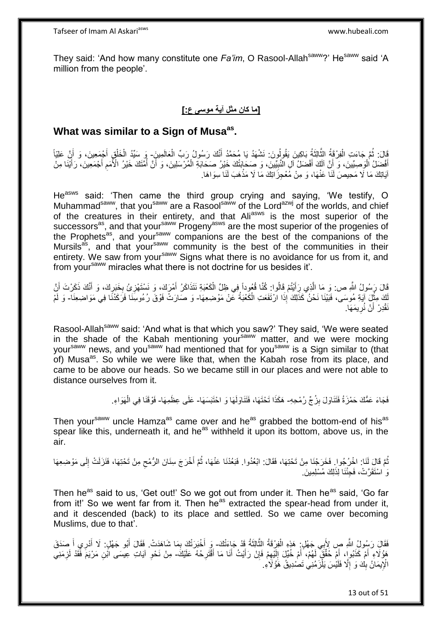They said: 'And how many constitute one *Fa'im*, O Rasool-Allah<sup>saww</sup>?' He<sup>saww</sup> said 'A million from the people'.

#### **]ما كان مثل آية موسى ع:[**

## **What was similar to a Sign of Musaas .**

َالَ: ثُمَّ جَاءَتِ الْفِرْقَةُ الثَّالِثَةُ بَاكِينَ يَقُولُونَ: نَشْهَدُ يَا مُحَمَّدُ أَنَّكَ رَسُولُ رَبِّ الْعَالَمِينَ- وَ سَيِّدُ الْخَلْقِ أَجْمَعِينَ، وَ أَنَّ عَلِيَّاً ْ َ َ ه ْ َ َ ْ ْ أَفْضَلُ الْوَصِيِّينَ، وَ ۖ أَنَّ ٱلْكَ أَفْضَلُ اللَّهِ النَّبِيِّينَ، وَ صِحَابَتُكَ خَيْرُ صَحَابَةِ الْمُرْسَلِينَ، وَ أَنَّ أُمَّتَكَ خَيْرُ الْأَمَمِ أَجْمَعِينَ، رَأَيْنَا مِنْ ا<br>ا ُ َ ْ ِ َ َ َ ِ آيَاتِكَ مَا لَا مَحِيصَ لَنَا عَنْهَا، وَ مِنْ مُعْجِزَاتِكَ مَا لَا مَذْهَبَ لَنَا سِوَاهَا. **ٔ:** 

He<sup>asws</sup> said: 'Then came the third group crying and saying, 'We testify, O Muhammad<sup>saww</sup>, that you<sup>saww</sup> are a Rasool<sup>saww</sup> of the Lord<sup>azwj</sup> of the worlds, and chief of the creatures in their entirety, and that Aliasws is the most superior of the successors<sup>as</sup>, and that your<sup>saww</sup> Progeny<sup>asws</sup> are the most superior of the progenies of the Prophets<sup>as</sup>, and your<sup>saww</sup> companions are the best of the companions of the Mursils<sup>as</sup>, and that your<sup>saww</sup> community is the best of the communities in their entirety. We saw from your<sup>saww</sup> Signs what there is no avoidance for us from it, and from your<sup>saww</sup> miracles what there is not doctrine for us besides it'.

قَالَ رَسُولُ اللَّهِ ص: وَ مَا الَّذِي رَأَيْتُمْ قَالُوا: كُنَّا قُبُوداً فِي ظِلِّ الْكَعْبَةِ نَتَذَاكَرُ أَمْرَكَ، وَ نَسْتَهْزِئُ بِخَبَرِكَ، وَ أَنَّكَ ذَكَرْتَ أَنَّ َ ْ ه ِ َ َ ِ ِ اَكَ مِثْلَ آيَةِ مُوسَى، فَبَيْنَا نَحْنُ كَذَلِكَ إِذَا ارْتَفَعَتِ الْكَعْبَةُ عَنْ مَوْضِعِهَا- وَ صَارَتْ فَوْقَ رُءُوسِنَا فَرَكَدْنَا فِي مَوَاضِعِنَا- وَ لَمْ **ٔ ئا** ْ نَقْدِرْ أَنْ نُرِيمَهَا. ِ َ

Rasool-Allah<sup>saww</sup> said: 'And what is that which you saw?' They said, 'We were seated in the shade of the Kabah mentioning yoursaww matter, and we were mocking your<sup>saww</sup> news, and you<sup>saww</sup> had mentioned that for you<sup>saww</sup> is a Sign similar to (that of) Musa<sup>as</sup>. So while we were like that, when the Kabah rose from its place, and came to be above our heads. So we became still in our places and were not able to distance ourselves from it.

> فَجَاءَ عَمُّكَ حَمْزَةُ فَتَنَاوَلَ بِزُجٍّ رُمْحِهِ- هَكَذَا تَحْتَهَا، فَتَنَاوَلَهَا وَ احْتَبَسَهَا- عَلَى عِظَمِهَا- فَوْقَنَا فِي الْهَوَاءِ. **ِ** ْ

Then your<sup>saww</sup> uncle Hamza<sup>as</sup> came over and he<sup>as</sup> grabbed the bottom-end of his<sup>as</sup> spear like this, underneath it, and he<sup>as</sup> withheld it upon its bottom, above us, in the air.

نُّمَّ قَالَ لَنَا: اخْرُجُوا ِ فَخَرَجْنَا مِنْ تَحْتِهَا، فَقَالَ: ابْعُدُوا. فَبَعُدْنَا عَنْهَا، ثُمَّ أَخْرَجَ سِنَانَ الرُّمْحِ مِنْ تَحْتِهَا، فَنَزَلَتْ إِلَى مَوْضِعِهَا ِ َ ُ لَ ِ وَ اسْتَقَرَّتْ، فَجِئْنَا لِذَلِكَ مُسْلِمِينَ

Then he<sup>as</sup> said to us, 'Get out!' So we got out from under it. Then he<sup>as</sup> said, 'Go far from it!' So we went far from it. Then  $he^{as}$  extracted the spear-head from under it, and it descended (back) to its place and settled. So we came over becoming Muslims, due to that'.

فَقَالَ رَسُولُ اللَّهِ صٍ لِأَبِي جَهْلٍ ۚ هَذِهِ الْفِرْقَةُ الثَّالِثَةُ قَدْ جَاءَتْكَ- وَ أَخْبَرَتْكَ بِمَا شَاهَدَتْ. فَقَالَ أَبُو جَهْلٍ: لَا أَدْرِي أَ صَدَقَ َ ه ْ َ ِي أ َ َ ِ َ هَؤُلَاءِ ۖ أَمْ كَذَبُواٍ، أَمْ حُقَّقَ لَهُمْ، أَمْ خُيّلٍ إِلَّذِهِمْ فَإِنْ رَأَيْتُ أَنَا مَا أَقْتَرِحُهُ عَلَيْكَ- مِنْ نَحْوِ آيَاتِ عِيسَى ابْنِ مَرْيَمَ فَقَدْ لَزِمَنِي َ ِ ِ لَ  $\ddot{\phantom{a}}$ َ َ ا<br>ا **ٍ** َ **∶** ِ الْإِيمَانُ بِكَ وَ إِلَّا فَلَيْسَ يَلْزَمُنِي تَصْدِيقُ هَؤُلَاءِ. ْ יִי<br>י **!** 

13 out of 51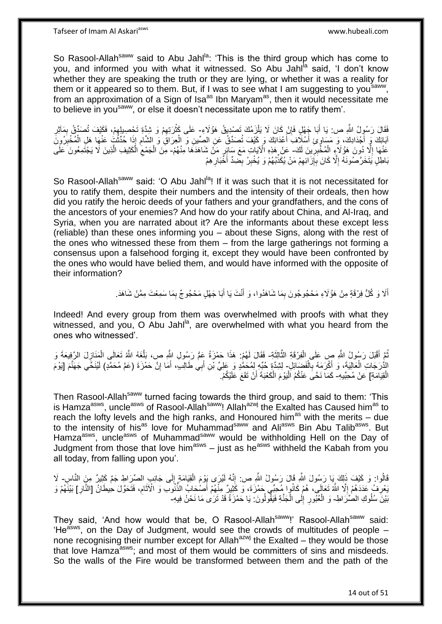Tafseer of Imam Al Askariasws www.hubeali.com

So Rasool-Allah<sup>saww</sup> said to Abu Jahl<sup>la</sup>: 'This is the third group which has come to you, and informed you with what it witnessed. So Abu Jahl<sup>la</sup> said, 'I don't know whether they are speaking the truth or they are lying, or whether it was a reality for them or it appeared so to them. But, if I was to see what I am suggesting to you<sup>saww</sup>, from an approximation of a Sign of Isa<sup>as</sup> Ibn Maryam<sup>as</sup>, then it would necessitate me to believe in yousaww, or else it doesn't necessitate upon me to ratify them'.

فَقَالَ رَسُولُ اللَّهِ ص: يَا أَبَا جَهْلٍ فَإِنْ كَانَ لَا يَلْزَمُكَ تَصْدِيقُ هَؤُلَاءِ- عَلَى كَثْرَتِهِمْ وَ شِدَّةِ تَحْصِبِلِهِمْ، فَكَيْفَ تُصَدِّقُ بِمَآثِرِ ْ ِ َ ِ ِ ِ ِ **ٔ** ابَائِكَ وَ أَجْدَادِكَ، وَ مَسَاوٍ عِ أَسْلَافَ أَعْدَائِكَ وَ كَيْفَ تُصَدِّقُ عَنِ الصِّينِ وَ الْعِرَاقِ وَ الشَّامِ إِذَا حُدِّثْتٍ عَنْهَا هَلِ الْمُخْبِرُونَّ ِ ْ َ اُ، ِ ْ ا<br>ئا عَنْهَا إِلَّا دُونَ هَؤُلَاءٍ الْمُخْبِرِينَ لَكَ- عَنْ هَذِهِ الْآيَاتِ مَعَ سَائِرٍ مَنْ شَاهَدَهَا مِنْهُمْ- مِنَ الْجَمْعِ الْكَثِيفِ الَّذِينَ لَا يَجْتَمِعُونَ عَلَى  $\ddot{\phantom{a}}$ ِ ْ ِ ه ْ ِ ْ بَاطِلٍ يَتَخَرَّصُونَهُ إِلَّا كَانَ بِإِزَالَهِمْ مَنْ يُكَذِّبُهُمْ وَ يُخْبِرُ بِحْمِدٍّ أَخَّبَارِ هِمْ ِ ِ ِ **∶** ِ ِ َ ِ

So Rasool-Allah<sup>saww</sup> said: 'O Abu Jahl<sup>la</sup>! If it was such that it is not necessitated for you to ratify them, despite their numbers and the intensity of their ordeals, then how did you ratify the heroic deeds of your fathers and your grandfathers, and the cons of the ancestors of your enemies? And how do your ratify about China, and Al-Iraq, and Syria, when you are narrated about it? Are the informants about these except less (reliable) than these ones informing you – about these Signs, along with the rest of the ones who witnessed these from them – from the large gatherings not forming a consensus upon a falsehood forging it, except they would have been confronted by the ones who would have belied them, and would have informed with the opposite of their information?

> أَلَا وَ كُلُّ فِرْقَةٍ مِنْ هَؤُلَاءِ مَحْجُوجُونَ بِمَا شَاهَدُوا، وَ أَنْتَ يَا أَبَا جَهْلٍ مَحْجُوجٌ بِمَا سَمِعْتَ مِمَّنْ شَاهَدَ. َ ِ َ َ ِ

Indeed! And every group from them was overwhelmed with proofs with what they witnessed, and you, O Abu Jahl $a$ , are overwhelmed with what you heard from the ones who witnessed'.

نُّمَّ أَقْبَلَ رَسُولُ اللَّهِ صٍ عَلَى الْفِرْقَةِ الثَّالِثَةِ- فَقَالَ لَهُمْ: هَذَا حَمْزَةُ عِمُّ رَسُولِ اللَّهِ ص، بَلَّغَهُ اللَّهُ تَعَالَى الْمَنَازِلَ الرَّفِيعَةَ وَ َ ه ْ ِ ْ ه الدُّرَجَاتِ الْعَالِيَةَ، وَ أَكْرَمَهُ بِالْفَصَائِلِ- لِشِدَّةٍ حُبِّهِ لِمُحَمُّدٍ وَ عَلِيِّ بْنِ أَبِي طَالِبٍ، أَمَا إِنَّ حَمْزَةَ (عَمَّ مُحَمَّدٍ) لَيُنَخَّي جَهَنَّمَ [يَوْمَ ْ ِ ْ ِ َ َ الْقِيَامَةِ] عَنْ مُحِبِّيهِ- كَمَا نَحَّىَ عَنْكُمُ الْيَوْمَ الْكَعْبَةَ أَنْ نَقَعَ عَلَيْكُمْ. ۖ :<br>ا اُ ْ ْ

Then Rasool-Allah<sup>saww</sup> turned facing towards the third group, and said to them: 'This is Hamza<sup>asws</sup>, uncle<sup>asws</sup> of Rasool-Allah<sup>saww</sup>! Allah<sup>azwj</sup> the Exalted has Caused him<sup>as</sup> to reach the lofty levels and the high ranks, and Honoured him<sup>as</sup> with the merits – due to the intensity of his<sup>as</sup> love for Muhammad<sup>saww</sup> and Ali<sup>asws</sup> Bin Abu Talib<sup>asws</sup>. But Hamza<sup>asws</sup>, uncle<sup>asws</sup> of Muhammad<sup>saww</sup> would be withholding Hell on the Day of Judgment from those that love him<sup>asws</sup>  $-$  just as he<sup>asws</sup> withheld the Kabah from you all today, from falling upon you'.

قَالُوا: وَ كَيْفَ ذَلِكَ بِمَا رَسُولَ اللَّهِ قَالَ رَسُولُ اللَّهِ صِ. إِنَّهُ لَيُرَى يَوْمَ الْقِيَامَةِ إِلَى جَانِبِ الصِّرَاطِ جَمٌّ كَثِيرٌ مِنَ النَّاسِ- لَا ∣∣<br>∶ ْ ِ بَعْرِفُ عَدَدَهُمْ إِلَّا اللَّهُ تَعَالَى، هُمْ كَانُوا مِمْحِبِّي حَمْزَةَ، وَ كََثِيرٌ مِنْهُمْ أَصْحَابُ الذُّنُوب وَ الْآثَامِ، فَتَحَوَّلَ حِيطَانٌ [النَّارِ] بَيْنَهُمْ وَ َ  $\ddot{\phantom{a}}$ ِ ِ ِ َ بَيْنَ سُلُوكِ الصُّرَاطِ- وَ الْعُبُورِ إِلَى الْجَنَّةِ فَيَقْولُونَ: يَا حَمْزَةُ قَدْ تَرَىٰ مَا نَحْنُ فِيهِ-ْ  $\frac{1}{2}$ ِ

They said, 'And how would that be, O Rasool-Allah<sup>saww</sup>!' Rasool-Allah<sup>saww</sup> said: 'He<sup>asws</sup>, on the Day of Judgment, would see the crowds of multitudes of people  $$ none recognising their number except for Allah<sup>azwj</sup> the Exalted – they would be those that love Hamza<sup>asws</sup>; and most of them would be committers of sins and misdeeds. So the walls of the Fire would be transformed between them and the path of the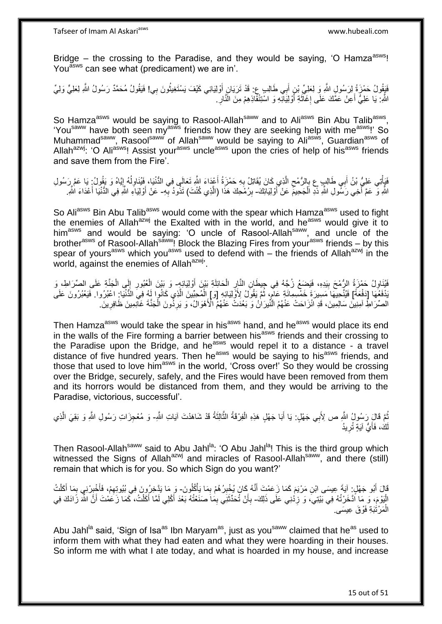Tafseer of Imam Al Askariasws www.hubeali.com

Bridge – the crossing to the Paradise, and they would be saying, 'O Hamza<sup>asws</sup>! You<sup>asws</sup> can see what (predicament) we are in'.

فَيَقُولُ حَمْزَةُ لِرَسُولِ اللَّهِ وَ لِعَلِيِّ بْنِ أَبِي طَالِبٍ عِ ۚ قَدْ تَرَيَانِ أَوْلِيَائِي كَيْفَ يَسْتَغِيثُونَ بِي! فَيَقُولُ مُحَمَّدٌ رَسُولُ اللَّهِ لِعَلِيٍّ وَلِيٍّ ا<br>ا َ َ اللَّهِ: يَا عَلِيُّ أَعِنْ عَمَّكَ عَلَى إِغَاثَةِ أَوْلِيَانَّهِ وَ اسْتِنْقَاذِهِمْ مِنَ النَّارِ . ِ َ ٔ, ِ َ

So Hamza<sup>asws</sup> would be saying to Rasool-Allah<sup>saww</sup> and to Ali<sup>asws</sup> Bin Abu Talib<sup>asws</sup>, 'You<sup>saww</sup> have both seen my<sup>asws</sup> friends how they are seeking help with me<sup>asws</sup>!' So Muhammad<sup>saww</sup>, Rasool<sup>saww</sup> of Allah<sup>saww</sup> would be saying to Ali<sup>asws</sup>, Guardian<sup>asws</sup> of Allah<sup>azwj</sup>: 'O Ali<sup>asws</sup>! Assist your<sup>asws</sup> uncle<sup>asws</sup> upon the cries of help of his<sup>asws</sup> friends and save them from the Fire'.

فَيَأْتِي عَلِيُّ بْنُ أَبِي طَالِبٍ عِ بِالرُّمْحِ الَّذِي كَانَ يُقَاتِلُ بِهِ حَمْزَةُ أَعْدَاءَ اللَّهِ تَعَالَى فِي الدُّنْيَا، فَيُنَاوِلُهُ إِيَّاهُ وَ يَقُولُ بَا عَمَّ رَسُولِ َ ِ ه ِ ِ َ ֧֦֧֦֧֦֧֦֧֦֧֦֧֦֧֦֧֦֧֦֧֦֧֧֦֧֦֧֦֦֧֧֧֧֧֧֦֧֧֦֧֦֧֘֝֟֓֓֓֓֓֓֓֓֓֞֓֓֞֓֓֓֓֓֓֓֓֓֓֡֬֓֓֓֓֞֓֬֓֓֡֬֓֓֓֓֓֓֓֓֓ ِ ا<br>ا ِ اللَّهِ وَ ۖ عَمَّ أَخِي رَسِّولِ اللَّهِ ذُدِ اَلْجَحِيمَ عَنْ أَوْلِيَانَكَ- بِرُمْحِكَ هَذَا (الَّذِي كُنْتَ) تَذُودُ بِّهِ- عَنْ أَوْلِيَاءِ اللَّهِ فِي الدُّنْيَا أَعْدَاءَ اللَّهِ ْ :<br>|<br>| **∶** ه ِ َ َ

So Ali<sup>asws</sup> Bin Abu Talib<sup>asws</sup> would come with the spear which Hamza<sup>asws</sup> used to fight the enemies of Allah<sup>azwj</sup> the Exalted with in the world, and he<sup>asws</sup> would give it to him<sup>asws</sup> and would be saying: 'O uncle of Rasool-Allah<sup>saww</sup>, and uncle of the brother<sup>asws</sup> of Rasool-Allah<sup>saww</sup>! Block the Blazing Fires from your<sup>asws</sup> friends – by this spear of yours<sup>asws</sup> which you<sup>asws</sup> used to defend with – the friends of Allah<sup>azwj</sup> in the world, against the enemies of Allah<sup>azwj</sup>.

َفَيْذَاوِلُ حَمْزَةُ الرُّمْحَ بِيَدِهِ، فَيَضِعُ زُجَّهُ فِي جِيطَانِ النَّارِ الْحَائِلَةِ بَيْنَ أَوْلِيَائِهٍ وَ بَيْنَ الْعُبُورِ إِلَى الْجَنَّةِ عَلَى الصِّرَاطِ، وَ َ ْ ِ **!** ِ ْ ِ **∶** َدْفَعُهَا [دَفْعَةً] فَيُتَّحِيهَا مَسِيرَةَ خَمْسِمِائَةٍ عَامٍّ، ثُمَّ يَقُولُ لِأَوْلِيَائِهِ [وَ] الْمُحِبِّينَ الَّذِي كَانُوا لِّهِ فِي الذُّنْيَا: اعْبُرُوا. فَيَعْبُرُونَ عَلَى .<br>• • • • ֧֧֧֧֝֝֓֝֓֝֓׆֧ ه ْ الْصِّرَ اطِّ آمِنِينَ سَالِمِينَ، قَدِ انْزَاحَتْ عَنْهُمُ النِّيرَانُ وَ بَعُدَتْ عَنْهُمُ الْأَهْوَالُ، وَ يَرِدُونَ الْجَنَّةَ غَانِمِينَ ظَافِرِينَ ۖ ِ ْ **ٍ** 

Then Hamza<sup>asws</sup> would take the spear in his<sup>asws</sup> hand, and he<sup>asws</sup> would place its end in the walls of the Fire forming a barrier between his<sup>asws</sup> friends and their crossing to the Paradise upon the Bridge, and he<sup>asws</sup> would repel it to a distance - a travel distance of five hundred years. Then he<sup>asws</sup> would be saying to his<sup>asws</sup> friends, and those that used to love him<sup>asws</sup> in the world, 'Cross over!' So they would be crossing over the Bridge, securely, safely, and the Fires would have been removed from them and its horrors would be distanced from them, and they would be arriving to the Paradise, victorious, successful'.

نُّعَ قَالٍ رَسُولُ اللَّهِ ص لِأَبِي جَهْلٍ: يَا أَبَا جَهْلٍ هَذِهِ الْفِرْقَةُ الثَّالِثَةُ قَدْ شَاهَدْتَ آيَاتِ اللَّهِ- وَ مُعْجِزَاتِ رَسُولِ اللَّهِ وَ بَقِيَ الَّذِي ُ َ ه ْ َ ه كَ، فَأَيُّ آيَةٍ تُرِيدُ ِ :<br>أ لَ

Then Rasool-Allah<sup>saww</sup> said to Abu Jahl<sup>la</sup>: 'O Abu Jahl<sup>la</sup>! This is the third group which witnessed the Signs of Allah<sup>azwj</sup> and miracles of Rasool-Allah<sup>saww</sup>, and there (still) remain that which is for you. So which Sign do you want?'

ْفَالَ أَبُو جَهْلٍ: آيَةً عِيسَى ابْنِ مَرْيَمَ كَمَا زَعَمْتَ أَنَّهُ كَانَ يُخْبِرُ هُمْ بِمَا يَأْكُلُونَ- وَ مَا يَذَخِرُونَ فِي بُيُوتِهِمْ، فَأَخْبِرْنِي بِمَا أَكَلْتُ ِ ِ َ َ ة<br>أ ْ َ ِ ِ َ ِ الْيَوْمَ، وَ مَا أَدَّخَرْتُهُ فِي بَيْتِيَ، وَ زِدْنِي عَلَى ذَلِكَ- بِأَنْ تُحَدِّثَنِي بِمَا صَنَعْتُهُ بَعْدَ أَكْلِي لَمَّا أَكَلْتُ، كَمَا زَعَمْتَ أَنَّ الثَّهَ زَادَكَ فِي ِ :<br>ا َ ْ َ َ ِ َ أ ِ الْمَرْتَبَةِ فَوْقَ عِيسَى ْ

Abu Jahl<sup>la</sup> said, 'Sign of Isa<sup>as</sup> Ibn Maryam<sup>as</sup>, just as you<sup>saww</sup> claimed that he<sup>as</sup> used to inform them with what they had eaten and what they were hoarding in their houses. So inform me with what I ate today, and what is hoarded in my house, and increase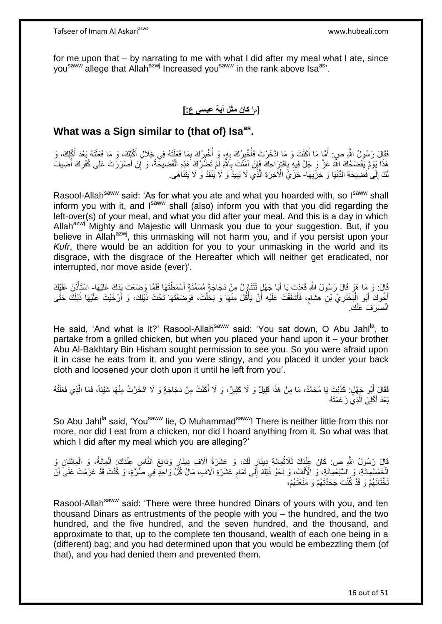for me upon that – by narrating to me with what I did after my meal what I ate, since you<sup>saww</sup> allege that Allah<sup>azwj</sup> Increased you<sup>saww</sup> in the rank above Isa<sup>as</sup>'.

## ]م**ا كان مثل آية عيسى ع:[**

## **What was a Sign similar to (that of) Isaas .**

فَقَالَ رَسُولُ اللَّهِ صِ: أَمَّا مَا أَكَلْتَ وَ مَا ادَّخَرْتَ فَأُخْبِرُكَ بِهِ، وَ أُخْبِرُكَ بِمَا فَعَلْتَهُ فِي خِلَالِ أَكْلِكَ، وَ مَا فَعَلْتَهُ بَعْدَ أَكْلِكَ، وَ ْ ِ ِ **∶** ِ اً<br>ا ْ َ َ َ ْ َ هَذَا يَوْمٌ يَفْضَحُكَ اللَّهُ عَزَّ وَ جَلَّ فِيهِ بِاقْتِزِاحِكَ فَإِنْ آمَنْتَ بِاللَّهِ لَمْ تَضُرَّكَ هَذِهِ الْفَضِيحَةُ، وَ إِنْ أَصْرَرْتَ عَلَى كُفْرِكَ أُضِيفَ ِ ِ ُ ِ ِ ْ ِ لَكَ إِلَى فَضِيحَةِ الدُّنْيَا وَ خِزْيِهَا- خِزْيُ الْأَخِرَةِ الَّذِي لَا يَبِيدُ وَ لَا يُنْفَدُ وَ لَا يَتَنَاهَى ِ ∣∣<br>∶ **!** ه

Rasool-Allah<sup>saww</sup> said: 'As for what you ate and what you hoarded with, so I<sup>saww</sup> shall inform you with it, and  $I<sup>saww</sup>$  shall (also) inform you with that you did regarding the left-over(s) of your meal, and what you did after your meal. And this is a day in which Allah<sup>azwj</sup> Mighty and Majestic will Unmask you due to your suggestion. But, if you believe in Allah<sup>azwj</sup>, this unmasking will not harm you, and if you persist upon your *Kufr*, there would be an addition for you to your unmasking in the world and its disgrace, with the disgrace of the Hereafter which will neither get eradicated, nor interrupted, nor move aside (ever)'.

قَالَ: وَ مَا هُوَ قَالَ رَسُولُ اللَّهِ فَعَدْتَ يَا أَبَا جَهْلٍ تَتَنَاوَلُ مِنْ دَجَاجَةٍ مُسَمَّنَةٍ أَسْمَطْتَهَا فَلَمَّا وَضَعْتَ يَذَكَ عَلَيْهَا- اسْتَأْنَنَ عَلَيْكَ َ َ ْ أَخُوكَ أَبُو الْبَخْتَرِيِّ بْنِ هِشَامٍ، فَأَشْفَقْتَ عَلَيْهِ أَنْ يَأْكُلَ مِنْهَا وَ بَخِلْتَ، فَوَضَعْتَهَا تَحْتَ ذَيْلِكَ، وَ أَرْخَيْتَ عَلَيْهَا ذَيْلَكَ حَتَّى اُز ٍ **∶** :<br>ا َ .<br>: َ ْ انْصَرَفَ عَنْكَ.

He said, 'And what is it?' Rasool-Allah<sup>saww</sup> said: 'You sat down, O Abu Jahl<sup>la</sup>, to partake from a grilled chicken, but when you placed your hand upon it – your brother Abu Al-Bakhtary Bin Hisham sought permission to see you. So you were afraid upon it in case he eats from it, and you were stingy, and you placed it under your back cloth and loosened your cloth upon it until he left from you'.

فَقَالَ أَبُو جَهْلٍ. كَذَبْتَ يَا مُحَمَّدُ، مَا مِنْ هَذَا قَلِيلٌ وَ لَا كَثِيرٌ، وَ لَا أَكَلْتُ مِنْ دَجَاجَةٍ وَ لَا اذَّخَرْتُ مِنْهَا شَيْئاً، فَمَا الَّذِي فَعَلْتُهُ ْ ْ ه بَعْدَ أَكْلِيَ الَّذِيَّ زَعَمْتَهُ ه

So Abu Jahl<sup>la</sup> said, 'You<sup>saww</sup> lie, O Muhammad<sup>saww</sup>! There is neither little from this nor more, nor did I eat from a chicken, nor did I hoard anything from it. So what was that which I did after my meal which you are alleging?'

قَالَ رَسُولُ النَّهِ ص: كَانَ عِنْدَكَ ثَلَاثُمِائَةِ دِينَارٍ لَكَ، وَ عَشَرَةُ آلَافِ دِينَارٍ وَدَائِعَ النَّاسِ عِنْدَكَ. الْمِائَةُ، وَ الْمِائَتَانِ وَ<br>فَيَنْ زَيْرَةٍ وَ الْمَائِتَانِ وَ يَقْوَلُ النَّاسِيِّ وَ عَ ُ ْ ْ الْخَمْسُمِائَةِ، وَ السَّبْعُمِائَةِ، وَ الْأَلْفُ، وَ نَحْوُ ذَلِكَ إِلَى تَمَام عَشَرَةِ الَافٍ، مَالُ كُلِّ وَاحِدٍ فِي صُرَّةٍ، وَ كُنْتَ قَدْ عَزَمْتَ عَلَى أَنْ ِ  $\frac{1}{2}$ ْ َ تَخْتَانَهُمْ وَ قَدْ كُنْتَ جَحَدْتَهُمْ وَ مَنَعْتَهُمْ،

Rasool-Allah<sup>saww</sup> said: 'There were three hundred Dinars of yours with you, and ten thousand Dinars as entrustments of the people with you – the hundred, and the two hundred, and the five hundred, and the seven hundred, and the thousand, and approximate to that, up to the complete ten thousand, wealth of each one being in a (different) bag; and you had determined upon that you would be embezzling them (of that), and you had denied them and prevented them.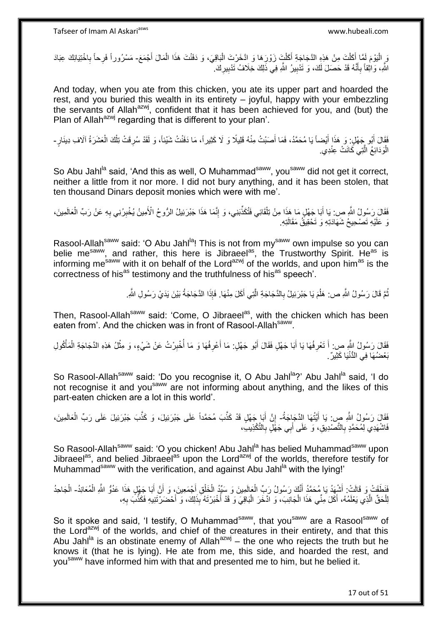مَ الْيَوْمَ لَمَّا أَكَلْتَ مِنْ هَذِهِ الدَّجَاجَةِ أَكَلْتَ زَوْرَهَا وَ ادَّخَرْتَ الْبَاقِيَ، وَ دَفَنْتَ هَذَا الْمَالَ أَجْمَعَ- مَسْرُوراً فَرِحاً بِاخْتِيَانِكَ عِبَادَ ْ ْ ْ َ ْ َ َ **∶** اللَّهِ، وَالْقِاً بِأَنَّهُ قَدْ حَصَلَ لَكَ، وَ تَدْبِيرُ اللَّهِ فِي ذَلِكَ خِلَافُ تَدْبِيرِكَ ۚ ِ **!** ِ ֧֞<sup>֓</sup>֚֬֘֩֕׆ **∶** 

And today, when you ate from this chicken, you ate its upper part and hoarded the rest, and you buried this wealth in its entirety – joyful, happy with your embezzling the servants of Allah<sup>azwj</sup>, confident that it has been achieved for you, and (but) the Plan of Allah<sup>azwj</sup> regarding that is different to your plan'.

فَقَالَ أَبُو جَهْلٍ. وَ هَذَا أَيْضاً يَا مُحَمَّدُ، فَمَا أَصَبْتُ مِنْهُ قَلِيلًا وَ لَا كَثِيراً، مَا دَفَنْتُ شَيْئاً، وَ لَقَدْ سُرِقَتْ تِلْكَ الْعَشَرَةُ آلَافِ دِينَارٍ ـ َ ِ ْ الْوَدَائِعُ الَّتِي كَانَتْ عِنْدِي. ه :<br>ا

So Abu Jahl<sup>la</sup> said, 'And this as well, O Muhammad<sup>saww</sup>, you<sup>saww</sup> did not get it correct, neither a little from it nor more. I did not bury anything, and it has been stolen, that ten thousand Dinars deposit monies which were with me'.

فَقَالَ رَسُولُ اللَّهِ ص: يَا أَبَا جَهْلٍ مَا هَذَا مِنْ تِلْقَائِي فَتُكَذِّبَنِي، وَ إِنَّمَا هَذَا جَبْرَئِيلُ الرُّوحُ الْأَمِينُ يُخْبِرُنِي بِهِ عَنْ رَبِّ الْعَالَمِينَ، ِ ْ َ **∶** ِ ْ نَ عَلَيْهِ تَصْحِيحُ شَهَادَتِهِ وَ تَحْقِيقُ مَقَالَتِهِ.

Rasool-Allah<sup>saww</sup> said: 'O Abu Jahl<sup>la</sup>! This is not from my<sup>saww</sup> own impulse so you can belie me<sup>saww</sup>, and rather, this here is Jibraeel<sup>as</sup>, the Trustworthy Spirit. He<sup>as</sup> is informing me<sup>saww</sup> with it on behalf of the Lord<sup>azwj</sup> of the worlds, and upon him<sup>as</sup> is the correctness of his<sup>as</sup> testimony and the truthfulness of his<sup>as</sup> speech'.

> نُّمَّ قَالَ رَسُولُ اللَّهِ ص: هَلُمَ يَا جَبْرَئِيلُ بِالدَّجَاجَةِ الَّتِي أَكَلَ مِنْهَا. فَإِذَا الذَّجَاجَةُ بَيْنَ يَدَيْ رَسُولِ اللَّهِ. ُ ُ ه ِ

Then, Rasool-Allah<sup>saww</sup> said: 'Come, O Jibraeel<sup>as</sup>, with the chicken which has been eaten from'. And the chicken was in front of Rasool-Allah<sup>saww</sup>.

فَقَالَ رَسُولُ النَّهِ ص: أَ تَعْرِفُهَا يَا أَبَا جَهْلٍ فَقَالَ أَبُو جَهْلٍ: مَا أَعْرِفُهَا وَ مَا أُخْبِرْتُ عَنْ شَيْءٍ، وَ مِثْلُ هَذِهِ الدَّجَاجَةِ الْمَأْكُولِ َ ِ َ ِ ا<br>أ **∶** َ َ ْ ْ **ٔ** بَعْضُهَا فِي الْدُّنْيَا كَثِيرٌ .

So Rasool-Allah<sup>saww</sup> said: 'Do you recognise it, O Abu Jahl<sup>la</sup>?' Abu Jahl<sup>la</sup> said, 'I do not recognise it and you<sup>saww</sup> are not informing about anything, and the likes of this part-eaten chicken are a lot in this world'.

فَقَالَ رَسُولُ اللَّهِ صِ: يَا أَيَّتُهَا الذَّجَاجَةُ- إِنَّ أَبَا جَهْلٍ قَدْ كَذَّبَ مُحَمَّداً عَلَى جَبْرَئِيلَ، وَ كَذَّبَ جَبْرَئِيلَ عَلَى رَبِّ الْعَالَمِينَ، َ َ ِ ْ فَاشْهَدِي لِمُحَمَّدٍ بِالنَّصْدِيقِ، وَ عَلَى أَبِي جَهْلٍ بِالنَّكْذِيبِ، ِ َ **∶** 

So Rasool-Allah<sup>saww</sup> said: 'O you chicken! Abu Jahl<sup>la</sup> has belied Muhammad<sup>saww</sup> upon Jibraeel<sup>as</sup>, and belied Jibraeel<sup>as</sup> upon the Lord<sup>azwj</sup> of the worlds, therefore testify for Muhammad<sup>saww</sup> with the verification, and against Abu Jahl<sup>la</sup> with the lying!'

فَلَطَقَتْ وَ قَالَتْ. أَشْهَدُ يَا مُحَمَّدُ أَنَّكَ رَسُولُ رَبِّ الْعَالَمِينَ وَ سَنِّدُ الْخَلْقِ أَجْمَعِينَ، وَ أَنَّ أَبَا جَهْلٍ هَذَا عَدُوُّ اللَّهِ الْمُعَانِدُ- الْجَاحِدُ<br>نَفْطَقَتْ وَ قَالَتْ. أَشْهَدُ يَا َ َ َ ْ ْ ْ َ َ ْ ْ لِلْحَقِّ الَّذِي يَعْلَمُهُ، أَكَلَ مِنِّي هَذَا الْجَانِبَ، وَ ادَّخَرَ الْبَاقِيَ وَ قَدْ أَخْبَرْتَهُ بِذَلِكَ، وَ أَحْضَرْتَنِيهِ فَكَذَّبَ بِهِ، :<br>ا ْ َ ه ِ َ َ

So it spoke and said, 'I testify, O Muhammad<sup>saww</sup>, that you<sup>saww</sup> are a Rasool<sup>saww</sup> of the Lord<sup>azwj</sup> of the worlds, and chief of the creatures in their entirety, and that this Abu Jahl<sup>la</sup> is an obstinate enemy of Allah<sup>azwj</sup> – the one who rejects the truth but he knows it (that he is lying). He ate from me, this side, and hoarded the rest, and you<sup>saww</sup> have informed him with that and presented me to him, but he belied it.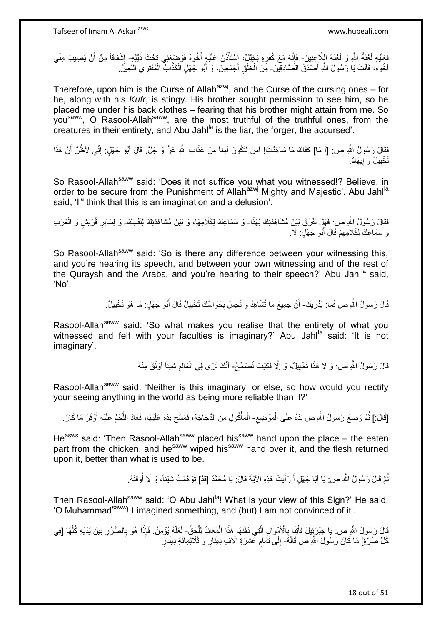فَعَلَيْهِ لَعْنَةُ اللَّهِ وَ لَعْنَةُ اللِّاعِنِينَ- فَإِنَّهُ مَعَ كُفْرِهِ بَخِيْلٌ، اِسْتَأْذَنَ عَلَيْهِ أَخُوهُ فَوَضِعَنِي تَحْتَ ذَيْلِهِ- إِشْفَاقاً مِنْ أَنْ يُصِيبَ مِنِّي َ ْ ِ ِ َ ِ أَخُوهُ، فَأَنْتَ يَا رَسُولَ اللَّهِ أَصْدَقُ الْصَّادِقِينَ۔ مِنَ الْخَلْقِ أَجْمَعِينَ، وَ أَبُو جَهْلٍ الْكَذَّابُ الْمُفْتَرِي اللَّعِينُ. َ َ َ َ ْ ْ ه ْ ْ

Therefore, upon him is the Curse of Allah $a^{2xy}$ , and the Curse of the cursing ones – for he, along with his *Kufr*, is stingy. His brother sought permission to see him, so he placed me under his back clothes – fearing that his brother might attain from me. So you<sup>saww</sup>, O Rasool-Allah<sup>saww</sup>, are the most truthful of the truthful ones, from the creatures in their entirety, and Abu Jahl<sup>la</sup> is the liar, the forger, the accursed'.

فَقَالَ رَسُولُ اللَّهِ ص: [أَ مَا] كَفَاكَ مَا شَاهَدْتَ! آمِنْ لِتَكُونَ آمِنْ عَذَابِ اللَّهِ عَزَّ وَ جَلَّ. قَالَ أَبُو جَهْلٍ: إِنِّي لَأَظُنُّ أَنَّ هَذَا َ َ َ ِ تَخْيِيلٌ وَ إِيهَامٌ. <u>֛</u> ِ

So Rasool-Allah<sup>saww</sup> said: 'Does it not suffice you what you witnessed!? Believe, in order to be secure from the Punishment of Allah<sup>azwj</sup> Mighty and Majestic'. Abu Jahl<sup>la</sup> said.  $I<sup>la</sup>$  think that this is an imagination and a delusion'.

فَقَالَ رَسُولُ اِللَّهِ ص: فَهَلٍ نَفْرُقُ بَيْنَ مُشَاهَدَتِكَ لِهَذَا- وَ سَمَاعِكَ لِكَلامِهَا، وَ بَيْنَ مُشَاهَدَتِكَ لِنَفْسِكَ- وَ لِسَائِرِ قُرَيْشٍ وَ الْعَرَبِ ْ ِ نَ سَمَاعِكَ لِكَلَامِهِمْ قَالَ أَبُو جَهْلٍ: لَا ـ َ ِ

So Rasool-Allah<sup>saww</sup> said: 'So is there any difference between your witnessing this, and you're hearing its speech, and between your own witnessing and of the rest of the Quraysh and the Arabs, and you're hearing to their speech?' Abu Jahl<sup>la</sup> said. 'No'.

> قَالَ رَسُولُ اللَّهِ ص فَمَا: يُدْرِيكَ- أَنَّ جَمِيعَ مَا تُشَاهِدُ وَ تُحِسُّ بِحَوَاسِّكَ تَخْيِيلُ قَالَ أَبُو جَهْلٍ: مَا هُوَ تَخْيِيلُ. ِ َ ِ **∶** اً ِ

Rasool-Allah<sup>saww</sup> said: 'So what makes you realise that the entirety of what you witnessed and felt with your faculties is imaginary?' Abu Jahl<sup>la</sup> said: 'It is not imaginary'.

> قَالَ رَسُولُ اللَّهِ ص: وَ لَا هَذَا تَخْيِيلٌ، وَ إِلَّا فَكَيْفَ تُصَحِّحُ- أَنَّكَ تَرَى فِي الْعَالَمِ شَيْئاً أَوْثَقَ مِنْهُ ِ **!** َ َ ِ ْ َ

Rasool-Allah<sup>saww</sup> said: 'Neither is this imaginary, or else, so how would you rectify your seeing anything in the world as being more reliable than it?'

ِ [قَالَ:] ثُمَّ وَضَعَ رَسُولُ اللَّهِ ص يَدَهُ عَلَى الْمَوْضِعِ- الْمَأْكُولِ مِنَ الدَّجَاجَةِ، فَمَسَحَ يَدَهُ عَلَيْهَا، فَعَادَ اللَّحْمُ عَلَيْهِ أَوْفَرَ مَا كَانَ ْ .<br>• • • • َ ه ْ ْ

He<sup>asws</sup> said: 'Then Rasool-Allah<sup>saww</sup> placed his<sup>saww</sup> hand upon the place – the eaten part from the chicken, and he<sup>saww</sup> wiped his<sup>saww</sup> hand over it, and the flesh returned upon it, better than what is used to be.

> نُمَّ قَالَ رَسُولُ اللَّهِ ص: يَا أَبَا جَهْلٍ أَ رَأَيْتَ هَذِهِ الْآيَةَ قَالَ: يَا مُحَمَّدُ [قَدْ] تَوَهَّمْتُ شَيْئاً، وَ لَا أُوقِنُهُ. َ َ َ ُ ُ

Then Rasool-Allah<sup>saww</sup> said: 'O Abu Jahl<sup>la</sup>! What is your view of this Sign?' He said, 'O Muhammad<sup>saww</sup>! I imagined something, and (but) I am not convinced of it'.

قَالَ رَسُولُ اللَّهِ ص: يَا جَبْرَيَئِيلُ فَأْتِنَا بِالْأَمْوَالِ الَّتِي دَفَنَهَا هَذَا الْمُعَانِدُ لِلْحَقِّ- لَعَلَّهُ يُؤْمِنُ. فَإِذَا هُوَ بِالصُّرُرِ بَيْنَ يَدَيْهِ كُلِّهَا [فِي<br>وَمَا الصُّرُ لِهَ اللَّهِ ص: ْ ْ ْ ه ِ ِّ ِ ِ ه لَ كُلِّ صُرَّةٍ] مَا كَانَ رَسُولُ اللَّهِ ص قَالَهُ- إِلَى تَمَامِ عَشَرَةِ الْاف ِدِينَارٍ وَ ثَلَاثِمِائَةِ دِينَارٍ ِ ِ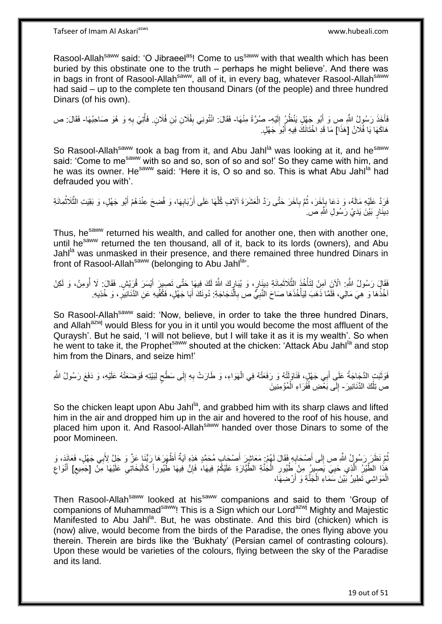Rasool-Allah<sup>saww</sup> said: 'O Jibraeel<sup>as</sup>! Come to us<sup>saww</sup> with that wealth which has been buried by this obstinate one to the truth – perhaps he might believe'. And there was in bags in front of Rasool-Allah<sup>saww</sup>, all of it, in every bag, whatever Rasool-Allah<sup>saww</sup> had said – up to the complete ten thousand Dinars (of the people) and three hundred Dinars (of his own).

فَأَخَذَ رَسُولُ اللَّهِ صِ وَ أَبُو جَهْلٍ يَنْظُرُ إِلَيْهِ- صُرَّةً مِنْهَا- فَقَالَ: انْتُونِي بِفُلَانِ بْنِ فُلَانٍ. فَأَتِيَ بِهِ وَ هُوَ صَاحِبُهَا- فَقَالَ: ص لَ ِ َ َ ِ ا<br>أا  $\frac{1}{2}$ هَاكَهَا يَا فُلَانُ [هَذَا] مَا قَدِ اخْتَانَكَ فِيهِ أَبُوَ جَهْلٍ.

So Rasool-Allah<sup>saww</sup> took a bag from it, and Abu Jahl<sup>la</sup> was looking at it, and he<sup>saww</sup> said: 'Come to me<sup>saww</sup> with so and so, son of so and so!' So they came with him, and he was its owner. He<sup>saww</sup> said: 'Here it is, O so and so. This is what Abu Jahl<sup>la</sup> had defrauded you with'.

فَرَدَّ عَلَيْهِ مَالَهُ، وَ دَعَا بِإِخَرَ، ثُمَّ بِأَخَرَ حَتَّى رَدَّ الْعَشَرَةَ آلَافٍ كُلُّهَا عَلَى أَرْبَابِهَا، وَ فُضِحَ عِنْدَهُمْ أَبُو جَهْلٍ، وَ بَقِيَتِ الثَّلَاثُمِائَةِ ْ ِ ٔ.<br>ـ ِ ا<br>المقام ه َ ِ َ ه دِينَارٍ بَيْنَ يَدَيْ رَسُولِ اللَّهِ ص.

Thus, he<sup>saww</sup> returned his wealth, and called for another one, then with another one, until he<sup>saww</sup> returned the ten thousand, all of it, back to its lords (owners), and Abu Jahl<sup>la</sup> was unmasked in their presence, and there remained three hundred Dinars in front of Rasool-Allah<sup>saww</sup> (belonging to Abu Jahl<sup>la</sup>'.

َفَقَالَ رَسُولُ اللَّهِ. الْآنَِ آمِنْ لِتَأْخُذُ الثَّلَاثَمِائَةِ دِينَارٍ، وَ يُبَارٍكَ اللَّهُ لَكَ فِيهَا حَتَّى تَصِيرٍ أَيْسَرَ قُرَيْشٍ. فَقَالَ: لَا أُومِنُ، وَ لَكِنْ ْ اُ َ Į,  $\ddot{\phantom{0}}$ ه اخُذُهَا وَ هِيَ مَالِي، فَلَمَّا ذَهَبَ لِيَأْخُذَهَا صَاحَ النَّبِيُّ ص بِالَّدَجَاجَةِ: دُونَكَ أَبَا جَهَّلٍ، فَكُفِّيهِ عَنِ الدَّنَانِيرِّ ، وَ خُذِيهِ. َ ه ِ ِ ْ ِ

So Rasool-Allah<sup>saww</sup> said: 'Now, believe, in order to take the three hundred Dinars, and Allah<sup>azwj</sup> would Bless for you in it until you would become the most affluent of the Quraysh'. But he said, 'I will not believe, but I will take it as it is my wealth'. So when he went to take it, the Prophet<sup>saww</sup> shouted at the chicken: 'Attack Abu Jahl<sup>la</sup> and stop him from the Dinars, and seize him!'

فَوَثَبَتٍ الذَّجَاجَةُ عَلَي أَبِي جَهْلٍ، فَنَاوَلَتْهُ وَ رَفَعَتْهُ فِي الْهَوَاءِ، وَ طَارَتْ بِهِ إِلَى سَطْحٍ لِبَيْتِهِ فَوَضَعَتْهُ عَلَيْهِ، وَ دَفَعَ رَسُولُ اللَّهِ ْ َ ة<br>أ ٍ ِ ِ ص تِلْكَ الدَّنَانِيرَ - إِلَى بَعْضِ فُقَرَاءِ الْمُؤْمِنِينَ ْ ∣l<br>∶

So the chicken leapt upon Abu Jahl<sup>la</sup>, and grabbed him with its sharp claws and lifted him in the air and dropped him up in the air and hovered to the roof of his house, and placed him upon it. And Rasool-Allah<sup>saww</sup> handed over those Dinars to some of the poor Momineen.

ُمَّ نَظَرَ رَسُولُ اللَّهِ ص إِلَى أَصْحَابِهِ فَقَالَ لَهُمْ: مَعَاشِرَ أَصْحَابِ مُحَمَّدٍ هَذِهِ آيَةٌ أَظْهَرَهَا رَبُّنَا عَزَّ وَ جَلَّ لِأَبِي جَهْلٍ، فَعَانَذٍ، وَ **∶** َ  $\frac{1}{2}$ ِ َ ْ هَذَا الطَّيْرُ الَّذِي حَيِيَ يَصِيرُ مِنْ طُيُورِ الْجَنَّةِ الطَّيَّارَةِ عَلَيْكُمْ فِيهَا، فَإِنَّ فِيهَا طُيُوراً كَالْبَخَاتِي عَلَيْهَا مِنْ [جَمِيع] أَنْوَاع ∣ļ ْ ِ ِ ه ِ ِ ِ َ الْمَوَاشِي تَطِيرُ بََيْنَ سَمَاءِ الْجَنَّةِ وَ أَرْضِهَا، َ ْ

Then Rasool-Allah<sup>saww</sup> looked at his<sup>saww</sup> companions and said to them 'Group of companions of Muhammad<sup>saww</sup>! This is a Sign which our Lord<sup>azwj</sup> Mighty and Majestic Manifested to Abu Jahl<sup>la</sup>. But, he was obstinate. And this bird (chicken) which is (now) alive, would become from the birds of the Paradise, the ones flying above you therein. Therein are birds like the 'Bukhaty' (Persian camel of contrasting colours). Upon these would be varieties of the colours, flying between the sky of the Paradise and its land.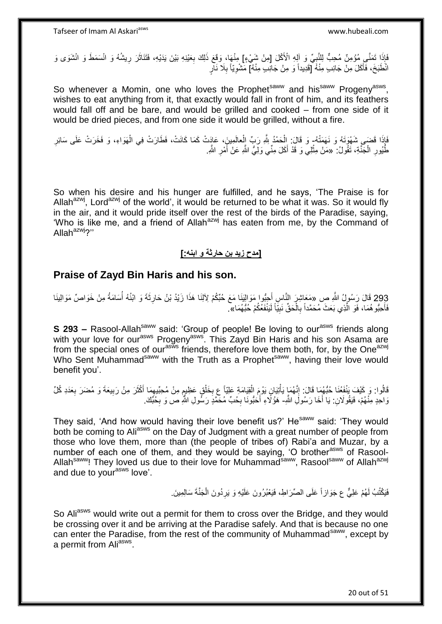فَإِذَا تَمَنَّـي مُؤْمِنٌ مُحِبٌّ لِلنَّبِيِّ وَ آلِهِ الْأَكْلَ [مِنْ شَيْءٍ] مِنْهَا، وَقَعَ ذَلِكَ بِعَيْنِهِ بَيْنَ يَدَيْهِ، فَتَنَاثَرَ رِيشُهُ وَ انْسَمَطَ وَ انْشَوَى وَ ِ **ٔ** ِ َ ِ انْطَبَخَ، فَأَكَلَ مِنْ جَانِبٍ مِنْهُ [قَدِيداً وَ مِنْ جَانِبٍ مِنْهُ] مَشْوِيّاً بِلَا نَآرٍ َ **∶** ِ

So whenever a Momin, one who loves the Prophet<sup>saww</sup> and his<sup>saww</sup> Progeny<sup>asws</sup>, wishes to eat anything from it, that exactly would fall in front of him, and its feathers would fall off and be bare, and would be grilled and cooked – from one side of it would be dried pieces, and from one side it would be grilled, without a fire.

َفَإِذَا قَضَى شُهْوَتَهُ وَ نَهَمَتْهُ- وَ قَالَ: اِلْحَمْدُ اِللَّهِ رَبِّ اِلْعالَمِينَ، عَادَتْ كَمَا كَانَتْ، فَطَارَتْ فِي الْهَوَاءِ، وَ فَخَرَتْ عَلَى سَائِرِ ْ ْ ِ ْ طُّيُورِ الْجَنَّةِ، تَقُولُ: «مَنْ مِثْلِي وَ قَدْ أَكَلَ مِنِّي وَلِيُّ اللَّهِ عَنْ أَمْرِ اللَّهِ. ْ ِ َ ْ ِ َ

So when his desire and his hunger are fulfilled, and he says, 'The Praise is for Allah<sup>azwj</sup>, Lord<sup>azwj</sup> of the world', it would be returned to be what it was. So it would fly in the air, and it would pride itself over the rest of the birds of the Paradise, saying, 'Who is like me, and a friend of Allah<sup>azwj</sup> has eaten from me, by the Command of Allah<sup>azwj</sup>?"

### **]مدح زيد بن حارثة و ابنه:[**

### **Praise of Zayd Bin Haris and his son.**

293 قَالَ رَسُولُ اللَّهِ صِ «مَعَاشِرٍ النَّاسِ أَجِبُّوا مَوَالِيَنَا مَعَ حُبِّكُمْ لِأَلِنَا هَذَا زَيْدُ بْنُ حَارِثَةَ وَ ابْنُهُ أُسَامَةُ مِنْ خَوَاصٍّ مَوَالِينَا ؚ<br>ؙ ِ َ فَأُحِبُّو هُمَا، فَوَ الَّذِي بَعَثَ مُحَمَّداً بِالْحَقِّ نَبِيَّاً لَيَنْفَعُكُمْ حُبُّهُمَا». لَ **!** ْ ِ ه َ

**S 293 –** Rasool-Allah<sup>saww</sup> said: 'Group of people! Be loving to our<sup>asws</sup> friends along with your love for our<sup>asws</sup> Progeny<sup>asws</sup>. This Zayd Bin Haris and his son Asama are from the special ones of our<sup>asws</sup> friends, therefore love them both, for, by the One<sup>azwj</sup> Who Sent Muhammad<sup>saww</sup> with the Truth as a Prophet<sup>saww</sup>, having their love would benefit you'.

قَالُوا: وَ كَيْفَ يَنْفَغُنَا حُبُّهُمَا قَالَ: إِنَّهُمَا يَأْتِيَانٍ يَوْمَ الْقِيَامَةِ عَلِيّاً عِ بِخَلْقٍ عَظِيمٍ مِنْ مُحِبِّيهِمَا أَكْثَرَ مِنْ رَبِيعَةَ وَ مُضَرَ بِعَدَدِ كُلِّ ֧֖֖֧֧֧֧֧֧֧֛֚֚֓֝֝֝֝֟֓֝֬֝֓֝֬֝֓֝֬֝֬֝֓֟֓֬֝֬֝֓֟֓֟֓֬֝֬֝֓֟֓֟֓֝֬֝֓֝֬֜ ْ **∶** ْ ْ ֺ֦֦֦֧֦֧֦֧֦֧֦֧֦֧֦֦֧֦֧֦֧֦֧֦֧֦֧֦֦֧֦֧֦֧֦֦֧֦֦֝֟֝֬֝֝֜֜֓֡֓֞֡֡֓֞֡֡֡֬ ِ ِ َ َ ِ وَاحِدٍ مِنْهُمْ، فَيَقُو لَانِ: يَا أَخَا رَسُولَِ اللَّهِ- هَؤُلَاءِ أَحَبُّونَا بِحُبِّ مُحَمَّدٍ رَسُّولِ اللَّهِ ص وَ بِحُبَّكَ. ِ ِ

They said, 'And how would having their love benefit us?' He<sup>saww</sup> said: 'They would both be coming to Ali<sup>asws</sup> on the Day of Judgment with a great number of people from those who love them, more than (the people of tribes of) Rabi'a and Muzar, by a number of each one of them, and they would be saying, 'O brother<sup>asws</sup> of Rasool-Allah<sup>saww</sup>! They loved us due to their love for Muhammad<sup>saww</sup>, Rasool<sup>saww</sup> of Allah<sup>azwj</sup> and due to your<sup>asws</sup> love'.

> فَيَكْتُبُ لَهُمْ عَلِيٌّ ع جَوَازاً عَلَى الصِّرَاطِ، فَيَعْبُرُونَ عَلَيْهِ وَ يَرِدُونَ الْجَنَّةَ سَالِمِينَ ْ ِ لَ

So Ali<sup>asws</sup> would write out a permit for them to cross over the Bridge, and they would be crossing over it and be arriving at the Paradise safely. And that is because no one can enter the Paradise, from the rest of the community of Muhammad<sup>saww</sup>, except by a permit from Ali<sup>asws</sup>.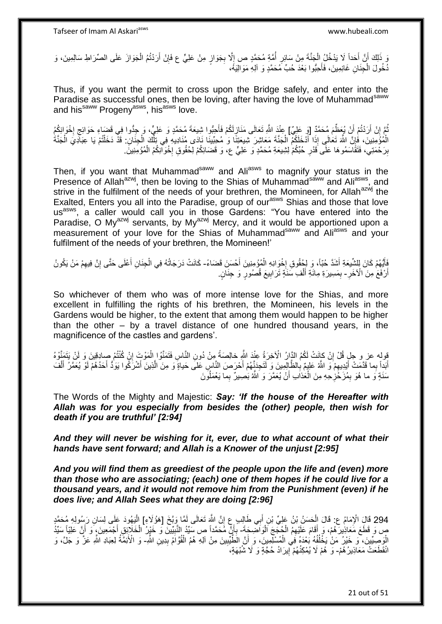وَ ذَلِكَ أَنَّ أَحَداً لَا يَدْخُلُ الْجَنَّةَ مِنْ سَائِرٍ أُمَّةٍ مُحَمَّدٍ ص إِلَّا بِجَوَازٍ مِنْ عَلِيٍّ ع فَإِنْ أَرَدْتُمُ الْجَوَازَ عَلَى الصِّرَاطِ سَالِمِينَ، وَ اً ِ ِ ِ ا<br>ا **∶** ْ اً ْ دُخُولَ الْجِنَانِ غَانِمِينَ، فَأُحِبُّوا بَعْدَ حُبٍّ مُحَمَّدٍ وَ آلِهِ مَوَالِيَهُ، َ ْ

Thus, if you want the permit to cross upon the Bridge safely, and enter into the Paradise as successful ones, then be loving, after having the love of Muhammad<sup>saww</sup> and his<sup>saww</sup> Progeny<sup>asws</sup>, his<sup>asws</sup> love.

نُّمَّ إِنْ أَرَدْتُمْ أَنْ يُعَظِّمَ مُحَمَّدٌ [وَ عَلِيٌّ] عِنْدَ اللَّهِ تَعَالَى مَذَازِلَكُمْ فَأَحِبُّوا شِيعَةَ مُحَمَّدٍ وَ عَلِيٍّ، وَ حِدُّوا فِي قَضَاءِ حَوَائِجِ إِخْوَانِكُمُ َ ِ ِ َ ِ ┆ الْمُؤَمِنِينَ، فَإِنَّ اللَّهَ تَعَالَى إِذَا أَنْخَلَكُمُ الْجَنَّةَ مَعَاشِرَ شِيعَتِنَا وَ مُحِبِّينَا نَادَى مُنَادِيهِ فِي تِلْكَ الْجِنَانِ: قَدْ دَخَلْتُمْ يَا عِبَادِيَ الْجَنَّةَ ِ ْ َ ْ ْ ْ ْ بِرَحْمَتِي، فَنَقَاسَمُو هَا عَلَى قَدْرِ حُبِّكُمْ لِشِيعَةِ مُحَمَّدٍ وَ عَلِيٍّ ع، وَ قَضَائِكُمْ لِحُقُوقِ إِخْوَالِكُمُ الْمُؤْمِنِينََ. יִי.<br>י ِ **ِ** ْ

Then, if you want that Muhammad<sup>saww</sup> and Ali<sup>asws</sup> to magnify your status in the Presence of Allah<sup>azwj</sup>, then be loving to the Shias of Muhammad<sup>saww</sup> and Ali<sup>asws</sup>, and strive in the fulfilment of the needs of your brethren, the Momineen, for Allah<sup>azwj</sup> the Exalted, Enters you all into the Paradise, group of our<sup>asws</sup> Shias and those that love us<sup>asws</sup>, a caller would call you in those Gardens: "You have entered into the Paradise, O My<sup>azwj</sup> servants, by My<sup>azwj</sup> Mercy, and it would be apportioned upon a measurement of your love for the Shias of Muhammad<sup>saww</sup> and Aliasws and your fulfilment of the needs of your brethren, the Momineen!'

ِّيَهُمْ كَانَ لِلشِّيعَةِ أَشَدَّ حُبّاً، وَ لِجُقُوقِ إِخْوَانِهِ الْمُؤْمِنِينَ أَحْسَنَ قَضَاءً- كَانَتْ دَرَجَاتُهُ فِي الْجِنَانِ أَعْلَى حَتَّى إِنَّ فِيهِمْ مَنْ يَكُونُ ْ ׀.<br>? َ َ ْ ِ ِ **∶** أَرْفَعَ مِنَ الْآخَرِ - بِمَسِيرَةِ مِائَةِ أَلْفِ سَنَةٍ تَرَابِيعَ قُصُورٍ وَ جِنَانٍ. ْ َ ِ **!** 

So whichever of them who was of more intense love for the Shias, and more excellent in fulfilling the rights of his brethren, the Momineen, his levels in the Gardens would be higher, to the extent that among them would happen to be higher than the other – by a travel distance of one hundred thousand years, in the magnificence of the castles and gardens'.

ِّولِه عز و جلٍ قُلْ إِنْ كَإِنَتْ لَكُمُ الدَّارُ الْأَخِرَةُ عِنْدَ اللَّهِ خالِصَةً مِنْ دُونِ النَّاسِ فَتَمَنَّوُ إِلْمُوْتٍ إِنْ كُنْتُمْ صِبادِقِينَ وَ لَنْ يَتَمَنَّوْهُ ِ ْ أَبَداً بِما قَدَّمَتْ أَيْدِيهِمْ َوَ اللَّهُ عَلِيمٌ بِالظَّالِمِينَ وَ لَتَجِدَنَّهُمْ أَحْرَصَ النَّاسِ عَلَى حَياةٍ وَ مِنَ الَّذِينَ أَشْرَكُوا يَوَدُّ أَحَدُهُمْ لَوْ يُعَمَّلُ أَلْفَ ِ َ َ ْ َ َ َ ه سَنَةٍ وَ ما هُوَ بِمُزَحَّزِحِهِ مِنَ الْعَذَابِ أَنْ يُعَمَّرَ وَ اللَّهُ بَصِيرٌ بِما يَعْمَلُوَنَ اً ْ ِ ِ

The Words of the Mighty and Majestic: *Say: 'If the house of the Hereafter with Allah was for you especially from besides the (other) people, then wish for death if you are truthful' [2:94]* 

*And they will never be wishing for it, ever, due to what account of what their hands have sent forward; and Allah is a Knower of the unjust [2:95]*

*And you will find them as greediest of the people upon the life and (even) more than those who are associating; (each) one of them hopes if he could live for a thousand years, and it would not remove him from the Punishment (even) if he does live; and Allah Sees what they are doing [2:96]*

294 قَالَ الْإِمَامُ عِ: قَالَ الْحَسَنُ بْنُ عَلِيِّ بْنِ أَبِي طَالِبٍ عِ إِنَّ اللَّهَ تَعَالَى لَمَّا وَبَّخَ [هَؤُلَاءِ] الْيَهُودَ عَلَى لِسَانِ رَسُولِهِ مُحَمَّدٍ<br>وَالْقَالَ الْإِمَامُ عَنْ أَيَّهُ مِنْ أَيِّهِ مِن ْ ِ ِ َ ْ ص وَ قَطَعَ مَعَاذِينٌ هُمْ، وَ أَقَامَ عَلَيْهِمُ الْجُجَجَ الْوَاضِحَةَ- بِأَنٍّ مُحَمَّداً ص سَيِّدُ النَّبِيِّينَ وَ خَيْرٍ الْخَلَاثِقِ أَجْمَعِينَ، وَ أَنَّ عَلِيِّاً سَيِّدُ ْ ْ َ َ ْ ِ َ ِ الْوَصِيِّينَ، وَ خَيْرُ مَنْ يَخْلُفُهُ بَعْدَهُ فِي الْمُسْلِمِينَ، وَ أَنَّ الطَّيِّيينَ مِنْ آلِهِ هُمُ الْقُوَّامُ بِدِينِ الثَّهِ- وَ الْأَئِمَّةُ لِعِبَادِ اللَّهِ عَنَّ وَ جَلَّ، وَ ا<br>ا :<br>ا ِ ْ ِ انْقَطَعَتْ مَعَاذِيرُ هُمْ- وَ هُمْ لَا يُمْكِنُهُمْ آيِرَادُ حُجَّةٍ وَ لَا شُبْهَةٍ، **֓**ׇ֚֚֚֚֚֓֡֡֓֡֘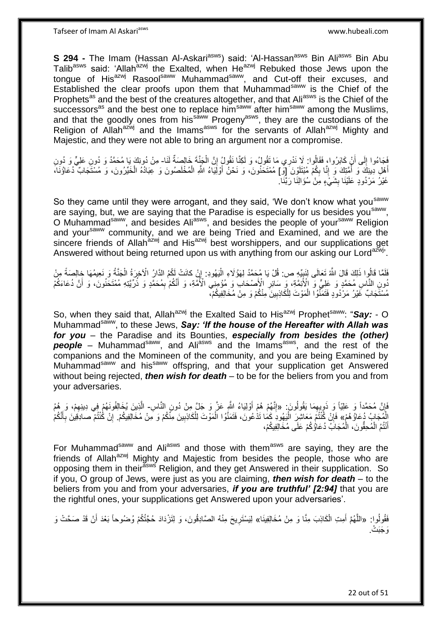**S 294 -** The Imam (Hassan Al-Askari<sup>asws</sup>) said: 'Al-Hassan<sup>asws</sup> Bin Ali<sup>asws</sup> Bin Abu Talibasws said: 'Allahazwj the Exalted, when Heazwj Rebuked those Jews upon the tongue of His<sup>azwj</sup> Rasool<sup>saww</sup> Muhammad<sup>saww</sup>, and Cut-off their excuses, and Established the clear proofs upon them that Muhammad<sup>saww</sup> is the Chief of the Prophets<sup>as</sup> and the best of the creatures altogether, and that Ali<sup>asws</sup> is the Chief of the successors<sup>as</sup> and the best one to replace him<sup>saww</sup> after him<sup>saww</sup> among the Muslims, and that the goodly ones from his<sup>saww</sup> Progeny<sup>asws</sup>, they are the custodians of the Religion of Allah<sup>azwj</sup> and the Imams<sup>asws</sup> for the servants of Allah<sup>azwj</sup> Mighty and Majestic, and they were not able to bring an argument nor a compromise.

فَجَاءُوا إِلَى أَنْ كَابَرُوا، فَقَالُوا: لَا نَذرِي مَا نَقُولُ، وَ لَكِنَّا نَقُولُ إِنَّ الْجَنَّةَ خَالِصَةٌ لَذا- مِنْ دُونِكَ يَا مُحَمَّدُ وَ دُونِ عَلِيٍّ وَ دُونِ<br>يَمِد بَيْنِ الْقَامِدِينَ عَلَيْهِ الْمَنْدَةِ َ ِ ْ ِ أَهْلِ دِينِكَ وَ أُمَّتِكَ وَ إِنَّا بِكُمْ مُبْتَلَوْنَ [وّ] مُمْتَحَنُونَ، وَ نَحْنُ أَوْلَِيَاءُ اللَّهِ الْمُخْلَصُونَ وَ عِبَادُهُ الْخَيّرُونَ، وَ مُسْتَجَابٌ دُعَاؤُنَا، ِ<br>ا َ ْ َ ِ יִי (ו غَيْرُ مَرْدُودٍ عَلَيْنَا بِشَيَْءٍ مِنْ سُؤَالِنَا رَبَّنَا ۖ **∣** 

So they came until they were arrogant, and they said, 'We don't know what you<sup>saww</sup> are saying, but, we are saying that the Paradise is especially for us besides you<sup>saww</sup>, O Muhammad<sup>saww</sup>, and besides Ali<sup>asws</sup>, and besides the people of your<sup>saww</sup> Religion and your<sup>saww</sup> community, and we are being Tried and Examined, and we are the sincere friends of Allah $a$ <sup>zwj</sup> and His<sup>azwj</sup> best worshippers, and our supplications get Answered without being returned upon us with anything from our asking our Lord<sup>azwj</sup>.

فَلَمَّا قَالُوا ذَلِكَ قَالَ اللَّهُ تَعَالَى لِنَبِيِّهِ ص: قُلْ يَا مُحَمَّدُ لِهَؤُلَاءِ الْيَهُودِ: إِنْ كانَتْ لَكُمُ الذَارُ الْآخِرَةُ الْجَنَّةُ وَ نَعِيمُهَا خِالِصَةً مِنْ ¦ ْ ْ ِ ُونِ النَّاسِ مُحَمَّدٍ وَ عَلِيٍّ وَ الْأَئِمَّةِ، وَ سَائِرِ الْأَصْحَابِ وَ مُؤْمِنِي الْأُمَّةِ، وَ أَنَّكُمْ بِمُحَمَّدٍ وَ ذُرِّيَّتِهِ مُفْتَحَنُونَ، وَ أَنَّ دُعَاءَكُمْ ِ َ ِ َ مُسْتََجَابٌ غَيْرُ مَرْدُودٍ فَتَمَنَّوُا الْمَوْتَ لِلْكَاذِبِينَ مِنْكُمْ وَ مِنْ مُخَالِفِيكُمْ، ْ ِ

So, when they said that, Allah<sup>azwj</sup> the Exalted Said to His<sup>azwj</sup> Prophet<sup>saww</sup>: "Say: - O Muhammad<sup>saww</sup>, to these Jews, Say: 'If the house of the Hereafter with Allah was *for you* – the Paradise and its Bounties, *especially from besides the (other)*  **people** – Muhammad<sup>saww</sup>, and Ali<sup>asws</sup> and the Imams<sup>asws</sup>, and the rest of the companions and the Momineen of the community, and you are being Examined by Muhammad<sup>saww</sup> and his<sup>saww</sup> offspring, and that your supplication get Answered without being rejected, *then wish for death* – to be for the beliers from you and from your adversaries.

فَإِنَّ مُحَمَّداً وَ عَلِيّاً وَ ذَوِيعِمَا يَقُولُونَ: «إِنَّهُمْ هُمْ أَوْلِيَاءُ اِللَّهِ عَزَّ وَ جَلَّ مِنْ دُونِ النَّاسِ- الَّذِينَ يُخَالِفُونَهُمْ فِي دِينِهِمْ، وَ هُمُ ِ ¦ ِ ِ الْمُجَابُ دُعَاؤُهُمْ» فَإِنْ كُنْتُمْ مَعَاشِرَ الْيَهُودَ كَمَا تَذْعُونَ، فَتَمَنَّوُا الْمَوْتَ لِلْكَاذِبِينَ مِنَّكُمْ وَ مَِنْ مُخَالِفِيكُمْ. إِنْ كُنْتُمْ صحادِقِينَ بِأَنَّكُمْ ِ ْ ْ :<br>إ ِ ِ َ ِ أَنْتُمُ الْمُحِقَّونَ، الْمُجَابُ دُعَاؤُكُمْ عَلَى مُخَالِفِيكُمْ، ْ ْ َ

For Muhammad<sup>saww</sup> and Ali<sup>asws</sup> and those with them<sup>asws</sup> are saying, they are the friends of Allah<sup>azwj</sup> Mighty and Majestic from besides the people, those who are opposing them in their<sup>asws</sup> Religion, and they get Answered in their supplication. So if you, O group of Jews, were just as you are claiming, *then wish for death* – to the beliers from you and from your adversaries, *if you are truthful' [2:94]* that you are the rightful ones, your supplications get Answered upon your adversaries'.

فَقُولُوا: «اللَّهُمَّ أَمِتِ الْكَاذِبَ مِنَّا وَ مِنْ مُخَالِفِينَا» لِيَسْتَرِيحَ مِنْهُ الصَّادِقُونَ، وَ لِتَزْدَادَ حُجَّتُكُمْ وُضُوحاً بَعْدَ أَنْ قَدْ صَحَّتْ وَ ْ َ َ **∶** <u>َوَ جَبَتْ .</u>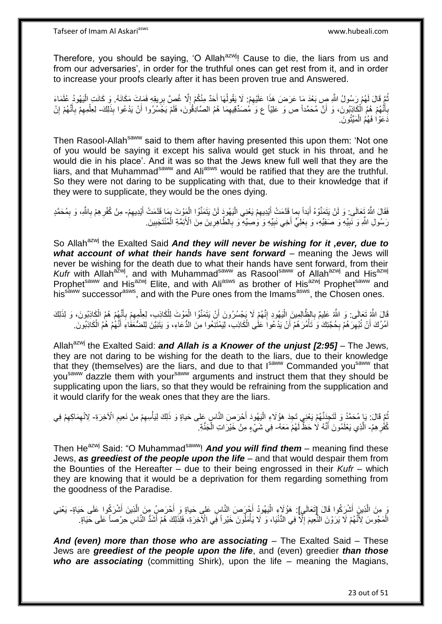Therefore, you should be saying, 'O Allah<sup>azwj</sup>! Cause to die, the liars from us and from our adversaries', in order for the truthful ones can get rest from it, and in order to increase your proofs clearly after it has been proven true and Answered.

تُمَّ قَالَ لَهُمْ رَسُولُ اللَّهِ صٍ بَعْدَ مَا عَرَضَ هَذَا عَلَيْهِمْ: لَا يَقُولُهَا أَحَدٌ مِنْكُمْ إِلَّا غُصِّ بِرِيقِهِ فَعَاتَ مَكَانَهُ. وَ كَانَتِ الْيَهُودُ عُلَمَاءَ<br>. ُ ْ ِ ِ َ ُ ِ بِأَنَّهُمْ هُمُ الْكَاذِبُونَ، وَ أَنَّ مُحَمَّداً ص وَ عَلِيّاً ع وَ مُصنّدِّقِيهِمَا هُمُ الصَّادِقُونَ، فَلَمْ يَجَسُرُوا أَنْ يَدْعُوا بِذَلِكَ- لِعِلْمِهِمْ بِأَنَّهُمْ إِنْ ِ اً ْ ֧֧֝֓֝֓<sup>ֺ֢</sup>֧֧֧֓֝֓֓֝ **∶** ِ َ ِ ِ ْ ذَعَوْا فَهُمُ الْمَيِّتُونَ. ْ

Then Rasool-Allah<sup>saww</sup> said to them after having presented this upon them: 'Not one of you would be saying it except his saliva would get stuck in his throat, and he would die in his place'. And it was so that the Jews knew full well that they are the liars, and that Muhammad<sup>saww</sup> and Ali<sup>asws</sup> would be ratified that they are the truthful. So they were not daring to be supplicating with that, due to their knowledge that if they were to supplicate, they would be the ones dying.

فَقَالَ اللَّهُ تَعالَى: وَ لَنْ يَتَمَنَّوْهُ أَبَداً بِما قَدَّمَتْ أَيْدِيهِمْ يَعْنِي الْيَهُودَ لَنْ يَتَمَنَّوُا الْمَوْتَ بِمَا قَدَّمَتْ أَيْدِيهِمْ- مِنْ كُفْرِهِمْ بِاللَّهِ، وَ بِمُحَمَّدٍ ِ َ َ ِ َ ا<br>په ْ ِ ِ ِ رَسُولِ اللَّهِ وَ نَبِيِّهِ وَ صَفِيِّهِ، وَ بِعَلِيٍّ أَخِي نَبِيِّهِ وَ وَصِيِّهِ ۖ وَ بِالطَّاهِرِينَ مِنَ الْأَئِمَّةِ الْمُنْتَجَبِينَ ِ َ ِ **!** ِ ْ **∶** ِ

So Allah<sup>azwj</sup> the Exalted Said *And they will never be wishing for it ,ever, due to what account of what their hands have sent forward –* meaning the Jews will never be wishing for the death due to what their hands have sent forward, from their Kufr with Allah<sup>azwj</sup>, and with Muhammad<sup>saww</sup> as Rasool<sup>saww</sup> of Allah<sup>azwj</sup> and His<sup>azwj</sup> Prophet<sup>saww</sup> and His<sup>azwj</sup> Elite, and with Ali<sup>asws</sup> as brother of His<sup>azwj</sup> Prophet<sup>saww</sup> and his<sup>saww</sup> successor<sup>asws</sup>, and with the Pure ones from the Imams<sup>asws</sup>, the Chosen ones.

قَالَ اللَّهِ تَعَالَى: وَ اللَّهُ عَلِيمٌ بِالظَّالِمِينَ الْيَهُودِ إِنَّهُمْ لَا يَجْسُرُونَ أَنْ يَتَمَنَّوُا الْمَوْتَ لِلْكَاذِبِ، لِعِلْمِهِمْ بِأَنَّهُمْ هُمُ الْكَاذِبُونَ، وَ لِذَلِكَ ِ ِ ْ َ ِ ِ ْ ْ ْ اُ امُرُكَ أَنْ تُبْهِرَ هُمْ بِحُجَّتِكَ وَ تَأْمُرَ هُمْ أَنْ يَدْعُوا عَلَى الْكَاذِبِ، لِيَمْتَنِعُوا مِنَ الدُّعَاءِ، وَ يَتَبَيَّنَ لِلضُّعَفَاءِ أَنَّهُمْ هُمُ الْكَاذِبُونَ ـ ْ اُ ؗ<br>ؙ **∶** ِ اً ْ َ

Allah<sup>azwj</sup> the Exalted Said: *and Allah is a Knower of the unjust [2:95]* – The Jews, they are not daring to be wishing for the death to the liars, due to their knowledge that they (themselves) are the liars, and due to that Isaww Commanded yousaww that you<sup>saww</sup> dazzle them with your<sup>saww</sup> arguments and instruct them that they should be supplicating upon the liars, so that they would be refraining from the supplication and it would clarify for the weak ones that they are the liars.

ُمَّ قَالَ: يَا مُحَمَّدُ وَ لَتَجِزَنَّهُمْ يَعْنِي تَجِدَ هَؤُلَاءِ الْيَهُودَ أَحْرَصِ النَّاسِ عَلى حَياةٍ وَ ذَلِكَ لِيَأْسِهِمْ مِنْ نَعِيمِ الْآخِرَةِ- لِانْهِمَاكِهِمْ فِي َ ْ ِ ِ ْ ِ ِ كُفْرِ هِمُ- الَّذِي يَعْلَمُونَ أَنَّهُ لَا حَظٌّ لَهُمْ مَعَهُ- فِي شَيْءٍ مِنْ خَيْرَاتِ الْجَنَّةِ ۚ ِ َ **ٔ** 

Then He<sup>azwj</sup> Said: "O Muhammad<sup>saww</sup>! **And you will find them** – meaning find these Jews, *as greediest of the people upon the life* – and that would despair them from the Bounties of the Hereafter – due to their being engrossed in their *Kufr* – which they are knowing that it would be a deprivation for them regarding something from the goodness of the Paradise.

يَ مِنَ الَّذِينَ أَشْرِكُوا قَالَ إِتَعَالَىٍ]: هَؤُلَاءٍ الْيَهُودُ أَجْرَحِسَ النَّاسِ عَلى حَياةٍ وَ أَحْرَصُ مِنَ الَّذِينَ أَشْرَكُوا عَلَى حَيَاةٍ- يَعْنِي َ ه ْ َ َ الْمَجُوسَ لِأَنَّهُمْ لَا يَرَوْنَ النُّعِيمَ إِلَّا فِي الدُّنْيَا، وَ لَا يَأْمَلُونَ خَيْراً فَي الْأَخِرَةِ، فَلِذَلِكَ هُمْ أَشَدُّ النَّاسِ حِرْصاً عَلَى حَيَاةٍ. ْ ِ َ

*And (even) more than those who are associating* – The Exalted Said – These Jews are *greediest of the people upon the life*, and (even) greedier *than those who are associating* (committing Shirk), upon the life – meaning the Magians,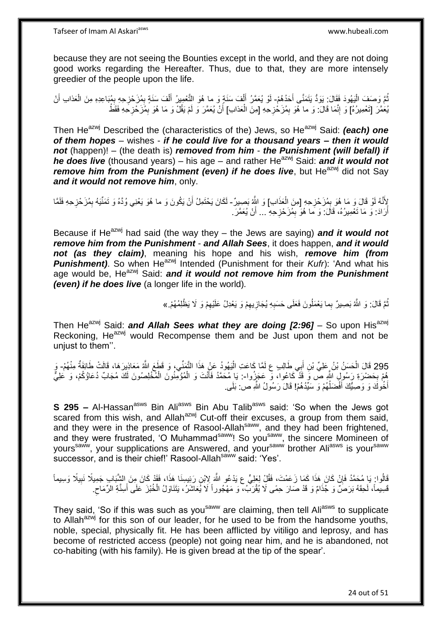because they are not seeing the Bounties except in the world, and they are not doing good works regarding the Hereafter. Thus, due to that, they are more intensely greedier of the people upon the life.

نُّعَ وَصَفَ الْيَهُودَ فَقَالَ: يَوَدُّ يَتَمَنَّى أَحَدُهُمْ- لَوْ يُعَمَّرُ أَلْفَ سَنَةٍ وَ ما هُوَ النَّعْمِيرُ أَلْفَ سَنَةٍ بِمُزَحْزِحِهِ بِمُبَاعِدِهِ مِنَ الْعَذابِ أَنْ ا<br>ا ِ ِ ْ َ ْ َ ِ َ ْ يُعَمَّرَ [تَعْمِيرُهُ] وَ إِنَّمَا قَالَ: وَ ما هَمَو بِمُزَحْزِحِهِ [مِنَ الْعَذابِ] أَنْ يُعَمَّرَ وَ لَمْ يَقُلْ وَ مَا هُوَ بِمُزَحْزِحَهِ فَقَطْ **ְוּ** ْ ِ ِ ِ ِ َ

Then He<sup>azwj</sup> Described the (characteristics of the) Jews, so He<sup>azwj</sup> Said: *(each) one of them hopes* – wishes - *if he could live for a thousand years – then it would not* (happen)! – (the death is) *removed from him* - *the Punishment (will befall) if he does live* (thousand years) – his age – and rather He<sup>azwj</sup> Said: *and it would not remove him from the Punishment (even) if he does live*, but He<sup>azwj</sup> did not Say *and it would not remove him*, only.

لِأَنَّهُ لَوْ قَالَ وَ مَا هُوَ بِمُزَحْزِحِهِ [مِنَ الْعَذَابِ] وَ اللَّهُ بَصِيرٌ - لَكَانَ يَحْتَمِلُ أَنْ يَكُونَ وَ ما هُوَ يَعْنِي وُدَّهُ وَ تَمَنِّيَهُ بِمُزَحْزِحِهِ فَلَمَّا ْ **∶ ∶** اُ ِ ِ أَرَادَ: وَ مَا تَعْمِيرُهُ، قَالَ: وَ مَا هُوَ بِمُزَحْزِحِهِ … أَنْ يُعَمَّرَ. ِ ِ اً اً

Because if He<sup>azwj</sup> had said (the way they – the Jews are saying) **and it would not** *remove him from the Punishment* - *and Allah Sees*, it does happen, *and it would not (as they claim)*, meaning his hope and his wish, *remove him (from Punishment*). So when He<sup>azwj</sup> Intended (Punishment for their *Kufr*): 'And what his age would be, He<sup>azwj</sup> Said: *and it would not remove him from the Punishment (even) if he does live* (a longer life in the world)*.*

> نُّمَّ قَالَ: وَ اللَّهُ بَصِيرٌ بِما يَعْمَلُونَ فَعَلَى حَسَبِهِ يُجَازِيهِمْ وَ يَعْدِلُ عَلَيْهِمْ وَ لَا يَظْلِمُهُمْ.» ِ ِ **ٍ** ِ

Then He<sup>azwj</sup> Said: *and Allah Sees what they are doing [2:96]* – So upon His<sup>azwj</sup> Reckoning, He<sup>azwj</sup> would Recompense them and be Just upon them and not be uniust to them".

295 قَالَ الْحَسَنُ بْنُ عَلِيٍّ بْنِ أَبِي طَالِبٍ ع لَمَّا كَاعَتِ الْيَهُودُ عَنْ هَذَا التَّمَنِّي، وَ قَطَعَ اللَّهُ مَعَاذِينَ هَا، قَالَتْ طَائِفَةٌ مِنْهُمْ- وَ اُ َ ْ مُمْ بِحَضْرَةِ رَسُولِِ اللَّهِ صَّ وََ قَدْ كَاعُوا، وَ عَجَزُوا-: يَا مُحَمَّدُ فَأَنْتَ وَ الْمُؤْمِّنُونَ الْمُخْلِصُونَ لَكَ مُجَابٌ دُعَاؤُكُمْ، وَ عَلِيٌّ **∶** ْ ْ َ أَخُوكَ وَ وَصِيُّكَ أَفْضَلُهُمْ وَ سَيِّدُهُمْ! قَالَ رَسُولُ اللَّهِ ص: بَلَى. ا<br>ا َ َ

**S 295 –** Al-Hassan<sup>asws</sup> Bin Ali<sup>asws</sup> Bin Abu Talib<sup>asws</sup> said: 'So when the Jews got scared from this wish, and Allah<sup>azwj</sup> Cut-off their excuses, a group from them said, and they were in the presence of Rasool-Allah<sup>saww</sup>, and they had been frightened, and they were frustrated, 'O Muhammad<sup>saww</sup>! So you<sup>saww</sup>, the sincere Momineen of yours<sup>saww</sup>, your supplications are Answered, and your<sup>saww</sup> brother Ali<sup>asws</sup> is your<sup>saww</sup> successor, and is their chief!' Rasool-Allah<sup>saww</sup> said: 'Yes'.

قَالُوا: يَا مُحَمَّدُ فَإِنْ كَانَ هَذَا كَمَا زَعَمْتَ، فَقُلْ لِعَلِيٍّ ع يَدْعُو اللَّهَ لِابْنِ رَئِيسِنَا هَذَا، فَقَدْ كَانَ مِنَ الشَّبَابِ جَمِيلًا نَبِيلًا وَسِيماً ِ ِ َفَسِيماً، لَحِقَهُ بَرَصٌ وَ جُذَامٌ وَ قَدْ صَارَ حِمًى لَا يُقْرَبُ، وَ مَهْجُوراً لَا يُعَاشَرُ، يَتَنَاوَلُ الْخُبْزَ عَلَى أَسِنَّةِ الرِّمَاحِ ِ َ

They said, 'So if this was such as you<sup>saww</sup> are claiming, then tell Ali<sup>asws</sup> to supplicate to Allah<sup>azwj</sup> for this son of our leader, for he used to be from the handsome youths, noble, special, physically fit. He has been afflicted by vitiligo and leprosy, and has become of restricted access (people) not going near him, and he is abandoned, not co-habiting (with his family). He is given bread at the tip of the spear'.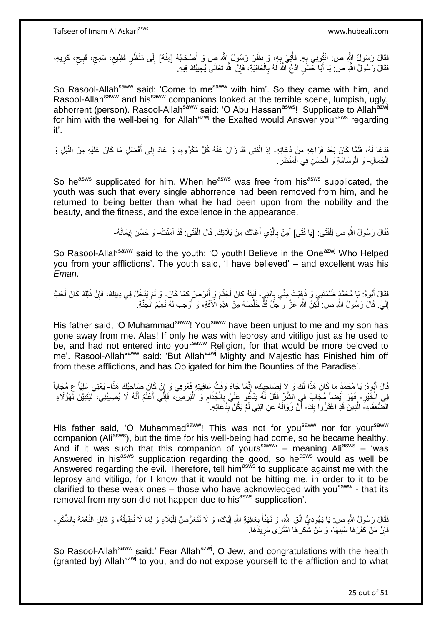ِ فَقَالَ رَسُولُ النُّهِ ص: انْتُونِي بِهِ. فَأُتِيَ بِهِ، وَ نَظَرَ رَسُولُ اللَّهِ صٍ وَ أَصْحَابُهُ [مِنْهُ] إِلَى مَنْظَرٍ فَظِيعٍ، سَمِجٍ، قَبِيحٍ، كَرِيهٍ، َ ِ ر<br>ا ِ ٍ ِ ٍ ِ ∣∣<br>ِ فَقَالَ رَسُولُ النَّهِ ص: يَا أَبَا حَسَنٍ ادْعُ اللَّهَ لَهُ بِالْعَافِيَةِ، فَإِنَّ اللَّهَ تَعَالَى يُجِيبُكَ فِيهِ. ِ ْ **∶** لَ َ

So Rasool-Allah<sup>saww</sup> said: 'Come to me<sup>saww</sup> with him'. So they came with him, and Rasool-Allah<sup>saww</sup> and his<sup>saww</sup> companions looked at the terrible scene, lumpish, ugly, abhorrent (person). Rasool-Allah<sup>saww</sup> said: 'O Abu Hassan<sup>asws</sup>! Supplicate to Allah<sup>azwj</sup> for him with the well-being, for Allah<sup>azwj</sup> the Exalted would Answer you<sup>asws</sup> regarding it'.

فَدَعَا لَهُ، فَلَمَّا كَانَ بَعْدَ فَرَاغِهِ مِنْ دُعَائِهِ- إِذِ الْفَتَى قَدْ زَالَ عَنْهُ كُلُّ مَكْرُوهٍ، وَ عَادَ إِلَى أَفْضَلِ مَا كَانَ عَلَيْهِ مِنَ النَّبْلِ وَ َ ِ ْ ِ الْجَمَالِ- وَ الْوَسَامَةِ وَ الْحُسْنِ فِي الْمَنْظَرِ ْ **∶** ْ ْ ْ

So he<sup>asws</sup> supplicated for him. When he<sup>asws</sup> was free from his<sup>asws</sup> supplicated, the youth was such that every single abhorrence had been removed from him, and he returned to being better than what he had been upon from the nobility and the beauty, and the fitness, and the excellence in the appearance.

> فَقَالَ رَسُولُ اللَّهِ ص لِلْفَتَى: [يَا فَتَى] آمِنْ بِالَّذِي أَغَاثَكَ مِنْ بَلَائِكَ. قَالَ الْفَتَى: قَدْ آمَنْتُ- وَ حَسُنَ إِيمَانُهُ-ْ َ َ ه ِ ׀ו<br>֞

So Rasool-Allah<sup>saww</sup> said to the youth: 'O youth! Believe in the One<sup>azwj</sup> Who Helped you from your afflictions'. The youth said, 'I have believed' – and excellent was his *Eman*.

فَقَالَ أَبُوهُ: يَا مُحَمَّدُ ظَلَمْتَنِي وَ ذَهِبْتَ مِنِّي بِابْنِي، لَيْتَهُ كَانَ أَجْذَمَ وَ أَبْرَصَ كَمَا كَانَ- وَ لَمْ يَدْخُلْ فِي دِينِكَ، فَإِنَّ ذَلِكَ كَانَ أَحَبَّ ِ َ َ ِ إِلَيَّ. قَالَ رَسُولُ الثَّهِ ص: لَّكِنَّ اللَّهَ عَزَّ وَ جَلَّ قَذْ خَلَّصَهُ مِنْ هَذِهِ الْأَفَةِ، وَ أَوْجَبَ لَهُ نَعِيْمَ الْجَنَّةِ. لَ יִי<br>; ْ َ ه لَ

His father said, 'O Muhammad<sup>saww</sup>! You<sup>saww</sup> have been unjust to me and my son has gone away from me. Alas! If only he was with leprosy and vitiligo just as he used to be, and had not entered into your<sup>saww</sup> Religion, for that would be more beloved to me'. Rasool-Allah<sup>saww</sup> said: 'But Allah<sup>azwj</sup> Mighty and Majestic has Finished him off from these afflictions, and has Obligated for him the Bounties of the Paradise'.

قَالَ أَبُوهُ: يَا مُحَمَّدُ مَا كَانَ هَذَا لَكَ وَ لَا لِصَاحِبِكَ، إِنَّمَا جَاءَ وَقْتُ عَافِيَتِهِ فَعُوفِيَ وَ إِنْ كَانَ صَاحِبُكَ هَذَا- يَعْنِي عَلِيّاً ع مُجَاباً ِ ِ ¦ َ ِ فِي الْخَيْرِ - فَهُوَ أَيْضاً مُجَابٌ فِي الشَّرِّ فَقُلْ لَهُ يَدْعُو عَلَيَّ بِالْجُذَامِ وَ الْبَرَصِ، فَإِنِّي أَعْلَمُ أَنَّهُ لَا يُصِيبُنِي، لِيَتَبَيَّنَ لِّهَؤُلَاءِ َ َ ا∣<br>ِ∘ِ ْ ِ ْ ِ َ الْضُّعَفَاءِ-َ الَّذِينَ قَدِ اغْتَرُّوا بِكَ- أَنَّ زَوَالَهُ عَنِ ابْنِي لَمْ يَكُنْ بِدُعَائِهِ. ِ َ

His father said, 'O Muhammad<sup>saww</sup>! This was not for you<sup>saww</sup> nor for your<sup>saww</sup> companion (Ali<sup>asws</sup>), but the time for his well-being had come, so he became healthy. And if it was such that this companion of yours<sup>saww</sup>' - meaning Ali<sup>asws</sup> - 'was Answered in his<sup>asws</sup> supplication regarding the good, so he<sup>asws</sup> would as well be Answered regarding the evil. Therefore, tell him<sup>asws</sup> to supplicate against me with the leprosy and vitiligo, for I know that it would not be hitting me, in order to it to be clarified to these weak ones - those who have acknowledged with you<sup>saww</sup> - that its removal from my son did not happen due to his<sup>asws</sup> supplication'.

فَقَالَ رَسُولُ اللَّهِ ص: يَا يَهُودِيُّ اتَّقِ اللَّهَ، وَ تَهَنَّأْ بِعَافِيَةِ اللَّهِ إِيَّاكَ، وَ لَا نَتَعَرَّضْ لِلْبَلَاءِ وَ لِمَا لَا نُطِيقُهُ، وَ قَابِلِ النَّعْمَةَ بِالشُّكْرِ، ِ ْ ِ **∶** ْ ِ فَإِنَّ مَنْ كَفَرَهَا سُلِبَهَا، وَ مَنْ شَكَرَهَا امْتَرَى مَزِيدَهَا. ِ ِ

So Rasool-Allah<sup>saww</sup> said:' Fear Allah<sup>azwj</sup>, O Jew, and congratulations with the health (granted by) Allah $a^{2xy}$  to you, and do not expose yourself to the affliction and to what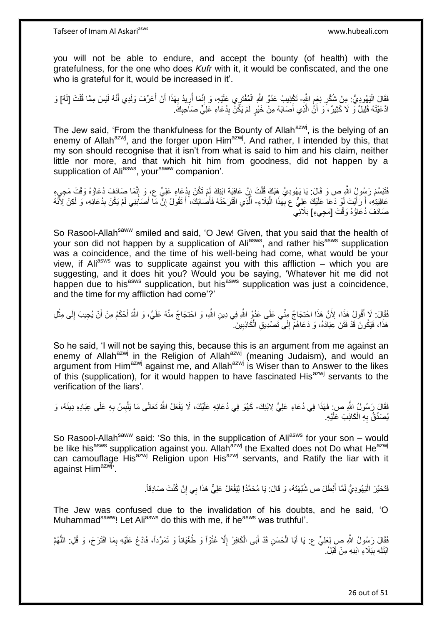you will not be able to endure, and accept the bounty (of health) with the gratefulness, for the one who does *Kufr* with it, it would be confiscated, and the one who is grateful for it, would be increased in it'.

فَقَالَ الْيَهُودِيُّ: مِنْ شُكْرِ نِعَمِ اللَّهِ- تَكْذِيبُ عَدُوِّ اللَّهِ الْمُفْتَرِي عَلَيْهِ، وَ إِنَّمَا أُرِيدُ بِهَذَا أَنْ أُعَرِّفَ وَلَدِي أَنَّهُ لَيْسَ مِمَّا قُلْتَ [لَهُ] وَ<br>وَيَدَيَّزُونَ مَنْ يَسْهَدُونَ ِ ِ ْ َ ُ َ ِ ِ ِ ْ ادَّعَيْتَهُ قَلِيلٌ وَ لَا كَثِيرٌ ، َو أَنَّ الَّذِي أَصَابَهُ مِنْ خَيْرٍ لَمْ يَكُنْ بِدُعَاءِ عَلِيٍّ صَاحِبِكَ ِ ِ َ ه َ

The Jew said, 'From the thankfulness for the Bounty of Allah<sup>azwj</sup>, is the belying of an enemy of Allah<sup>azwj</sup>, and the forger upon Him<sup>azwj</sup>. And rather, I intended by this, that my son should recognise that it isn't from what is said to him and his claim, neither little nor more, and that which hit him from goodness, did not happen by a supplication of Ali<sup>asws</sup>, your<sup>saww</sup> companion'.

فَتَبَسَّمَ رَسُولٍۢ اللَّهِ ص وَ قَالَ: يَا يَهُودِيُّ هَٰبْكَ قُلْتَ إِنَّ عَافِيَةَ ابْنِكَ لِمْ تَكُنْ بِدُعَاءِ عَلِيٍّ ع، وَ إِنَّمَا صِمَادَفَ دُعَاؤُهُ وَقْتَ مَجِيءٍ ِ ِ ْ ِ عَافِيَتِهِ، أَ رَأَيْتَ لَوْ دَعَا عَلَيْكَ عَلِيٌّ ع بِّهَذَا الْبَلَاءِ- الَّذِي اقْتَرَحْنَهُ فَأَصْبَانَكَ، أَ تَقُولُ إِنَّ مَا أَصَبَنِنِي لَمْ يَكُنْ بِدُعَانِهِ، وَ لَكِنْ لِأَنَّهُ :<br>ا ِ َ ِ َ ِ َ َ صَادَفَ دُعَاؤُهُ وَقْتَ [مَجِيءِ] بَلَائِي

So Rasool-Allah<sup>saww</sup> smiled and said, 'O Jew! Given, that you said that the health of your son did not happen by a supplication of Aliasws, and rather hisasws supplication was a coincidence, and the time of his well-being had come, what would be your view, if Ali<sup>asws</sup> was to supplicate against you with this affliction – which you are suggesting, and it does hit you? Would you be saying, 'Whatever hit me did not baggeeting, and it about the year. Then a year so eaging, tritation in this are not happen due to his<sup>asws</sup> supplication, but his<sup>asws</sup> supplication was just a coincidence, and the time for my affliction had come'?'

فَقَالَ: لَا أَقُولُ هَذَا، لِأَنَّ هَذَا احْتِجَاجٌ مِنِّي عَلَى عَدُوٍّ اللَّهِ فِي دِينِ اللَّهِ، وَ احْتِجَاجٌ مِنْهُ عَلَيَ، وَ اللَّهُ أَحْكَمُ مِنْ أَنْ يُجِيبَ إِلَى مِثْلِ َ ْ ِ َ َ هَذَا، فَيَكُونَ قَدْ فَثَنَ عِبَادَهُ، وَ دَعَاهُمْٓ إِلَى تَصْدِيقِ الْكَاذِبِينَ ۚ ِ ْ ∣∣<br>∶

So he said, 'I will not be saying this, because this is an argument from me against an enemy of Allah<sup>azwj</sup> in the Religion of Allah<sup>azwj</sup> (meaning Judaism), and would an argument from Him<sup>azwj</sup> against me, and Allah<sup>azwj</sup> is Wiser than to Answer to the likes of this (supplication), for it would happen to have fascinated His<sup>azwj</sup> servants to the verification of the liars'.

فَقَالَ رَسُولُ اللَّهِ ص: فَهَذَا فِي دُعَاءِ عَلِيٍّ لِابْنِكَ- كَهُوَ فِي دُعَائِهِ عَلَيْكَ، لَا يَفْعَلُ اللَّهُ تَعَالَى مَا يَلْبِسُ بِهِ عَلَى عِبَادِهِ دِينَهُ، وَ ِ ِ ْ يُصَدِّقُ بِهِ الْكَاذِبَ عَلَيْهِ. ْ ِ

So Rasool-Allah<sup>saww</sup> said: 'So this, in the supplication of Ali<sup>asws</sup> for your son – would be like his<sup>asws</sup> supplication against you. Allah<sup>azwj</sup> the Exalted does not Do what He<sup>azwj</sup> can camouflage His<sup>azwj</sup> Religion upon His<sup>azwj</sup> servants, and Ratify the liar with it against Him<sup>azwj</sup>'.

> فَتَحَيَّرَ الْيَهُودِيُّ لَمَّا أَبْطَلَ ص شُبْهَتَهُ، وَ قَالَ: يَا مُحَمَّدُ! لِيَفْعَلْ عَلِيٌّ هَذَا بِي إِنْ كُنْتَ صَادِقاً. ِ َ :<br>إ

The Jew was confused due to the invalidation of his doubts, and he said, 'O Muhammad<sup>saww</sup>! Let Ali<sup>asws</sup> do this with me, if he<sup>asws</sup> was truthful'.

فَقَالَ رَسُولُ اللَّهِ صِ لِعَلِيٍّ ع: يَا أَبَا الْحَسَنِ قَدْ أَبَى الْكَافِرُ إِلَّا عُنُوّاً وَ طُغْيَاناً وَ تَمَرُّداً، فَادْعُ عَلَيْهِ بِمَا اقْتَرَحَ، وَ قُلِ: اللَّهُمَّ ِ ْ َ ْ َ ه ِ ابْتَلِهِ بِبَلَاءِ ابْنِهِ مِنْ قَبْلُ. **ِ**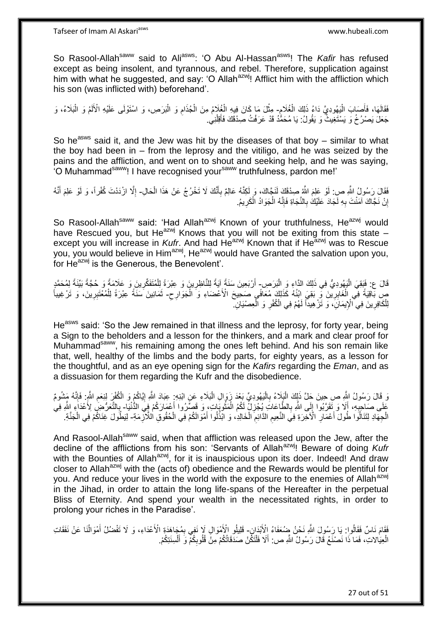So Rasool-Allah<sup>saww</sup> said to Ali<sup>asws</sup>: 'O Abu Al-Hassan<sup>asws</sup>! The *Kafir* has refused except as being insolent, and tyrannous, and rebel. Therefore, supplication against him with what he suggested, and say: 'O Allah<sup>azwj</sup>! Afflict him with the affliction which his son (was inflicted with) beforehand'.

ِ فَقَالَهَا، فَأَصَبِكَ الْيَهُودِيَّ دَاءُ ذَلِكَ الْغُلَامِ- مِثْلَ مَا كَانَ فِيهِ الْغُلَامُ مِنَ الْجُذَامِ وَ الْبَرَصِ، وَ اسْتَوْلَى عَلَيْهِ الْأَلَمُ وَ الْبَلَاءُ، وَ ْ ا<br>ا َ ْ ِ ْ ْ ْ لَ جَعَلَ يَصْرُخُ وَ يَسْتَغِيثُ وَ يَقُولُ: يَا مُحَمَّدُ قَدْ عَرَفْتُ صِدْقَكَ فَأَقِلْنِي. ْ َ

So he<sup>asws</sup> said it, and the Jew was hit by the diseases of that boy – similar to what the boy had been in – from the leprosy and the vitiligo, and he was seized by the pains and the affliction, and went on to shout and seeking help, and he was saying, 'O Muhammadsaww! I have recognised yoursaww truthfulness, pardon me!'

فَقَالَ رَسُولُ اللَّهِ صِ: لَوْ عَلِمَ اللَّهُ صِدْقَكَ لَنَجًاكَ، وَ لَكِنَّهُ عَالِمٌ بِأَنَّكَ لَا تَخْرُجُ عَنْ هَذَا الْحَالِ- إِلَّا ازْدَدْتَ كُفْراً، وَ لَوْ عَلِمَ أَنَّهُ َ ِ ْ َ ِ إِنْ نَجَّاكَ آمَنْتَ بِهِ لَجَادَ عَلَيْكَ بِالنَّجَاةِ فَإِنَّهُ الْجَوَادُ الْكَرِيمُ. **ٍ** ْ ْ ِ ِ ِ ا

So Rasool-Allah<sup>saww</sup> said: 'Had Allah<sup>azwj</sup> Known of your truthfulness, He<sup>azwj</sup> would have Rescued you, but He<sup>azwj</sup> Knows that you will not be exiting from this state – except you will increase in *Kufr*. And had He<sup>azwj</sup> Known that if He<sup>azwj</sup> was to Rescue you, you would believe in Him<sup>azwj</sup>, He<sup>azwj</sup> would have Granted the salvation upon you, for He<sup>azwj</sup> is the Generous, the Benevolent'.

قَالَ ع: فَبَقِيَ الْيَهُودِيُّ فِي ذَلِكَ الذَّاءِ وَ الْبَرَصِ- أَرْبَعِينَ سَنَةً لِٓيَةً لِلنَّاظِرِينَ وَ عِبْرَةً لِلْمُتَفَكِّرِينَ وَ عَلَامَةً وَ حُجَّةً بَيِّنَةً لِمُحَمَّدٍ :<br>ا :<br>ا ِ ْ ِ ِ صِبَاقِيَةً فِي الْغَابِرِيْنَ فِي بَقِيَ ابْنُهُ كَذَلِكَ مُعَاَفَي صَحِيحَ الْأَعْضَاءِ وَ الْجَوَارِحِ- ثَمَانِينَ سَنَّةً عِبْرَةً لِلْمُعْتَبِرِينَ، وَ تَرْغِيباً<br>أَيَس ذَلِي الْجَمَعِينَ الْجَابِرِينَ فِي بَعْدِهِ **∶** ْ ِ ْ ً ْ لِلْكَافِرِينَ فِي الْإِيمَانَِ، وَ تَزْ هِيداً لَهُمْ فِي الْكُفْرِ وَ الْعِصْيَانِ ۖ ْ ِ لَ ِ ْ

He<sup>asws</sup> said: 'So the Jew remained in that illness and the leprosy, for forty year, being a Sign to the beholders and a lesson for the thinkers, and a mark and clear proof for Muhammad<sup>saww</sup>, his remaining among the ones left behind. And his son remain like that, well, healthy of the limbs and the body parts, for eighty years, as a lesson for the thoughtful, and as an eye opening sign for the *Kafirs* regarding the *Eman*, and as a dissuasion for them regarding the Kufr and the disobedience.

وَ قَالَ رَسُولُ النَّهِ ص حِينَ جَلَّ ذَلِكَ الْمَذِكْ بِالْمَهُودِيِّ بَعْدَ زَوَالِ الْبَلَاءِ عَنِ ابْدِمٍ بِهَادَ اللَّهِ إِيَّاكُمْ وَ الْكُفْرِ لِنِعَمِ اللَّهِ فَإِنَّهُ مَشُومٌ :<br>ا **∶** ْ ْ ِ ِ عَلَى صَاحِبِهِ، أَلَا وَ تَقَرَّبُوا إِلَى اللَّهِ بِالطَّاعَاتِ يُجْزِلْ لَمُكُم الْمَثْوبَاتِ، وَ قَصَّرُوا أَعْمَارَكُمْ فِيَ الثُّنْيَا- بِالثَّعَرُّضِ لِأَعْدَاءِ اللَّهِ فِي َ ان<br>سالہ ْ ِ **∶**  $\frac{1}{2}$ َ **∶** ِ الْجِهَادِ لِتَنَالُوا طُولَ أَعْمَارِ الْأَخِرَةِ فِيَ النَّعِيمِ الذَّائِمِ الْخَالِدِ، وَ ابْذُلُوا أَمْوَالَكُمْ فِي الْحُقُوقِ الْلَآزِمَةِ- لِيَطُولَ غِنَاكُمْ فِي الْجَنَّةِ. ْ َ ْ ِ ِ **∶** :<br>:<br>: ِ ْ

And Rasool-Allah<sup>saww</sup> said, when that affliction was released upon the Jew, after the decline of the afflictions from his son: 'Servants of Allah<sup>azwi</sup>! Beware of doing *Kufr* with the Bounties of Allah<sup>azwj</sup>, for it is inauspicious upon its doer. Indeed! And draw closer to Allah<sup>azwj</sup> with the (acts of) obedience and the Rewards would be plentiful for you. And reduce your lives in the world with the exposure to the enemies of Allah<sup>azwj</sup> in the Jihad, in order to attain the long life-spans of the Hereafter in the perpetual Bliss of Eternity. And spend your wealth in the necessitated rights, in order to prolong your riches in the Paradise'.

فَقَامَ نَاسٌ فَقَالُوا: يَا رَسُولَ اللَّهِ نَحْنُ ضِمُعَفَاءُ اِلْأَبْدَانِ- قَلِيلُو الْأُمُوَالِ لَا نَفِي بِمُجَاهَدَةٍ الْأَعْدَاءِ، وَ لَا تَفْضُلُ أَمْوَالُنَا عَنْ نَفَقَاتِ ِ ُ َ الْعِيَالاتِ، فَمَا ذَا نَصْنَعُ قَالَ رَسُولُ اللَّهِ ص: أَلَا فَلْتَكُنْ صَدَقَاتُكُمْ مِنْ قُلُوبِكُمْ وَ أَلْسِنَتِكُمْ. ْ َ ِ ֺ֝֟֟֓֕֟֓֕֓֕׆<br>֧֢ׅ֦֧ׅ֦֧֦֧֦֦ׅ֦֧֦֧֦֦֧֧֧ׅ֘֘֜֓֬֘֓֞֬֘֩֓֓֬֟֩֓֓֞֬֩֩֓֓֩ َ ْ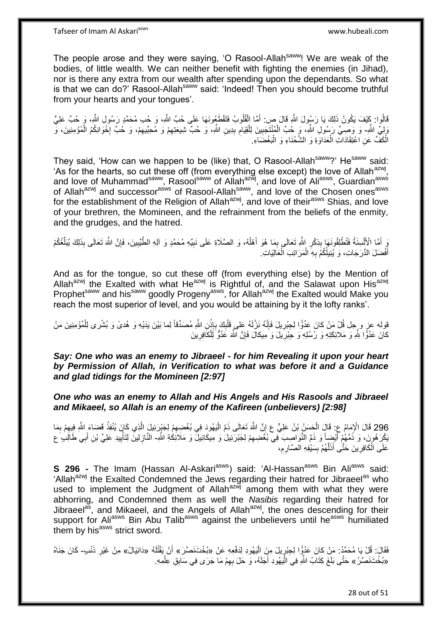The people arose and they were saying, 'O Rasool-Allah<sup>saww</sup>! We are weak of the bodies, of little wealth. We can neither benefit with fighting the enemies (in Jihad), nor is there any extra from our wealth after spending upon the dependants. So what is that we can do?' Rasool-Allah<sup>saww</sup> said: 'Indeed! Then you should become truthful from your hearts and your tongues'.

قَالُوا: كَيْفَ يَكُونُ ذَلِكَ يَا رَسُولَ اللَّهِ قَالَ صٍ: أَمَّا الْقُلُوبُ فَتَقْطَعُونَهَا عَلَى حُبِّ اللَّهِ، وَ حُبِ مُحَمَّدٍ رَسُولِ اللَّهِ، وَ حُبِّ عَلِيٍّ ْ َ وَلِيٍّ اللَّهِ- وَ وَصِـيٍّ رَسُولِ اللَّهِ، وَ ِحُبِّ الْمُنْتَجَبِينَ لِلْقِيَامِ بِدِينِ اللَّهِ، وَ حُبِّ شِيعَتِهِمْ وَ مُحِبِّيهِمْ، وَ خُبِّ إِخْوَانِكُمُ الْمُؤْمِنِينَ، وَ ِ ْ ِ **!** ِ ْ ן<br>ֲ ِ الْكَفَّ عَنِ اعْتِقَادَاتِ الْعَدَاوَةِ وَ الشَّحْنَاءِ وَ الْبَغْضَاءِ. ْ ْ ْ

They said, 'How can we happen to be (like) that, O Rasool-Allah<sup>saww</sup>?' He<sup>saww</sup> said: 'As for the hearts, so cut these off (from everything else except) the love of Allah<sup>azwj</sup>, and love of Muhammad<sup>saww</sup>, Rasool<sup>saww</sup> of Allah<sup>azwj</sup>, and love of Ali<sup>asws</sup>, Guardian<sup>asws</sup> of Allah<sup>azwj</sup> and successor<sup>asws</sup> of Rasool-Allah<sup>saww</sup>, and love of the Chosen ones<sup>asws</sup> for the establishment of the Religion of Allah<sup>azwj</sup>, and love of their<sup>asws</sup> Shias, and love of your brethren, the Momineen, and the refrainment from the beliefs of the enmity, and the grudges, and the hatred.

يَ أَمَّا الْأَلْسِنَةُ فَتُطْلِقُونَهَا بِذِكْرِ إِللَّهِ تَعَالَى بِمَا هُوَ أَهْلُهُ، وَ الصَّلَاةِ عَلَى نَبِيِّهِ مُحَمَّدٍ وَ آلِهِ الطَّيِّبِينَ، فَإِنَّ اللَّهَ تَعَالَى بِذَلِكَ يُبَلِّغُكُمْ ْ ∣ļ ِ ِ ان<br>ا َ ِ ِ **∣** ِّ  $\ddot{\cdot}$ أَفْضَلَ الذَّرَجَاتِ، وَ يُنِيلُكُمْ بِهِ الْمَرَ اتِبَ الْعَالِيَاتِ ْ ْ ِ َ

And as for the tongue, so cut these off (from everything else) by the Mention of Allah<sup>azwj</sup> the Exalted with what He<sup>azwj</sup> is Rightful of, and the Salawat upon His<sup>azwj</sup> Prophet<sup>saww</sup> and his<sup>saww</sup> goodly Progeny<sup>asws</sup>, for Allah<sup>azwj</sup> the Exalted would Make you reach the most superior of level, and you would be attaining by it the lofty ranks'.

قوله عز ٍ و جِل قُلْ مَنْ كانَ عَدُوًّا لِجِبْرِيلَ فَإِنَّهُ نَزَّلَهُ عَلى قَلْبِكَ بِإِذْنِ اللَّهِ مُصَدِّقاً لِما بَيْنَ يَدَيْهِ وَ هُدىً وَ بُشْرى لِلْمُؤْمِنِينَ مَنْ ِ ِ **ٔ** ِ ِ ْ كانَ عَدُوًّا لِلَّهِ وَ مَلائِكَتِهِ وَ رُسُلِهِ وَ جِبْرِيلَ وَ مِيكالَ فَإِنَّ اللَّهَ عَدُوٍّ لَلْكَافِرِينَ ِ ْ ∣lٍ **∶** 

*Say: One who was an enemy to Jibraeel - for him Revealing it upon your heart by Permission of Allah, in Verification to what was before it and a Guidance and glad tidings for the Momineen [2:97]*

*One who was an enemy to Allah and His Angels and His Rasools and Jibraeel and Mikaeel, so Allah is an enemy of the Kafireen (unbelievers) [2:98]*

296 قَالَ الْإِمَامُ عِ: قَالَ الْحَسَنُ بْنُ عَلِيٍّ ع إِنَّ اللَّهَ تَعَالَى ذَمَّ الْيَهُودَ فِي بُغْضِعِمْ لِجَيْرَئِيلَ الَّذِي كَإِنَ يُنْفِذُ قَضَاءَ اللَّهِ فِيهِمْ بِمَا ِ :<br>-ه :<br>ا ِ ْ َبْكِرَ هُورَ، وَ ذَمَّهُمْ أَيْضٍاً وَ ذَمَّ النَّوَاصِبَ فِي بُغُضِيهِمْ لِجَبْرَئِيلَ وَ مِيكَائِيلَ وَ مَلَائِكَةِ اللَّهِ- الذَّازِلِينَ لِتَأْيِيدِ عَلِيٍّ بْنِ أَبِي طَالِبٍ عَ ِ َ َ ِ :<br>أ ِ عَلَى الْكَافِرِينَ حَتَّى أَذَلَّهُمْ بِسَيْفِهِ الصَّارِمِ، ِ **∶ ∣** ه َ ِ ْ

**S 296 -** The Imam (Hassan Al-Askari<sup>asws</sup>) said: 'Al-Hassan<sup>asws</sup> Bin Ali<sup>asws</sup> said: 'Allah<sup>azwj</sup> the Exalted Condemned the Jews regarding their hatred for Jibraeel<sup>as</sup> who used to implement the Judgment of Allah<sup>azwj</sup> among them with what they were abhorring, and Condemned them as well the *Nasibis* regarding their hatred for Jibraeel<sup>as</sup>, and Mikaeel, and the Angels of Allah<sup>azwj</sup>, the ones descending for their support for Aliasws Bin Abu Talibasws against the unbelievers until heasws humiliated them by his<sup>asws</sup> strict sword.

فَقَالَ: قُلْ يَا مُحَمَّدُ: مَنْ كانَ عَدُوٍّا لِجِبْرٍيلَ مِنَ اِلْيَهُودِ لِدَفْعِهِ عَنْ «بُخْتَنَصَّرَ» أَنْ يَقْتُلَهُ «دَانِيَالُ» مِنْ غَيْرِ ذَنْبٍ- كَانَ جَنَاهُ ِ لَ ِ «بُخْتَنَصَّرُ» حَتَّى بَلَغَ كِتَابُ اللَّهِ فِيَ الْيَهُودِ أَجَلَهُ، وَ حَلَ بِهِمْ مَا جَرَى فِي سَابِقِ عِلْمِهِ. ِ ِ َ ْ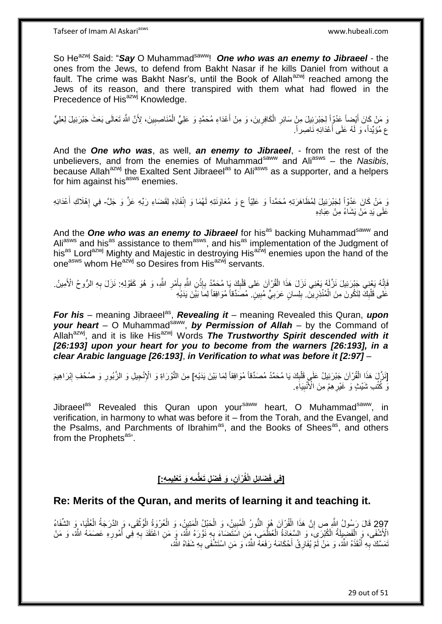So He<sup>azwj</sup> Said: "Say O Muhammad<sup>saww</sup>! One who was an enemy to Jibraeel - the ones from the Jews, to defend from Bakht Nasar if he kills Daniel from without a fault. The crime was Bakht Nasr's, until the Book of Allah<sup>azwj</sup> reached among the Jews of its reason, and there transpired with them what had flowed in the Precedence of His<sup>azwj</sup> Knowledge.

وَ مَنْ كَانَ أَيْضِاً عَدُوٍّاً لِجَبْرَئِيلَ مِنٍْ سَائِرِ الْكَافِرِينَ، وَ مِنْ أَعْدَاءِ مُحَمَّدٍ وَ عَلِيٍّ الْمُنَاصِبِينَ، لِأَنَّ اللَّهَ تَعَالَى بَعَثَ جَبْرَئِيلَ لِعَلِيٍّ ِ ْ َ **∶** ْ ِ ع مُؤَيِّداً، وَ لَهُ عَلَى أَعْدَائِهِ نَاصِراً. اً<br>ا

And the *One who was*, as well, *an enemy to Jibraeel*, - from the rest of the unbelievers, and from the enemies of Muhammad<sup>saww</sup> and Ali<sup>asws</sup> – the *Nasibis*, because Allah<sup>azwj</sup> the Exalted Sent Jibraeel<sup>as</sup> to Ali<sup>asws</sup> as a supporter, and a helpers for him against his<sup>asws</sup> enemies.

نَ مَنْ كَانَ عَدُوّاً لِجَبْرَئِيلَ لِمُظَاهَرَتِهِ مُحَمَّداً وَ عَلِيّاً ع وَ مُعَاوَنَتِهِ لَهُمَا وَ إِنْفَاذِهِ لِقَضَاءِ رَبِّهِ عَزَّ وَ جَلَّ- فِي إِهْلَاكِ أَعْدَائِهِ ِ َ ِ عَلَى بَد مَنْ بَشَاءُ مِنْ عِبَادِهِ

And the **One who was an enemy to Jibraeel** for his<sup>as</sup> backing Muhammad<sup>saww</sup> and Ali<sup>asws</sup> and his<sup>as</sup> assistance to them<sup>asws</sup>, and his<sup>as</sup> implementation of the Judgment of his<sup>as</sup> Lord<sup>azwj</sup> Mighty and Majestic in destroying His<sup>azwj</sup> enemies upon the hand of the one<sup>asws</sup> whom He<sup>azwj</sup> so Desires from His<sup>azwj</sup> servants.

فَإِنَّهُ يَعْنِي جَبْرَئِيلَ نَزَّلَهُ يَعْنِي نَزَلَ هَذَا الْقُرْآنَ عَلَى قَلْبِكَ يَا مُحَمَّدُ بِإِذْنِ اللَّهِ بِأَمْرِ اللَّهِ، وَ هُوَ كَقَوْلِهِ: نَزَلَ بِهِ الرُّوحُ الْأَمِينُ. ِ ْ ِ ْ **ٔ ∶** ِ َ ِ **∶** عَلَى قَلْبِكَ لِتَكُونَ مِنَ الْمُنْذِرِينَ. بِلِسانٍ عَرَبِيٍّ مُبِينٍ. مُصَدِّقاً مُوَافِقاً لِمَا بَيْنَ يَدَيْهِ ِ ِ ِ **∶** ْ ِ ْ

For his – meaning Jibraeel<sup>as</sup>, Revealing it – meaning Revealed this Quran, upon your heart - O Muhammad<sup>saww</sup>, by Permission of Allah - by the Command of Allah<sup>azwj</sup>, and it is like His<sup>azwj</sup> Words *The Trustworthy Spirit descended with it* [26:193] upon your heart for you to become from the warners [26:193], in a *clear Arabic language [26:193]*, *in Verification to what was before it [2:97]* –

[نَزَّلَ هَذَا الْقُرْآنَ جَبْرَئِيلُ عَلَى قَلْبِكَ يَا مُحَمَّدُ مُصَدِّقاً مُوَافِقاً لِمَا بَيْنَ يَدَيْهِ] مِنَ التَّوْرَاةِ وَ الْإِنْجِيلِ وَ الزَّبُورِ وَ صُحُف إِبْرَاهِيمَ ِ ْ ْ ِ ِ َو كُلُّٰبِ شَيْثٍ وَ غَيْرِ هِمْ مِنَ الْأَنْبِيَاَءِ **!** ِ

Jibraeel<sup>as</sup> Revealed this Quran upon your<sup>saww</sup> heart, O Muhammad<sup>saww</sup>, in verification, in harmony to what was before it – from the Torah, and the Evangel, and the Psalms, and Parchments of Ibrahim<sup>as</sup>, and the Books of Shees<sup>as</sup>, and others from the Prophets<sup>as</sup>'.

**ِم ِه َو َتْعلِي ِم ِه:[ ْض ِل َتَعلُّ ِن، َو فَ ْرآ َضاِئ ِل الْقُ ]فِي فَ**

## **Re: Merits of the Quran, and merits of learning it and teaching it.**

297 قَالَ رَسُولُ اللَّهِ ص إِنَّ هَذَا الْقُرْآنَ هُوَ النُّورُ الْمُبِينُ، وَ الْحَبْلُ الْمَتِينُ، وَ الْعُرْوَةُ الْوُثْقَى، وَ النَّورَجَةُ الْعُلْيَا، وِ الشَّفَاءُ ْ ْ ْ ْ ْ ِ ْ ْ <u>֚֚֚֚֚֚֚֚</u> الْأَشْفَى، وَ الْفَضْبِلِلَّهُ الْكُبْرَىِّ، وَ السَّعَادَةُ الْعُظْمَى، مِّنِ اسْتَضَاءَ بِهِ نَوَّرَهُ اللَّهُ، وَ مَن احْتَقَدَ بِهِ فِى أَمُورِهِ عَصَمَهُ اللَّهُ، وَ مَنْ ْ ِ ا<br>پ ِ ُ نَمَسَّكَ بِهِ أَنْقَذَهُ اللَّهُ، وَ مَنْ لَمْ يُفَارِقْ أَحْكَامَهُ رَفَعَهُ اللَّهُ، وَ مَنِ اسْتَشْفَى بِهِ شَفَاهُ اللَّهُ، َ **∶** ِ َ ِ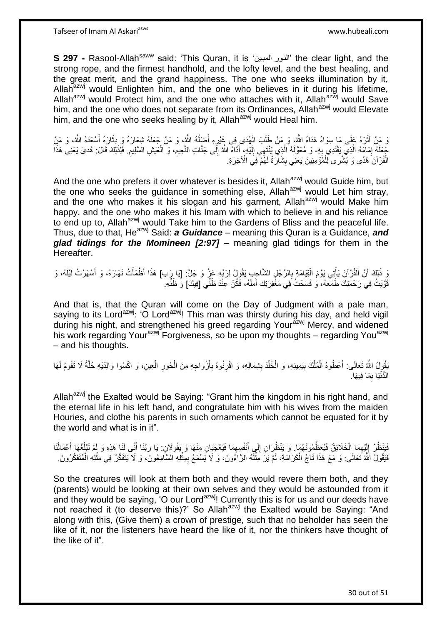**S 297 -** Rasool-Allahsaww said: 'This Quran, it is 'المبوين النوور 'the clear light, and the strong rope, and the firmest handhold, and the lofty level, and the best healing, and the great merit, and the grand happiness. The one who seeks illumination by it, Allah $a^{2x}$  would Enlighten him, and the one who believes in it during his lifetime, Allah<sup>azwj</sup> would Protect him, and the one who attaches with it, Allah<sup>azwj</sup> would Save him, and the one who does not separate from its Ordinances, Allah<sup>azwj</sup> would Elevate him, and the one who seeks healing by it, Allah<sup>azwj</sup> would Heal him.

ه وَ مَنْ آثَرَهُ عَلَى مَا سِوَاهُ هَدَاهُ اللَّهُ، وَ مَنْ طَلَبَ الْهُدَى فِي غَيْرِهِ أَضَلَّهُ اللَّهُ، وَ هَنْ َ ِ ْ َ َ جَعَلَهُ إِمَامَهُ الَّذِي يَقْتَدِي بِهِ- وَ مُعَوَّلَهُ الَّذِي يَنْتَهِي إِلَيْهِ، أَدَّاهٌ اللَّهُ إِلَى جَنَّاتِ النَّعِيمِ، وَ الْعَيْشِ السَّلِيمِ. فَلِذَلِكَ قَالَ: هُدىً يَعْنِي هَذَا **∶** اً ِ ِ ْ ِ  $\frac{1}{2}$ َ لَ  $\frac{1}{2}$ ه الْقُرْ آنَ هُدًى وَ بُشْر ى لِّلْمُؤْمِنِينَ يَعْنِي بِشَارَةً لَهُمْ ۖ فِي الْآخِرَةِ. ْ **!** 

And the one who prefers it over whatever is besides it, Allah<sup>azwj</sup> would Guide him, but the one who seeks the guidance in something else, Allah<sup>azwj</sup> would Let him stray, and the one who makes it his slogan and his garment, Allah<sup>azwj</sup> would Make him happy, and the one who makes it his Imam with which to believe in and his reliance to end up to, Allah<sup>azwj</sup> would Take him to the Gardens of Bliss and the peaceful life. Thus, due to that, He<sup>azwj</sup> Said: **a Guidance** – meaning this Quran is a Guidance, **and** *glad tidings for the Momineen [2:97]* – meaning glad tidings for them in the Hereafter.

وَ ذَلِكَ أَنَّ الْقُرْآنَ يَأْتِي بَوْمَ الْقِيَامَةِ بِالرَّجُلِ الشَّاجِبِ يَقُولُ لِرَبِّهِ عَزٍّ وَ جَلَّ: [يَا رِبَبِ) هَذَا أَظْمَأْتُ نَهَارَهُ، وَ أَسْهَرْتُ لَيْلَهُ، وَ ِ ْ ْ ْ َ َ ْ قَوَّيْتُ فِي رَحْمَتِكَ طَمَعَهُ، وَ فَسَحْتُ فِي مَغْفِرَتِكَ أَمَلَهُ، فَكُنْ عِنْدَ ظَنِّي [فِيكَ] وَ ظَنِّهِ َ

And that is, that the Quran will come on the Day of Judgment with a pale man, saying to its Lord<sup>azwj</sup>: 'O Lord<sup>azwj</sup>! This man was thirsty during his day, and held vigil during his night, and strengthened his greed regarding Your<sup>azwj</sup> Mercy, and widened his work regarding Your<sup>azwj</sup> Forgiveness, so be upon my thoughts – regarding You<sup>azwj</sup> – and his thoughts.

**∶** ُفْوِلُ اللَّهُ تَعَالَى: أَعْطُوهُ الْمُلْكَ بِيَمِينِهِ، وَ الْخُلْدَ بِشِمَالِهِ، وَ اقْرِنُوهُ بِأَزْوَاجِهِ مِنَ الْحُورِ الْعِينِ، وَ اكْسُوا وَالِدَيْهِ حُلَّةً لَا تَقُومُ لَهَا ْ َ ِ **ٍ** ِ ْ **!** ْ ْ َ ه ْ الْدُّنْيَا بِمَا فِيهَا. ِ

Allah<sup>azwj</sup> the Exalted would be Saying: "Grant him the kingdom in his right hand, and the eternal life in his left hand, and congratulate him with his wives from the maiden Houries, and clothe his parents in such ornaments which cannot be equated for it by the world and what is in it".

فَيَنْظُرُ إِلَيْهِمَا الْخَلَائِقُ فَيُعَظِّمُونَهُمَا ۚ وَ يَنْظُرَانِ إِلَى أَنْفُسِهِمَا فَيَعْجَبَانِ مِنْهَا وَ يَقُولَانِ بِا رَبَّنَا أَنِّي لَنَا هَذِهِ وَ لَمْ تَبْلُغْهَا أَعْمَالُنَا  $\ddot{\xi}$ َ ِ ْ ِ لَ ِ ُ َ  $\overline{a}$ َ فَيَقُولُ اللَّهُ تَعَالَى: وَ مَعَ هَذَا تَاجُ الْكَرَامَةِ، لَمْ يَرَ مِثْلَهُ الرَّاءُونَ، وَ لَا يَسْمَعُ بِمِثْلِهِ السَّامِعُونَ، وَ لَا يَتَفَكَّلُ فِي مِثْلِهِ الْمُتَفَكِّرُونَ ْ ْ ِ لَ ا<br>الأُ ْ ْ

So the creatures will look at them both and they would revere them both, and they (parents) would be looking at their own selves and they would be astounded from it and they would be saying, 'O our Lord<sup>azwj</sup>! Currently this is for us and our deeds have not reached it (to deserve this)?' So Allah<sup>azwj</sup> the Exalted would be Saying: "And along with this, (Give them) a crown of prestige, such that no beholder has seen the like of it, nor the listeners have heard the like of it, nor the thinkers have thought of the like of it".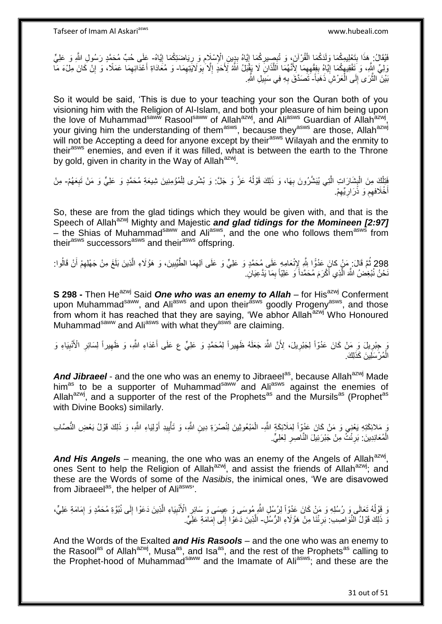يُفَانُ: هَذَا بِتَعْلِيمِكُمَا وَلَذَكُمَا الْقُرْآنَ، وَ تُبِصِيرِكُمَا إِيَّاهُ بِدِينِ الْإِسْلَامِ وَ رِيَاضَتِكُمَا إِيَّاهُ- عَلَى حُبِّ مُحَمَّدٍ رَسُولِ اللَّهِ وَ عَلِيٍّ<br>فَيْسَانِ عَلَيْهِ الْعَلَيْمِ وَاللَّهُ ِ ِ **∶** ْ **∣** ِ **ٍ** ِ وَلِّيِّ إِنَّهِ، وَ تَفْقِيهِكُمَا إِيَّاهُ بِفِقْهِهِمَا لِأَنَّهُمَا اللَّذَانَ لَا يَقْبَلُ اللَّهُ لِأَحَدٍ إِلَّا بِوَلَايَتَهِمَا- وَ مُغَادَاةِ أَعْدَائِهِمَا عَمَلًا، وَ إِنَّ كَانَ مِلْءَ مَا ِ ِ ه ِ **∣** <u>֖֖֚֚֚֓</u>ׇ֛֚ ِ ِ ِ بَيْنَ الثَّرَى إِلَى الْعَرْشِ ذَهَبَاً- َتَصَدَّقَ بِهِ فِي سَبِيلِ الثَّهِ. :<br>ا  $\frac{1}{2}$ ه **!** ِ

So it would be said, 'This is due to your teaching your son the Quran both of you visioning him with the Religion of Al-Islam, and both your pleasure of him being upon the love of Muhammad<sup>saww</sup> Rasool<sup>saww</sup> of Allah<sup>azwj</sup>, and Ali<sup>asws</sup> Guardian of Allah<sup>azwj</sup>, your giving him the understanding of them<sup>asws</sup>, because they<sup>asws</sup> are those, Allah<sup>azwj</sup> will not be Accepting a deed for anyone except by their<sup>asws</sup> Wilayah and the enmity to their<sup>asws</sup> enemies, and even if it was filled, what is between the earth to the Throne by gold, given in charity in the Way of Allah<sup>azwj</sup>.

فَتِلْكَ مِنَ الْبِشَارَاتِ الَّتِي يُبَشَّرُونَ بِهَا، وَ ذَلِكَ قَوْلُهُ عَزَّ وَ جَلَّ: وَ بُشْرى لِلْمُؤْمِنِينَ شِيعَةِ مُحَمَّدٍ وَ عَلِيٍّ وَ مَنْ تَبِعَهُمْ- مِنْ ا<br>ا **∶** ه **∣** ْ ֡֡<u>֡</u> ِ أَخْلَافهِمِ وَ ذَرَارِيِّهِمْ. ِ **∶** ِ َ

So, these are from the glad tidings which they would be given with, and that is the Speech of Allah<sup>azwj</sup> Mighty and Majestic *and glad tidings for the Momineen [2:97]* – the Shias of Muhammad<sup>saww</sup> and Ali<sup>asws</sup>, and the one who follows them<sup>asws</sup> from their<sup>asws</sup> successors<sup>asws</sup> and their<sup>asws</sup> offspring.

298 ثُمَّ قَالَ: مَنْ كانَ عَدُوًّا لِلَّهِ لِإِنْعَامِهِ عَلَى مُحَمَّدٍ وَ عَلِيٍّ وَ عَلَى آلِهِمَا الطَّيِّبِينَ، وَ هَؤُلَاءِ الَّذِينَ بَلَغَ مِنْ جَهْلِهِمْ أَنْ قَالُوا: َ ه ِ ْ َنْحْنُ نُبْغِضُ اللَّهَ الَّذِي أَكْرَمَ مُحَمَّداً وَ عَلِيّاً بِمَا يَدَّعِيَانِ ۖ ِ ه

**S 298 -** Then He<sup>azwj</sup> Said **One who was an enemy to Allah** – for His<sup>azwj</sup> Conferment upon Muhammad<sup>saww</sup>, and Ali<sup>asws</sup> and upon their<sup>asws</sup> goodly Progeny<sup>asws</sup>, and those from whom it has reached that they are saying, 'We abhor Allah<sup>azwj'</sup> Who Honoured Muhammad<sup>saww</sup> and Ali<sup>asws</sup> with what they<sup>asws</sup> are claiming.

وَ جِبْرِيلَ وَ مَنْ كَانَ عَدُوّاً لِجَبْرِيلَ، لِأَنَّ اللَّهَ جَعَلَهُ ظَهِيراً لِمُحَمَّدٍ وَ عَلِيٍّ ع عَلَى أَعْدَاءِ اللَّهِ، وَ ظَهِيراً لِسَائِرِ الْأَنْبِيَاءِ وَ ِ **∶** ِ ِ ِ َ ِ الْمُرْسَلِينَ كَذَلِكَ. ْ

And Jibraeel - and the one who was an enemy to Jibraeel<sup>as</sup>, because Allah<sup>azwj</sup> Made him<sup>as</sup> to be a supporter of Muhammad<sup>saww</sup> and Ali<sup>asws</sup> against the enemies of Allah<sup>azwj</sup>, and a supporter of the rest of the Prophets<sup>as</sup> and the Mursils<sup>as</sup> (Prophet<sup>as</sup>) with Divine Books) similarly.

وَ مَلائِكَتِهِ يَعْنِي وَ مَنْ كَانَ عَدُوّاً لِمَلَائِكَةٍ اللَّهِ- الْمَبْعُوثِينَ لِنُصْرَةِ دِينِ اللَّهِ، وَ تَأْيِيدِ أَوْلِيَاءِ اللَّهِ، وَ ذَلِكَ قَوْلُ بَعْضِ النُّصَابِ َ ِ ْ الْمُعَانِدِينَ: بَرِئْتُ مِنْ جَبْرَئِيلَ النَّاصِرِ لِعَلِيٍّ. ِ **∶** ْ

And His Angels – meaning, the one who was an enemy of the Angels of Allah<sup>azwj</sup>, ones Sent to help the Religion of Allah<sup>azwj</sup>, and assist the friends of Allah<sup>azwj</sup>; and these are the Words of some of the *Nasibis*, the inimical ones, 'We are disavowed from Jibraeel<sup>as</sup>, the helper of Aliasws<sup>3</sup>.

وَ قَوْلُهُ تَعَالَى وَ رُسُلِهِ وَ مَنْ كَانَ عَدُوّاً لِرُسُلِ اللَّهِ مُوسَى وَ عِيِسَى وَ سَائِرِ الْأُنْبِيَاءِ الَّذِينَ دَعَوْا إِلَى نُبُوّةِ مُحَمَّدٍ وَ إِمَامَةِ عَلِيٍّ، :<br>با ِ ِ ه ِ ِ نَ ذَلِكَ قَوْلُ النَّوَاصِبِ: بَرِئْنَا مِنْ هَؤُلَاءِ الرُّسُلِ- الَّذِينَ دَعَوْا إِلَى إِمَامَةِ عَلِيٍّ. ِ ِ  $\frac{1}{2}$ ه

And the Words of the Exalted *and His Rasools* – and the one who was an enemy to the Rasool<sup>as</sup> of Allah<sup>azwj</sup>, Musa<sup>as</sup>, and Isa<sup>as</sup>, and the rest of the Prophets<sup>as</sup> calling to the Prophet-hood of Muhammad<sup>saww</sup> and the Imamate of Ali<sup>asws</sup>; and these are the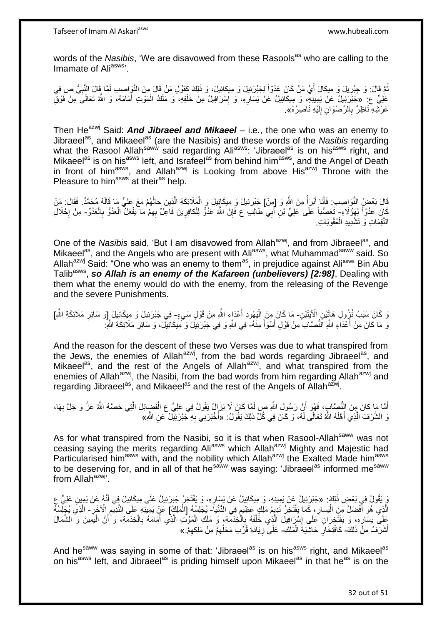Tafseer of Imam Al Askariasws www.hubeali.com

words of the *Nasibis*, 'We are disavowed from these Rasools<sup>as</sup> who are calling to the Imamate of Aliasws<sup>,</sup>

نُّمَّ قَالَ: وَ جِبْرِيلَ وَ مِيكالَ أَيْ مَنْ كَانَ عَدُوّاً لِجَبْرَئِيلَ وَ مِيكَائِيلَ، وَ ذَلِكَ كَقَوْلِ مَنْ قَالَ مِنَ النَّوِاصِبِ لَمَّا قَالَ النَّبِيُّ ص فِي **∶ ∶** عَلِيٍّ ع ِ «جَبْرَئِيلُ عَنْ بَمِينِهِ ۖ، وَ مِيكَائِيلُ عَنْ يَسَارِهِ، وَ إِسْرَافِيلُ مِنْ خَلْفِهِ، وَ مَلَكُ الْمَوْتِ أَمَامَهُ، وَ اللَّهُ تَعَالَى مِنْ فَوْقِ َ ْ ْ ِ ِ عَرْشِهِ نَاظِرٌ بِالرِّصْوَانِ إِلَيْهِ نَاصِرُهُ». لَ יִי<br>י ِ

Then He<sup>azwj</sup> Said: **And Jibraeel and Mikaeel** – i.e., the one who was an enemy to Jibraeel<sup>as</sup>, and Mikaeel<sup>as</sup> (are the Nasibis) and these words of the *Nasibis* regarding what the Rasool Allah<sup>saww</sup> said regarding Ali<sup>asws</sup>: 'Jibraeel<sup>as</sup> is on his<sup>asws</sup> right, and Mikaeel<sup>as</sup> is on his<sup>asws</sup> left, and Israfeel<sup>as</sup> from behind him<sup>asws</sup>, and the Angel of Death in front of him<sup>asws</sup>, and Allah<sup>azwj</sup> is Looking from above His<sup>azwj</sup> Throne with the Pleasure to him<sup>asws</sup> at their<sup>as</sup> help.

قَالَ بَعْضُ النَّوَاصِبِ: فَأَنَا أَبْرَأُ مِنَ اللَّهِ وَ [مِنْ] جَبْرَئِيلَ وَ مِيكَائِيلَ وَ الْمَلَائِكَةِ الَّذِينَ حَالُهُمْ مَعَ عَلِيٍّ مَا قَالَهُ مُحَمَّدٌ. فَقَالَ: مَنْ ا<br>المستقبل َ َ ُ ه كَانَ عَدُوّاً لِهَؤُلَاءِ- تَعَصُّداً عَلَى عَلِيِّ بْنِ أَبِي طَالِبٍ ع فَإِنَّ اللَّهَ عَدُوٌّ لِلْكافِرِينَ فَاعِلٌ بِهِمْ مَا يَفْعَلُ الْعَدُوُّ بِالْعَدُوِّ- مِنْ إِحْلَالِ َ ِ ْ ِ ْ ِ ْ ِ ِ النَّقِمَاتِ وَ تَشْدِيدِ الْعُقُوبَاتِ. ْ

One of the *Nasibis* said, 'But I am disavowed from Allah<sup>azwj</sup>, and from Jibraeel<sup>as</sup>, and Mikaeel<sup>as</sup>, and the Angels who are present with Ali<sup>asws</sup>, what Muhammad<sup>saww</sup> said. So Allah<sup>azwj</sup> Said: "One who was an enemy to them<sup>as</sup>, in prejudice against Ali<sup>asws</sup> Bin Abu Talib<sup>asws</sup>, so Allah is an enemy of the Kafareen (unbelievers) [2:98], Dealing with them what the enemy would do with the enemy, from the releasing of the Revenge and the severe Punishments.

وَ كَانَ سَبَبُ نُزُولِ هَاتَيْنِ الْإِيَتَيْنِ- مَا كَانَ مِنَ الْيَهُودِ أَعْدَاءٍ اللَّهِ مِنْ قَوْلٍ سَيءٍ- فِي جَبْرَئِيلَ وَ مِيكَائِيلَ إِوَ سَائِرِ مَلَائِكَةِ اللَّهِ] ِ َ :<br>ا ِ َ مَا كَانَ مِنْ أَعْدَاءِ اللَّهِ النُّصَّابِ مِنْ قَوْلٍ أَسْوَأَ مِنْهُ- فِي اللَّهِ وَ فِي جَبْرَتِيلَ وَكَمِيكَائِيلَ، وَ سَائِرِ مَلَائِكَةِ اللَّهِ-َ َ ِ

And the reason for the descent of these two Verses was due to what transpired from the Jews, the enemies of Allah<sup>azwj</sup>, from the bad words regarding Jibraeel<sup>as</sup>, and Mikaeel<sup>as</sup>, and the rest of the Angels of Allah<sup>azwj</sup>, and what transpired from the enemies of Allah<sup>azwj</sup>, the Nasibi, from the bad words from him regarding Allah<sup>azwj</sup> and regarding Jibraeel<sup>as</sup>, and Mikaeel<sup>as</sup> and the rest of the Angels of Allah<sup>azwj</sup>.

أَمَّا مَا كَانَ مِنَ النُّصَّابِ، فَهُوَ أَنَّ رَسُولَ اللَّهِ صِ لَمَّا كَانَ لَا يَزَالُ يَقُولُ فِي عَلِيٍّ عِ الْفَضَائِلَ الَّتِي خَصَّهُ اللَّهُ عَزَّ وَ جَلَّ بِهَا، ْ َ َ ِ ه وَ الشَّرَفَ الَّذِي أَهَّلَهُ اللَّهُ تَعَالَى لَهُ، وَ كَانَ فِي كُلِّ ذَلِكَ يَقُولُ: «أَخْبَرَنِي بِهِ جَبْرَئِيلُ عَنِ الثَّمِ» َ ه ِ

As for what transpired from the Nasibi, so it is that when Rasool-Allah<sup>saww</sup> was not ceasing saying the merits regarding Ali<sup>asws</sup> which Allah<sup>azwj</sup> Mighty and Majestic had Particularised him<sup>asws</sup> with, and the nobility which Allah<sup>azwj</sup> the Exalted Made him<sup>asws</sup> to be deserving for, and in all of that he<sup>saww</sup> was saying: 'Jibraeel<sup>as</sup> informed me<sup>saww</sup> from Allah<sup>azwj</sup>'.

ِ يَقُولُ فِي بَعْضِ ذَلِكَ: «جَبْرَئِيلُ عَنْ يَمِينِهِ، وَ مِيكَائِيلُ عَنْ يَسَارِهِ، وَ يَفْتَخِرُ جَبْرَئِيلُ عَلَى مِيكَائِيلَ فِي أَنَّهُ عَنْ يَمِينِ عَلِيٍّ عِ<br>وَ يَقُولُ فِي بَعْبَ مِنْ يَجْبَ بِهِ الْمَسْرَةِ م َ الَّذِي هُوَ أَفْضَلُ مِنَ الْيَسَارِ ، كَمَا يَفْتَخِرُ نَدِيِمُ مَلِكٍ عَظِيمٍ فِي الدُّنْيَا- يُجْلِسُهُ [الْمَلِكُ] عَنْ يَمِيلِّدِهِ عَلَى النَّذِيمِ الْآخَرِ - الَّذِي يُخِلِّسُهُ ٍ ِ ا<br>ا َ ْ ِ ِ ه عَلَى بَسَارِهِ، وَ يَفْتَخِرَانِ عَلَى إِسْرَافِيلَ الَّذِي خَلْفَهُ بِالْخِدْمَةِ، وَ مَلَكِ الْمَوْتِ الَّذِي أَمَامَهُ بِالْخِدْمَةِ، وَ أَنَّ الْيَمِينَ وَ الشُّمَالَ ْ **∶** َ ه ْ ْ **∶** ْ ه יִין<br>∶ ِ ْ َ أَشْرَفُ مِنَّ ذَلِكَ- كَافْتِخَارِ حَاشِّيَةَ الْمَلِكِ- عَلَى زِيَادَةِ قُرْبِ مَحَلِّهِمْ مِنْ مَلِكِهِمْ.» ْ ِ ِ ِّ ِ

And he<sup>saww</sup> was saying in some of that: 'Jibraeel<sup>as</sup> is on his<sup>asws</sup> right, and Mikaeel<sup>as</sup> on his<sup>asws</sup> left, and Jibraeel<sup>as</sup> is priding himself upon Mikaeel<sup>as</sup> in that he<sup>as</sup> is on the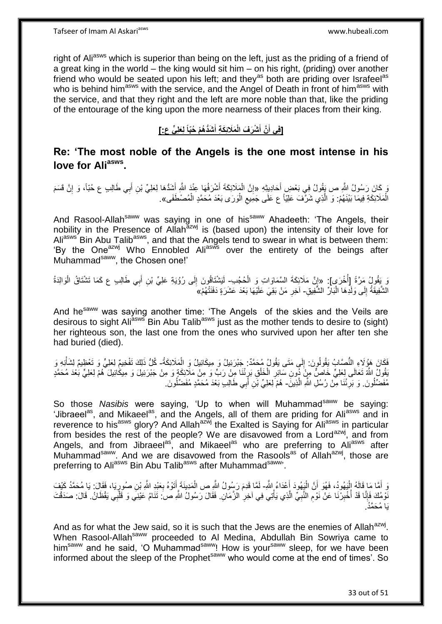right of Ali<sup>asws</sup> which is superior than being on the left, just as the priding of a friend of a great king in the world – the king would sit him – on his right, (priding) over another friend who would be seated upon his left; and they<sup>as</sup> both are priding over Israfeel<sup>as</sup> who is behind him<sup>asws</sup> with the service, and the Angel of Death in front of him<sup>asws</sup> with the service, and that they right and the left are more noble than that, like the priding of the entourage of the king upon the more nearness of their places from their king.

#### **ْش َّن أ ]فِي أ َشُّد ُه ْم ُحّباً لَِعلِ ٍّي ع:[ َمَالئِ َك ِة أ َر َف الْ َ َ َ**

# **Re: 'The most noble of the Angels is the one most intense in his love for Aliasws .**

يَ كَانَ رَسُولُ اللَّهِ ص يَقُولُ فِي بَعْضٍ أَحَادِيثِهِ «إِنَّ الْمَلَائِكَةَ أَشْرَفُهَا عِنْدَ اللَّهِ أَشَذُهَا لِعَلِيِّ بْنِ أَبِي طَالِبِ ع حُبّاً، وَ إِنَّ قَسَمَ َ َ َ ْ יֲ<br>י ِ َ الْمَلَائِكَةِ فِيمَا بَيْنَهُمْ: وَ الَّذِي شَرَّفَ عَلِيّاً ع عَلَى جَمِيعِ الْوَرَى بَعْدَ مُحَمَّدٍ الْمُصْطَفَى». ْ ْ ِ ه ْ

And Rasool-Allah<sup>saww</sup> was saying in one of his<sup>saww</sup> Ahadeeth: 'The Angels, their nobility in the Presence of Allah<sup>azwj</sup> is (based upon) the intensity of their love for Aliasws Bin Abu Talib<sup>asws</sup>, and that the Angels tend to swear in what is between them: 'By the One<sup>azwj</sup> Who Ennobled Ali<sup>asws</sup> over the entirety of the beings after Muhammad<sup>saww</sup>, the Chosen one!'

نَ يَقُولُ مَرَّةً إِأُخْرَى]: «إِنَّ مَلَائِكَةَ السَّمَاوَاتِ وَ الْحُجُدِ-ِ لَيَشْتَاقُونَ إِلَى رُوْيَةِ عَلِيٍّ بْنِ أَبِي طَالِبِ ع كَمَا تَشْتَاقُ الْوَالِدَةُ ا<br>ا ْ ِ ْ َ ∣∣<br>∶ لَ الشَّفِيقَةُ إِلَى وَلَٰدِهَا الْبَاْرِّ الشَّفِيقِ- آخِرِ مَنْ بَقِيَ عَلَيْهَا بَعْدَ عَشَرَةٍ دَفَنَتْهُمْ»َ ا.<br>ا ∣∣<br>∶ ِ

And he<sup>saww</sup> was saying another time: 'The Angels of the skies and the Veils are desirous to sight Ali<sup>asws</sup> Bin Abu Talib<sup>asws</sup> just as the mother tends to desire to (sight) her righteous son, the last one from the ones who survived upon her after ten she had buried (died).

فَكَانَ هَؤُلَاءِ النُّصَّابُ يَقُولُونَ: إِلَى مَتَى يَقُولُ مُحَمَّدٌ: جَبْرَئِيلُ وَ مِيكَائِيلُ وَ الْمَلَائِكَةُ- كُلُّ ذَلِكَ تَفْخِيمٌ لِعَلِيٍّ وَ تَعْظِيمٌ لِشَأْنِهِ وَ  $\frac{1}{2}$ ْ بْقُولُ اللَّهُ تَعَالَى لِعَلِيٍّ خَاصٌّ مِنْ َ دُونِ سَائِرِ الْخَلْقِ بَرِئْنَا مِنْ رَبٍّ وَ مِنْ مَلَائِكَةٍ وَ مِنْ جَبْرَئِيلَ وَ مِيكَائِيلَ هُمْ لِعَلِيٍّ بَعْدَ مُحَمَّدٍ ∫ ْ ْ ِ مُفَضِّلُونَ. وَ بَرِئْنَا مِّنْ رُسُلِ اللَّهِ الَّذِينَ- هُمْ لِعَلِيِّ بْنِ أَبِي طَالِبِ بَعْدَ مُحَمَّدٍ مُفَضِّلُونَ. ه **∶** َ ُ

So those *Nasibis* were saying, 'Up to when will Muhammad<sup>saww</sup> be saying: 'Jibraeel<sup>as</sup>, and Mikaeel<sup>as</sup>, and the Angels, all of them are priding for Ali<sup>asws</sup> and in reverence to his<sup>asws</sup> glory? And Allah<sup>azwj</sup> the Exalted is Saying for Ali<sup>asws</sup> in particular from besides the rest of the people? We are disavowed from a Lord<sup>azwj</sup>, and from Angels, and from Jibraeel<sup>as</sup>, and Mikaeel<sup>as</sup> who are preferring to Ali<sup>asws</sup> after Muhammad<sup>saww</sup>. And we are disavowed from the Rasools<sup>as</sup> of Allah<sup>azwj</sup>, those are preferring to Aliasws Bin Abu Talibasws after Muhammadsaww.

َ أَمَّا هَا قَالَهُ إِلْيَهُودُ، فَهُوَ أَنَّ الْيَهُودَ أَعْدَاءُ اللَّهِ- لَمَّا قَدِمَ رَسُولُ اللَّهِ ص الْمَدِينَةَ أَتَوْهُ بِعَيْدِ اللَّهِ بْنِ صُورِيَا، فَقَالَ: يَا مُحَمَّدُ كَيْفَ<br>يَدِينَ مَعَ عَبَّدَتُ الْهُم َ ْ اً ا<br>ا َ ِ ِ َ ْ نْوْمُكَ فَإِنَّا قَدْ أُخْبِرْنَا عَنْ نَوْمِ النَّبِيِّ الَّذِي يَأْتِي فِي آخِرِ الزَّمَانِ. فَقَالَ رَسُولُ اللَّهِ صَ تَنَامُ عَيْنِيَ وَ قَلْبِي يَقْظَانُ. قَالَ: صَدَقْتَ **∶** ْ ه ِ ِ **!** ا<br>أ ِ ْ يَا مُحَمَّدُ.

And as for what the Jew said, so it is such that the Jews are the enemies of Allah<sup>azwj</sup>. When Rasool-Allah<sup>saww</sup> proceeded to Al Medina, Abdullah Bin Sowriya came to him<sup>saww</sup> and he said, 'O Muhammad<sup>saww</sup>! How is your<sup>saww</sup> sleep, for we have been informed about the sleep of the Prophet<sup>saww</sup> who would come at the end of times'. So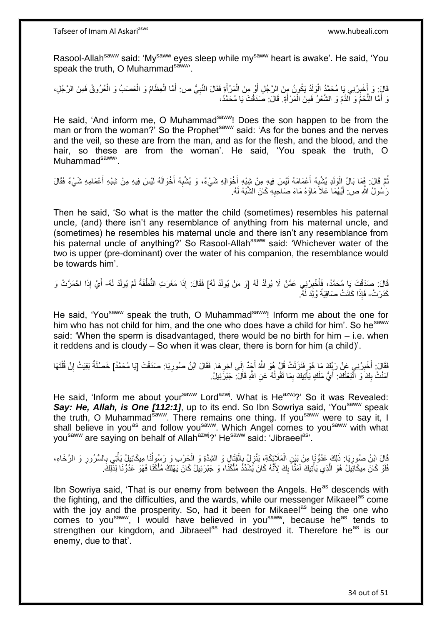Rasool-Allah<sup>saww</sup> said: 'My<sup>saww</sup> eyes sleep while my<sup>saww</sup> heart is awake'. He said, 'You speak the truth, O Muhammadsaww.

قَالَ: وَ أَخْبِرْنِي يَا مُحَمَّدُ الْوَلَدُ يَكُونُ مِنَ الرَّجُلِ أَوْ مِنَ الْمَرْأَةِ فَقَالَ النَّبِيُّ ص: أَمَّا الْعِظَامُ وَ الْعُصَبُ وَ الْعُرُوقُ فَمِنَ الرَّجُلِ، َ ْ َ :<br>ا **!** َ ْ ْ ْ َ ِ وَ أَمَّا اللَّحْمُ وَ الْقَمُ وَ الشَّعْرُ فَمِنَ الْمَرْأَةِ. قَالَ: صَدَقْتَ يَا مُحَمَّدُ، َ ْ ه َ

He said, 'And inform me, O Muhammad<sup>saww</sup>! Does the son happen to be from the man or from the woman?' So the Prophet<sup>saww</sup> said: 'As for the bones and the nerves and the veil, so these are from the man, and as for the flesh, and the blood, and the hair, so these are from the woman'. He said, 'You speak the truth, O Muhammad<sup>saww,</sup>

نُمَّ قَالَ: فَمَا بَالُ اِلْوَلَدِ يُشْبِهُ أَعْمَامَهُ لَيْسَ فِيهِ مِنْ شِبْهِ أَخْوَالِهِ شَيْءٌ، وَ يُشْبِهُ أَخْوَالَهُ لَيْسَ فِيهِ مِنْ شِبْهِ أَعْمَامِهِ شَيْءٌ فَقَالَ َ َ ِ ْ َ َ ِ رَسُولُ اللَّهِ ص: أَيُّهُمَا عَلَاَ مَاؤُهُ مَاءَ صَاحِبِهِ كَانَ الشَّبَهُ لَهُ. ِ َ لَ

Then he said, 'So what is the matter the child (sometimes) resembles his paternal uncle, (and) there isn't any resemblance of anything from his maternal uncle, and (sometimes) he resembles his maternal uncle and there isn't any resemblance from his paternal uncle of anything?' So Rasool-Allah<sup>saww</sup> said: 'Whichever water of the two is upper (pre-dominant) over the water of his companion, the resemblance would be towards him'.

قَالَ: صَدَقْتَ يَا مُحَمَّدُ، فَأَخْبِرْنِي عَمَّنْ لَا يُولَدُ لَهُ [وَ مَنْ يُولَدُ لَهُ] فَقَالَ: إِذَا مَغَرَتِ النُّطْفَةُ لَمْ يُولَدْ لَهُ- أَيْ إِذَا احْمَرَّتْ وَ **∫** َ لَ َ كَدَرَتْ- فَإِذَا كَانَتْ صَافِيَةً وُلِّدَ لَهُ.

He said, 'You<sup>saww</sup> speak the truth, O Muhammad<sup>saww</sup>! Inform me about the one for him who has not child for him, and the one who does have a child for him'. So he<sup>saww</sup> said: 'When the sperm is disadvantaged, there would be no birth for him – i.e. when it reddens and is cloudy – So when it was clear, there is born for him (a child)'.

فَقَالَ: أَخْبِرْنِي عَنْ رَبِّكَ مَا هُوَ فَنَزَلَتْ قُلْ هُوَ اللَّهُ أَجَدٌ إِلَى آخِرِ هَا. فَقَالَ ابْنُ صُورِيَا: صَدَقْتَ [يَا مُحَمَّدُ] خَصْلَةٌ بَقِيَتْ إِنْ قُلْتَهَا **!** ِ  $\frac{1}{2}$ ْ ِ ِ اْمَنْتُ بِكََ وَ اتَّبَعْتُكَ: أَيُّ مَلَكٍ يَأْتِيكَ بِمَا نَقُولُهُ عَنِ اللَّهِ قَالَ: جَبْرَتِيلُ.  $\frac{1}{2}$ ُ ِ **ٔ** َ

He said, 'Inform me about your<sup>saww</sup> Lord<sup>azwj</sup>. What is He<sup>azwj</sup>?' So it was Revealed: Say: He, Allah, is One [112:1], up to its end. So Ibn Sowriya said, 'You<sup>saww</sup> speak the truth, O Muhammad<sup>saww</sup>. There remains one thing. If you<sup>saww</sup> were to say it, I shall believe in you<sup>as</sup> and follow you<sup>saww</sup>. Which Angel comes to you<sup>saww</sup> with what you<sup>saww</sup> are saying on behalf of Allah<sup>azwj</sup>?' He<sup>saww</sup> said: 'Jibraeel<sup>as</sup>'.

قَالَ ابْنُ صُورِيَا: ذَلِكَ عَدُّوُّنَا مِنْ بَيْنِ الْمَلَائِكَةِ، يَنْزِلُ بِالْقِتَالِ وَ الشِّدَّةِ وَ الْحَرْب وَ رَسُولُنَا مِيكَائِيلُ يَأْتِي بِالسُّرُورِ وَ الرَّخَاءِ،<br>كَذِي رَسُولِيَا: ذَلِكَ عَدُّوُّنَا مِنْ ْ ֢֧֦֧֦֧֦֧֦֧֚֚ ֦֧֦֧֦֧֦֧֦֧֦֢֦֦֜֜ ْ **∶ ∶** ِ ْ ُ ْ َفَلَوْ كَانَ مِيكَائِيِّلُ هُوَ الَّذِي يَأْتِيكَ آمَنًّا بِكَ لِأَنَّهُ كَانَ يُشَدِّدُ مُلْكَنَا، وَ جَبْرَئِيلُ كَانَ يَهْلِكُ مُلْكَنَا فَهُوَ عَدُوُّنَا لِذَّلِكَ. ْ  $\frac{1}{2}$ ْ ه ْ

Ibn Sowriya said, 'That is our enemy from between the Angels. He<sup>as</sup> descends with the fighting, and the difficulties, and the wards, while our messenger Mikaeel<sup>as</sup> come with the joy and the prosperity. So, had it been for Mikaeel<sup>as</sup> being the one who comes to you<sup>saww</sup>, I would have believed in you<sup>saww</sup>, because he<sup>as</sup> tends to strengthen our kingdom, and Jibraeel<sup>as</sup> had destroyed it. Therefore he<sup>as</sup> is our enemy, due to that'.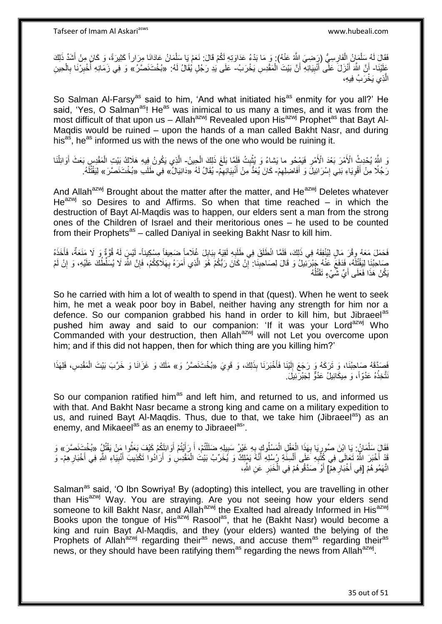فَقَالَ لَهُ سَلْمَانُ الْفَارِسِيُّ (رَضِيَ اللَّهُ عَنْهُ) , وَ مَا بَدْءُ عَدَاوَتِهِ لَكُمْ قَالَ: نَعَمْ يَا سَلْمَانُ عَادَانَا مِرَاراً كَثِيرَةً، وَ كَانَ مِنْ أَشَدِّ ذَلِكَ ِ ْ ْ َ ْ عَلَيْنَا- أَنَّ اللَّهَ أَنْزَلَ عَلَّى أُنْبِيَائِهِ أَنَّ بَيْتَ الْمَقْدِسِ يَخْرَبُ- عَلَى يَدِ رَجُلٍ يُقَالُ لَهُ: «بُخْتَنَصَرٌ/» وَ فِي زَمَانِهِ أُخْبِرْنَا بِالْحِينِ َ ْ اً **!** َ ْ ِ ِ ا<br>ا الَّذِي يَخْرَبُ فِيهِ، ه

So Salman Al-Farsy<sup>as</sup> said to him, 'And what initiated his<sup>as</sup> enmity for you all?' He said, 'Yes, O Salman<sup>as</sup>! He<sup>as</sup> was inimical to us many a times, and it was from the most difficult of that upon us – Allah<sup>azwj</sup> Revealed upon His<sup>azwj</sup> Prophet<sup>as</sup> that Bayt Al-Maqdis would be ruined – upon the hands of a man called Bakht Nasr, and during his<sup>as</sup>, he<sup>as</sup> informed us with the news of the one who would be ruining it.

وَ اللَّهُ يُحْدِثُ الْأَمْرَ بَعْدَ الْأَمْرِ فَيَمْحُو ما يَشاءُ وَ يُثْبِتُ فَلَمَّا بَلَغَ ذَلِكَ الْحِينُ- الَّذِي يَكُونُ فِيهِ هَلَاكُ بَيْتِ الْمَقْدِسِ بَعَثَ أَوَائِلُنَا **∣** ْ ِ ْ ا<br>ا َ ْ ه رَّجُلًا مِنْ أَقْوِيَاءِ بَنِّي إِسْرَائِيلَۖ وَ أَفَاضِلِهِمْ- كَانَ يُعَدُّ مِنْ أَنْبِيَائِهِمْ- يُقَالُ لَهُ «دَانِيَالُ» فِي طَلَب «بُخْتَنَصَّرَ» لِيَقْتُلُهُ. ِ َ ِ َ יִין<br>∶ ِ ِ لَ

And Allah<sup>azwj</sup> Brought about the matter after the matter, and He<sup>azwj</sup> Deletes whatever  $He^{azwj}$  so Desires to and Affirms. So when that time reached – in which the destruction of Bayt Al-Maqdis was to happen, our elders sent a man from the strong ones of the Children of Israel and their meritorious ones – he used to be counted from their Prophets<sup>as</sup> – called Daniyal in seeking Bakht Nasr to kill him.

فَحَمَلَ مَعَهُ وِقْرَ مَالٍ لِيُنْفِقَهُ فِي ذَلِكَ، فَلَمَّا انْطَلَقَ فِي طَلَبِهِ لَقِيَهُ بِبَابِلَ غُلَاماً صَعِيفاً مِسْكِيناً- لَيْسٍ لَهُ قُوَّةٌ وَ لَا مَنَعَةٌ، فَأَخَذَهُ ِ  $\frac{1}{2}$ ِ ِ م<br>أ لَ صَاحِبُنَا لِيَقْتُلَهُ، فَدَفَعً عَنْهُ جَبْرَتَيْلُ وَ قَالَ لِصَاحِبِنَا: إِنْ كَانَ رَبُّكُمْ هُوَ الَّذِي أَمَرَهُ بِهَلَاكِكُمْ، فَإِنَّ اللَّهَ لَا يُسَلِّطُكَ عَلَيْهِ، وَ إِنْ لَمْ لَ **!** ِ ِ ِ َ ه ِ يَكُنْ هَذَا فَعَلَى أَيِّ شَّيْءٍ تَقْتُلُهُ ا<br>ا

So he carried with him a lot of wealth to spend in that (quest). When he went to seek him, he met a weak poor boy in Babel, neither having any strength for him nor a defence. So our companion grabbed his hand in order to kill him, but Jibraeel<sup>as</sup> pushed him away and said to our companion: 'If it was your Lord<sup>azwj</sup> Who Commanded with your destruction, then Allah<sup>azwj</sup> will not Let you overcome upon him; and if this did not happen, then for which thing are you killing him?'

فَصَدَّقَهُ صَاحِبُنَا، وَ تَرَكَهُ وَ رَجَعَ إِلَيْنَا فَأَخْبَرَنَا بِذَلِكَ، وَ قَوِيَ «بُخْتَنَصَّرُ وَ» مَلَكَ وَ غَزَانَا وَ خَرَّبَ بَيْتَ الْمَقْدِسِ، فَلِهَذَا **∶** َ لَ  $\frac{1}{2}$ ْ نَتَّخِذُهُ عَدُوّاً، وَ مِيكَائِيلُ عَذُوٌّ لِجَبْرَنِّيلَ.

So our companion ratified him<sup>as</sup> and left him, and returned to us, and informed us with that. And Bakht Nasr became a strong king and came on a military expedition to us, and ruined Bayt Al-Magdis. Thus, due to that, we take him (Jibraeel<sup>as</sup>) as an enemy, and Mikaeel<sup>as</sup> as an enemy to Jibraeel<sup>as</sup>'.

فَقَالَِ سَلْمَانُ : يَا اِبْنَ صُورٍيَا بِهَذَا الْعَقْلِ الْمَسْلُوكِ بِهِ غَيْرُ سَبِيلِهِ ضَلَّلْتُمْ، أَ رَأَيْتُمْ أَوَائِلَكُمْ كَيْفَ بَعَثُوا مَنْ يَقْتُلُ «بُخْتِ َفَصَّرَ» وَ َ َ ْ ِ ِ ْ ْ **∶** ِ ْ ا<br>ا قَدْ أَخْبَرَ اللَّهُ تَعَالَى فِي كُٰثُبِهِ عَلَى أَلْسِنَةِ رُسُلِهِ أَنَّهُ يَمْلِكُ وَ يُخَرِّبُ بَيْتَ الْمَقْدِسِ وَ أَرَاٰدُوا تَكْذِيبَ أَنْبِيَاءِ اللَّهِ فِي أَخْبَارِ هِمْ- وَ َ ْ َ ِ ِ َ ِ َ َ اتَّهَمُو هُمْ [فِي أَخْبَارِ هِمّْ] أَوْ صَدَّقُو هُمْ فِي الْخَبَرِ ۚ عَنِ الثَّهِ، **∶** ِ ْ َ

Salman<sup>as</sup> said, 'O Ibn Sowriya! By (adopting) this intellect, you are travelling in other than His<sup>azwj</sup> Way. You are straying. Are you not seeing how your elders send someone to kill Bakht Nasr, and Allah<sup>azwj</sup> the Exalted had already Informed in His<sup>azwj</sup> Books upon the tongue of His<sup>azwj</sup> Rasool<sup>as</sup>, that he (Bakht Nasr) would become a king and ruin Bayt Al-Maqdis, and they (your elders) wanted the belying of the Prophets of Allah<sup>azwj</sup> regarding their<sup>as</sup> news, and accuse them<sup>as</sup> regarding their<sup>as</sup> news, or they should have been ratifying them<sup>as</sup> regarding the news from Allah<sup>azwj</sup>.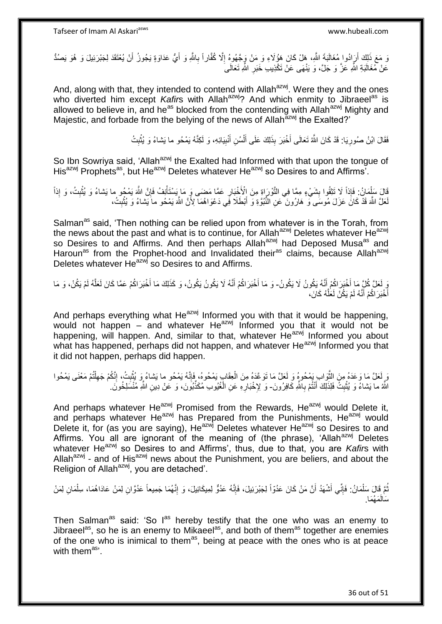وَ مَعَ ذَلِكَ أَرَادُوا مُغَالَبَةَ اللَّهِ، هَلْ كَانَ هَؤُلَاءِ وَ مَنْ وَجَهُوهُ إِلَّا كُفَّاراً بِاللَّهِ وَ أَيُّ عَدَاوَةٍ يَجُوزُ أَنْ يُعْتَقَدَ لِجَبْرَئِيلَ وَ هُوَ يَصُدُّ َ ِ ِ َ َ ِ عَنْ مُغَالَبَةِ النَّهِ عَزَّ وَ جَلَّ، وَ يَنْهَى عَنْ تَكْذِيبِ خَبَرِ اللَّهِ تَعَالَىَ

And, along with that, they intended to contend with Allah<sup>azwj</sup>. Were they and the ones who diverted him except Kafirs with Allah<sup>azwj</sup>? And which enmity to Jibraeel<sup>as</sup> is allowed to believe in, and he<sup>as</sup> blocked from the contending with Allah<sup>azwj</sup> Mighty and Majestic, and forbade from the belying of the news of Allah<sup>azwj</sup> the Exalted?'

> فَقَالَ ابْنُ صُورِيَا: قَدْ كَانَ اللَّهُ تَعَالَى أَخْبَرَ بِذَلِكَ عَلَى أَلْسُنِ أَنْبِيَائِهِ، وَ لَكِنَّهُ يَمْحُو ما يَشاءُ وَ يُثْبِتُ **!** َ ْ َ َ ِ ِ ْ

So Ibn Sowriya said, 'Allah<sup>azwj</sup> the Exalted had Informed with that upon the tongue of His<sup>azwj</sup> Prophets<sup>as</sup>, but He<sup>azwj</sup> Deletes whatever He<sup>azwj</sup> so Desires to and Affirms'.

َالَ سَلْمَانُ: فَإِذاً لَا تَتِقُوا بِشَيْءٍ مِمَّا فِي التَّوْرَاةِ مِنَ الْأَخْبَارِ عَمَّا مَضَى وَ مَا يَسْتَأْنِفُ فَإِنَّ اللَّهَ يَمْحُو ما يَسْاءُ وَ يُثْبِتُ، وَ إِذاً<br>فَالَ سَلْمَانُ: فَإِذاً لَا تَتِقُوا بِشَي **! ∶** ِ **ٔ** ∣ٍ إ ْ لَعَلَّ اللَّهَ قَدْ كَانَ عَزَلَ مُوسَى ۖ وَ هَارُونَ ۖ عَنِ النُّبُوَّةِ وَ أَبْطَلَا فِي دَعْوَاهُمَا لِأَنَّ اللَّهَ يَمْحُو ماَ يَشاءُ وَ يُثْبِتُ، َ ِ ֦֧֧֟֟֟֟֟֟<u>֓</u>

Salman<sup>as</sup> said, 'Then nothing can be relied upon from whatever is in the Torah, from the news about the past and what is to continue, for Allah<sup>azwj</sup> Deletes whatever He<sup>azwj</sup> so Desires to and Affirms. And then perhaps Allah<sup>azwj</sup> had Deposed Musa<sup>as</sup> and Haroun<sup>as</sup> from the Prophet-hood and Invalidated their<sup>as</sup> claims, because Allah<sup>azwj</sup> Deletes whatever He<sup>azwj</sup> so Desires to and Affirms.

وَ لَعَلَّ كُلِّ مَا أَخْبَرَ اكُمْ أَنَّهُ يَكُونُ لَا يَكُونُ- وَ مَا أَخْبَرَ اكُمْ أَنَّهُ لَا يَكُونُ يَكُونُ، وَ كَذَلِكَ مَا أَخْبَرَ اكُمْ عَمَّا كَانَ لَعَلَّهُ لَمْ يَكُنْ، وَ مَا َ َ َ َ ه أُخْبَرَ اكُمْ أَنَّهُ لَمْ يَكُنْ لَعَلَّهُ كَانَ، ه َ ا<br>ا

And perhaps everything what He<sup>azwj</sup> Informed you with that it would be happening, would not happen – and whatever He $^{a}$ zwj Informed you that it would not be happening, will happen. And, similar to that, whatever He<sup>azwj</sup> Informed you about what has happened, perhaps did not happen, and whatever He<sup>azwj</sup> Informed you that it did not happen, perhaps did happen.

رَ لَعَلَّ مَا وَعَدَهُ مِنَ الثَّوَابِ بِمُحُوهُ وَ لَعَلَّ مَا تَوَعَّدَهُ مِنَ الْعِقَابِ يَمْحُوهُ، فَإِنَّهُ يَمْحُوهُ، فَإِنَّهُ يَمْحُوهُ، فَإِنَّهُ يَمْحُوا ما يَشاءُ وَ يُثْبِتُ، إِنَّكُمْ جَهِلْتُمْ مَعْنَى يَمْح ه ِ ْ ِ ْ ْ ِ ِ اللَّهُ ما يَشاءُ وَ يُثْبِتُ فَلِذَلِكَ أَنْتُمْ بِاللَّهِ كَافِرُونَ- وَ لِإِخْبَارِهِ عَنِ الْغُيُوبِ مُكَذِّبُونَ، وَ عَنْ دِينِ اللَّهِ مُنْسَلِخُونَ. **∣** ْ **∶** َ ْ ِ ِ

And perhaps whatever He<sup>azwj</sup> Promised from the Rewards, He<sup>azwj</sup> would Delete it, and perhaps whatever He<sup>azwj</sup> has Prepared from the Punishments, He<sup>azwj</sup> would Delete it, for (as you are saying), He<sup>azwj</sup> Deletes whatever He<sup>azwj</sup> so Desires to and Affirms. You all are ignorant of the meaning of (the phrase), 'Allah<sup>azwj</sup> Deletes whatever He<sup>azwj</sup> so Desires to and Affirms', thus, due to that, you are *Kafir*s with Allah<sup>azwj</sup> - and of His<sup>azwj</sup> news about the Punishment, you are beliers, and about the Religion of Allah<sup>azwj</sup>, you are detached'.

نُّمَّ قَالَ سَلْمَانُ: فَإِنِّي أَشْهَدُ أَنَّ مَنْ كَانَ عَدُوّاً لِجَبْرَئِيلَ، فَإِنَّهُ عَدُوٌّ لِمِيكَائِيلَ، وَ إِنَّهُمَا جَمِيعاً عَدُوَّانِ لِمَنْ عَادَاهُمَا، سِلْمَانِ لِمَنْ ِ ِ َ َ ِ ْ ْ َمُهَما. َسالَ

Then Salman<sup>as</sup> said: 'So l<sup>as</sup> hereby testify that the one who was an enemy to Jibraeel<sup>as</sup>, so he is an enemy to Mikaeel<sup>as</sup>, and both of them<sup>as</sup> together are enemies of the one who is inimical to them<sup>as</sup>, being at peace with the ones who is at peace with them<sup>as</sup>'.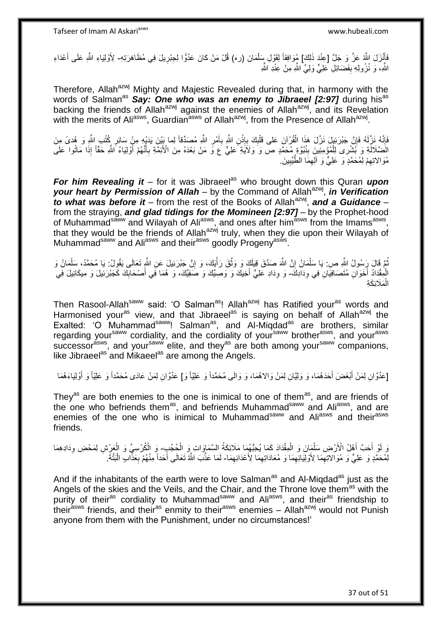فَأَنْزَلَ اللَّهُ عَزَّ وَ جَلَّ [عِنْدَ ذَلِكَ] مُوَافِقاً لِقَوْلِ سِلْمَانَ (ره) قُلْ مَنْ كانَ عَدُوًّا لِجِبْرِيلَ فِي مُظَاهَرَتِهِ- لِأَوْلِيَاءِ اللَّهِ عَلَى أَعْدَاءِ َ **∶** ْ َ اللَّهِ، وَ نُزُولِهِ بِفَضَائِلِ عَلِيٍّ وَلِيٍّ اللَّهِ مِنْ عِنْدِ اللَّهِ **∣** 

Therefore, Allah<sup>azwj</sup> Mighty and Majestic Revealed during that, in harmony with the words of Salman<sup>as</sup> Say: One who was an enemy to Jibraeel [2:97] during hisas backing the friends of Allah<sup>azwj</sup> against the enemies of Allah<sup>azwj</sup>, and its Revelation with the merits of Ali<sup>asws</sup>, Guardian<sup>asws</sup> of Allah<sup>azwj</sup>, from the Presence of Allah<sup>azwj</sup>.

فَإِنَّهُ فَإِنَّ جَبْرَئِيلَ نَزَّلَ هَذَا الْقُرْآنَ عَلى قَلْبِكَ بِإِنْنِ اللَّهِ بِأَمْرِ اللَّهِ مُصَدِّقاً لِما بَيْنَ يَدَيْهِ مِنْ سَائِرِ كُتُبَ اللَّهِ وَ هُدىً مِنَ<br>وَفَإِنَّهُ نَزَّلَهُ فَإِنَّ جَبْرَئِيلَ نَز ِ ْ ֝׀֛<br>֧֛֪֝֘ **ٔ ∶** ِ ْ ِ َ ِ ِ الْضَّلَالَةِ وَ بُشْرِى لِلْمُؤْمِنِينَ بِنُبُوَّةٍ مُحَمَّدٍ صَ وَ وَلَاَيَةٍ ۖ عَلِيٌّ عَ وَّ مَنْ بَعْدَهُ مِنَ الْأَئِمَّةِ بِأَنَّهُمْ أَوْلِيَاءُ اَشَّرِ حَقَّاً إِذَا مَاتُوا عَلَى ْ َ َ ِ **∣** مُوَالاتِهِمْ لِمُحَمَّدٍ وَ عَلِيٍّ وَ آلِهِمَا الطَّيِّبِينَ ِ ِ ِ ِ

*For him Revealing it* – for it was Jibraeel<sup>as</sup> who brought down this Quran *upon* your heart by Permission of Allah – by the Command of Allah<sup>azwj</sup>, in Verification to what was before it – from the rest of the Books of Allah<sup>azwj</sup>, and a Guidance – from the straying, *and glad tidings for the Momineen [2:97]* – by the Prophet-hood of Muhammad<sup>saww</sup> and Wilayah of Ali<sup>asws</sup>, and ones after him<sup>asws</sup> from the Imams<sup>asws</sup>, that they would be the friends of Allah<sup>azwj</sup> truly, when they die upon their Wilayah of Muhammad<sup>saww</sup> and Ali<sup>asws</sup> and their<sup>asws</sup> goodly Progeny<sup>asws</sup>.

نُّمَّ قَالَ رَسُولُ الثَّهِ ص: يَا سَلْمَانُ إِنَّ اللَّهَ صَدَّقَ قِيلَكَ وَ وَثَّقَ رَأْيَكَ، وَ إِنَّ جَبْرَئِيلَ عَنِ اللَّهِ تَعَالَى يَقُولُ: يَا مُحَمَّدُ، سَلْمَانُ وَ ه יֲ<br>י ْ ْ ِ :<br>أ الْمِقْدَادُ أَخَوَانِ مُتَصَافِيَانِ فِي وِدَادِكَ- وَ وِدَادِ عَلِيٍّ أَخِيكَ وَ وَصِيِّكَ وَ صَفِيِّكَ، وَ هُمَا فَبِي أَصْحَابِكَ كَجَبْرَئِيلَ وَ مِيكَائِيلَ فِي ِ ِ َ ِ الْمَلَائِكَةِ ْ

Then Rasool-Allah<sup>saww</sup> said: 'O Salman<sup>as</sup>! Allah<sup>azwj</sup> has Ratified your<sup>as</sup> words and Harmonised your<sup>as</sup> view, and that Jibraeel<sup>as</sup> is saying on behalf of Allah<sup>azwj</sup> the Exalted: 'O Muhammad<sup>saww</sup>! Salman<sup>as</sup>, and Al-Miqdad<sup>as</sup> are brothers, similar regarding your<sup>saww</sup> cordiality, and the cordiality of your<sup>saww</sup> brother<sup>asws</sup>, and your<sup>asws</sup> successor<sup>asws</sup>, and your<sup>saww</sup> elite, and they<sup>as</sup> are both among your<sup>saww</sup> companions, like Jibraeel<sup>as</sup> and Mikaeel<sup>as</sup> are among the Angels.

[عَدُوَّانِ لِمَنْ أَبْغَضَ أَحَدَهُمَا، وَ وَلِيَّانِ لِمَنْ وَالاهُمَا، وَ وَالَى مُحَمَّداً وَ عَلِيّاً وَ أَوْلِيَا وَالْقِيَاءَهُمَا َ َ َ

They<sup>as</sup> are both enemies to the one is inimical to one of them<sup>as</sup>, and are friends of the one who befriends them<sup>as</sup>, and befriends Muhammad<sup>saww</sup> and Ali<sup>asws</sup>, and are enemies of the one who is inimical to Muhammad<sup>saww</sup> and Ali<sup>asws</sup> and their<sup>asws</sup> friends.

وَ لَوْ أَحَبَّ أَهْلُ الْأَرْضِ سَلْمَانَ وَ الْمِقْدَادَ كَمَا يُحِبُّهُمَا مَلَائِكَةُ السَّمَاوَاتِ وَ الْحُجُبِ- وَ الْكُرْسِيِّ وَ الْعَزِّسْ لِمَحْضِ وِدَادِهِمَا ْ ْ ْ َ َ ْ ِ لِمُحَمَّدٍ وَ عَلِيٍّ وَ مُوَالاَتِهِمَا لِأَوْلِيَائِهِمَا وَ مُعَادَاتِهِمَا لِأَعْدَائِهِمَا- لَمَا عَذَّبَ اللَّهُ تَعَالَى أَحَداً مِنْهُمْ بِعَذَّابٍ الْبَتَّةَ ـ ِ ِ ِ ِ ْ **∶** َ لَ

And if the inhabitants of the earth were to love Salman<sup>as</sup> and Al-Miqdad<sup>as</sup> just as the Angels of the skies and the Veils, and the Chair, and the Throne love them<sup>as</sup> with the purity of their<sup>as</sup> cordiality to Muhammad<sup>saww</sup> and Ali<sup>asws</sup>, and their<sup>as</sup> friendship to their<sup>asws</sup> friends, and their<sup>as</sup> enmity to their<sup>asws</sup> enemies – Allah<sup>azwj</sup> would not Punish anyone from them with the Punishment, under no circumstances!'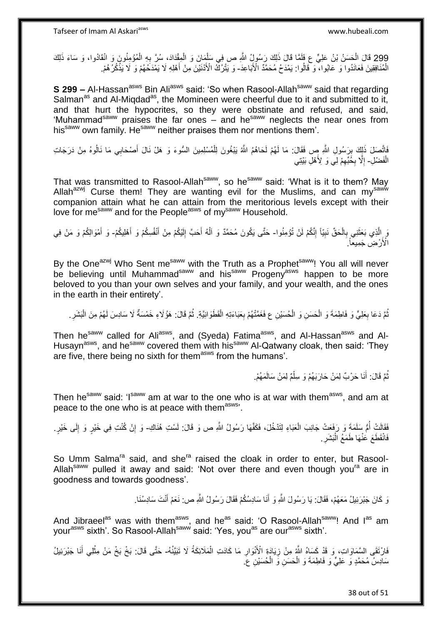Tafseer of Imam Al Askariasws www.hubeali.com

299 قَالَ الْحَسَنُ بْنُ عَلِيٍّ ع فَلَمًا قَالَ ذَلِكَ رَسُولِ ُ اللَّهِ ص فِي سَلْمَِانَ وَ الْمِقْدَادَ، سُرَّ بِهِ الْمُؤْمِنُونَ وَ انْقَادُوا، وَ سَاءَ ذَلِكَ ْ ْ **∶** ْ ْ الْمُنَافِقِينَ فَعَانَدُوا ٓوَ عَابُوا، ۖ وَ قَالُوا: يَمْدَحُ مُحَمَّدٌ الْأَبَاعِدَ- وَ يَتْرُكْ الْأَدْنَيْنَ مِنْ أَهْلِهِ لَا يَمْدَحُهُمْ وَ ۖ لَا يَذْكُرُ هُمْ. ْ ُ **ٔ** َ

**S 299 –** Al-Hassan<sup>asws</sup> Bin Ali<sup>asws</sup> said: 'So when Rasool-Allah<sup>saww</sup> said that regarding Salman<sup>as</sup> and Al-Miqdad<sup>as</sup>, the Momineen were cheerful due to it and submitted to it, and that hurt the hypocrites, so they were obstinate and refused, and said, 'Muhammad<sup>saww</sup> praises the far ones – and he<sup>saww</sup> neglects the near ones from his saww own family. He<sup>saww</sup> neither praises them nor mentions them'.

َاتَّصَلَ ذَلِكَ بِرَسُولِ اللَّهِ صِ فَقَالَ: مَا لَهُمْ لَحَاهُمُ اللَّهُ يَبْغُونَ لِلْمُسْلِمِينَ السُّوءَ وَ هَلْ نَالَ أَصْحَابِي مَا نَالُوهُ مِنْ دَرَجَاتِ<br>فَيَسَبَّلَ ذَلِكَ بِرَسُولِ اللَّهِ مِن **↓** َ ْ الْفَضْلِ- إِلَّا بِخُبِّهِمْ لِّي وَ لِأَهْلِ بَيْتِي ْ ِ ِ  $\ddot{\phantom{a}}$ 

That was transmitted to Rasool-Allah<sup>saww</sup>, so he<sup>saww</sup> said: 'What is it to them? May Allah<sup>azwj</sup> Curse them! They are wanting evil for the Muslims, and can my<sup>saww</sup> companion attain what he can attain from the meritorious levels except with their love for me<sup>saww</sup> and for the People<sup>asws</sup> of my<sup>saww</sup> Household.

يَ الَّذِي بَعَثَنِي بِالْحَقِّ نَبِيّاً إِنَّكُمْ لَنْ تُؤْمِنُوا- حَتَّى يَكُونَ مُحَمَّدٌ وَ الْهُ أَحَبَّ إِلَيْكُمْ مِنْ أَنْفُسِكُمْ وَ أَهْلِيكُمْ- وَ أَمْوَالِكُمْ وَ مَنْ فِي ِ **!** ْ ِ اً<br>ا َ َ لَ ِ َ ا<br>ا َ الْأَرْضِ جَمِيعاً ۗ

By the One<sup>azwj</sup> Who Sent me<sup>saww</sup> with the Truth as a Prophet<sup>saww</sup>! You all will never be believing until Muhammad<sup>saww</sup> and his<sup>saww</sup> Progeny<sup>asws</sup> happen to be more beloved to you than your own selves and your family, and your wealth, and the ones in the earth in their entirety'.

نُمَّ دَعَا بِعَلِيٍّ وَ فَاطِمَةَ وَ الْحَسَنِ وَ الْحُسَيْنِ ع فَغَمَّتْهُمْ بِعَبَاءَتِهِ الْقَطَوَانِيَّةِ. ثُمَّ قَالَ: هَؤُلَاءِ خَمْسَةٌ لَا سَادِسَ لَهُمْ مِنَ الْبَشَرِ . ْ ْ ِ ُ ْ ِ ِ ْ ُ

Then he<sup>saww</sup> called for Ali<sup>asws</sup>, and (Syeda) Fatima<sup>asws</sup>, and Al-Hassan<sup>asws</sup> and Al-Husayn<sup>asws</sup>, and he<sup>saww</sup> covered them with his<sup>saww</sup> Al-Qatwany cloak, then said: 'They are five, there being no sixth for them<sup>asws</sup> from the humans'.

> نُمَّ قَالَ: أَنَا حَرْبٌ لِمَنْ حَارَبَهُمْ وَ سِلْمٌ لِمَنْ سَالَمَهُمْ. ْ َ ُ

Then he<sup>saww</sup> said: 'Isaww am at war to the one who is at war with them<sup>asws</sup>, and am at peace to the one who is at peace with them<sup>asws</sup>.

فَقَالَتْ أُمُّ سَلَمَةً وَ رَفَعَتْ جَانِبَ الْعَبَاءِ لِتَدْخُلَ، فَكَفَّهَا رَسُولُ اللَّهِ ص وَ قَالَ: لَسْتِ هُذَاكِ- وَ إِنْ كُنْتِ فِي خَيْرٍ وَ إِلَى خَيْرٍ. ْ ِ ِ فَانْقَطَعَ عَنْهَا طَمَعُ الْبَشَرِ **∶** :<br>ا

So Umm Salma<sup>ra</sup> said, and she<sup>ra</sup> raised the cloak in order to enter, but Rasool-Allah<sup>saww</sup> pulled it away and said: 'Not over there and even though you<sup>ra</sup> are in goodness and towards goodness'.

> وَ كَانَ جَبْرَئِيلُ مَعَهُمْ، فَقَالَ: يَا رَسُولَ اللَّهِ وَ أَنَا سَادِسُكُمْ فَقَالَ رَسُولُ اللَّهِ ص: نَعَمْ أَنْتَ سَادِسُنَا. َ َ

And Jibraeel<sup>as</sup> was with them<sup>asws</sup>, and he<sup>as</sup> said: 'O Rasool-Allah<sup>saww</sup>! And l<sup>as</sup> am your<sup>asws</sup> sixth'. So Rasool-Allah<sup>saww</sup> said: 'Yes, you<sup>as</sup> are our<sup>asws</sup> sixth'.

فَارْنَقَى السَّمَاوَاتِ، وَ قَدْ كَسَاهُ اللَّهُ مِنْ زِيَادَةِ الْأَنْوَارِ مَا كَادَتِ الْمَلَائِكَةُ لَا تَبَيَّنُهُ- حَتَّى قَالَ: بَخْ بَخْ مَنْ مِثْلِي أَنَا جَبْرَئِيلُ ْ **∶** ِ َ ْ سَادِسُ مُحَمَّدٍ وَ عَلِيٍّ وَ فَاطِمَةَ وَ الْحَسَنِ وَ الْحُسَيْنِ عَ ْ ْ

38 out of 51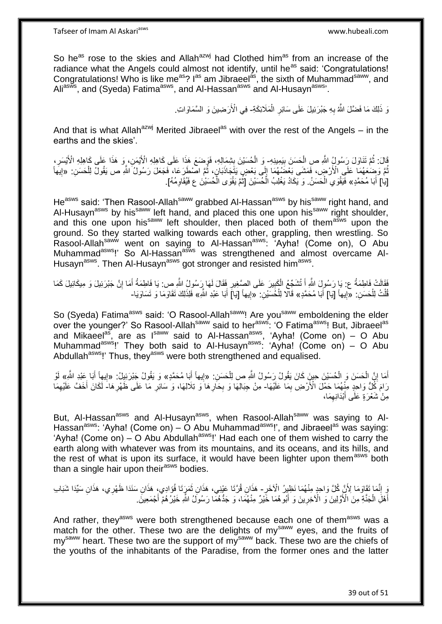So he<sup>as</sup> rose to the skies and Allah<sup>azwj</sup> had Clothed him<sup>as</sup> from an increase of the radiance what the Angels could almost not identify, until he<sup>as</sup> said: 'Congratulations! Congratulations! Who is like me<sup>as</sup>? I<sup>as</sup> am Jibraeel<sup>as</sup>, the sixth of Muhammad<sup>saww</sup>, and Ali<sup>asws</sup>, and (Syeda) Fatima<sup>asws</sup>, and Al-Hassan<sup>asws</sup> and Al-Husayn<sup>asws</sup>'.

> وَ ذَلِكَ مَا فَضَّلَ اللَّهُ بِهِ جَبْرَئِيلَ عَلَى سَائِرِ الْمَلَائِكَةِ- فِي الْأَرَضِينَ وَ السَّمَاوَاتِ ْ **∶ ∶**

And that is what Allah<sup>azwj</sup> Merited Jibraeel<sup>as</sup> with over the rest of the Angels – in the earths and the skies'.

ثَالَ: ثُمَّ تَنَاوَلَ رَسُولُ اللَّهِ صِ الْحَسَنَ بِيَمِينِهِ- وَ الْحُسَيْنَ بِشِمَالِهِ، فَوَضَعَ هَذَا عَلَى كَاهِلِهِ الْأَيْسَرِ<br>إِن أَمَّ تَنَاوَلَ رَسُولُ اللَّهِ صِ الْحَسَنَ بِيَمِينِهِ- وَ الْحُسَيْنَ بِشِمَال ِ ْ ُ ِ ِ ُمَّ وَضِعَهُمَا عَلَى الْأَرْضِ، فَمَشَى بَعْضُهُمَا إِلَى بَعْضٍ يَتَجَاذَبَانٍ، ثُمَّ اصْطَرَعَا، فَجَعَلَ رَسُولُ الثَّهِ ص يَقُولُ لِلْحَسَنِ: «اِيهَا ُ  $\frac{1}{2}$ ُ ْ ِ [َياٰ] أَبَا مُحَمَّدٍ» فَيَقْوَى الْحَسَنُ. وَ يَكَادُ يَغْلِبُ الْحُسَيْنَ [َثُمَّ يَقْوَى الْحُسَيْنَ ع فَيُقَاوِمُهُ]. ِ ا<br>ا ُ ْ ْ

He<sup>asws</sup> said: 'Then Rasool-Allah<sup>saww</sup> grabbed Al-Hassan<sup>asws</sup> by his<sup>saww</sup> right hand, and Al-Husayn<sup>asws</sup> by his<sup>saww</sup> left hand, and placed this one upon his<sup>saww</sup> right shoulder, and this one upon his<sup>saww</sup> left shoulder, then placed both of them<sup>asws</sup> upon the ground. So they started walking towards each other, grappling, then wrestling. So Rasool-Allah<sup>saww</sup> went on saying to Al-Hassan<sup>asws</sup>: 'Ayha! (Come on), O Abu Muhammad<sup>asws</sup>!' So Al-Hassan<sup>asws</sup> was strengthened and almost overcame Al-Husayn<sup>asws</sup>. Then Al-Husayn<sup>asws</sup> got stronger and resisted him<sup>asws</sup>.

فَقَالَتْ فَاطِمَةُ ع: يَا رَسُولَ اللَّهِ أَ تُشَجّعُ الْكَبِيرَ عَلَى الصَّغِيرِ فَقَالَ لَمَهَا رِسُولُ اللَّهِ ص: يَا فَاطِمَةُ أَمَا إِنَّ جَبْرَئِيلَ وَ مِيكَائِيلَ كَمَا ِ ِ ْ َ ِ َ قُلْتُ لِلْحَسَنِ: «(بِيهاً [يَا] أَبَا مُحَمَّدٍ» قَالًا لِلْخَسَيْنِ: «إِيهاً [يَا] أَبَا عَبْدِ اللَّهِ» فَلِذَلِكَ تَقَاوَمَا وَ تَسَاوَيَا-ْ ْ َ **֓**ׇ֚֚֚֚֚֓֡֡֓֡֘ َ ِ

So (Syeda) Fatima<sup>asws</sup> said: 'O Rasool-Allah<sup>saww</sup>! Are you<sup>saww</sup> emboldening the elder over the younger?' So Rasool-Allah<sup>saww</sup> said to her<sup>asws</sup>: 'O Fatima<sup>asws</sup>! But, Jibraeel<sup>as</sup> and Mikaeel<sup>as</sup>, are as I<sup>saww</sup> said to Al-Hassan<sup>asws</sup>, 'Ayha! (Come on) – O Abu Muhammad<sup>asws</sup>!' They both said to Al-Husayn<sup>asws</sup>: 'Ayha! (Come on) – O Abu Abdullah<sup>asws</sup>!' Thus, they<sup>asws</sup> were both strengthened and equalised.

أَمَا إِنَّ الْحَسَنَ وَ الْحُسَيْنَ حِينٍَ كَانَ يَقُولُ رَسُولُ اللَّهِ ص لِلْحَسَنِ. «إِيهاً أَبَا مُحَمَّدٍ» وَ يَقُولُ جَبْرَئِيلُ: «إِيهاً أَبَا عَبْدِ اللَّهِ» لَوْ ْ ْ ِ َ ْ َ ِ ر<br>آباد َ ِ لَ رَامَ كُلُّ وَاحِدٍ مِنْهُمَا حَمْلَ الْأَرْضِ بِمَا عَلَيْهَا- مِنْ جِبَالِهَا وَ بِحَارِهَا وَ تِلَالِهَا، وَ سَائِرِ مَا عَلَى ظَهْرِهَا- لَكَانَ أَخَفَّ عَلَيْهِمَا ِ ِ ِ ِ **∶** ِ َ مِنْ شَعْرَةٍ عَلَى أَبْدَانِهِمَا، ِ َ

But, Al-Hassan<sup>asws</sup> and Al-Husayn<sup>asws</sup>, when Rasool-Allah<sup>saww</sup> was saying to Al-Hassan<sup>asws</sup>: 'Ayha! (Come on) – O Abu Muhammad<sup>asws</sup>!', and Jibraeel<sup>as</sup> was saying: 'Ayha! (Come on) – O Abu Abdullah<sup>asws</sup>!' Had each one of them wished to carry the earth along with whatever was from its mountains, and its oceans, and its hills, and the rest of what is upon its surface, it would have been lighter upon them<sup>asws</sup> both than a single hair upon their<sup>asws</sup> bodies.

And rather, they<sup>asws</sup> were both strengthened because each one of them<sup>asws</sup> was a match for the other. These two are the delights of my<sup>saww</sup> eyes, and the fruits of my<sup>saww</sup> heart. These two are the support of my<sup>saww</sup> back. These two are the chiefs of the youths of the inhabitants of the Paradise, from the former ones and the latter

<sup>ِ</sup> ِّ إِنَّمَا فَقَاوَمَا لِأَنَّ كُلَّ وَاحِدٍ مِنْهُمَا نَظِيرُ الْآخَرِ – هَذَانِ قُرَّتَا عَيْنِي، هَذَانِ تَمَرَتَا فُؤَادِي، هَذَانِ سَنَدَا ظَهْرِي، هَذَانِ سَنِّدَا شَبَابِ ِ َ أَهْلِّ الْجَنَّةِ مِنَ الْأَوَّلِينَ وَ الْأَخِرِينَ وَ أَبُوهُمَا خََيْرٌ مِنْهُمَا، وَ جَدُّهُمَا رَسُولًٰ اللَّهِ خَيْرٌهُمْ أَجْمَعِينَ ِ َ **∶** ْ َ َ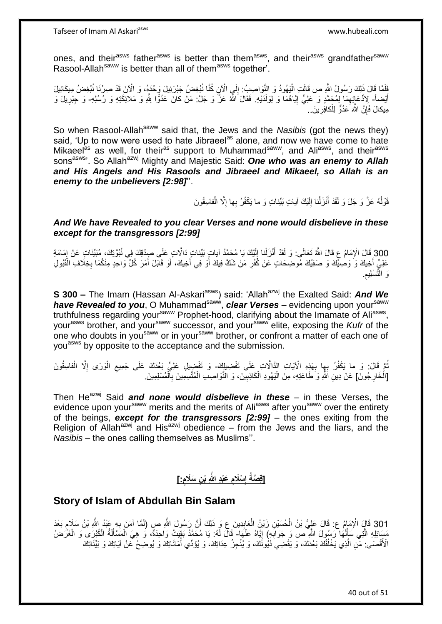Tafseer of Imam Al Askariasws www.hubeali.com

ones, and their<sup>asws</sup> father<sup>asws</sup> is better than them<sup>asws</sup>, and their<sup>asws</sup> grandfather<sup>saww</sup> Rasool-Allah<sup>saww</sup> is better than all of them<sup>asws</sup> together<sup>'</sup>.

فَلَمَّا قَالَ ذَلِكَ رَسُولُ اللَّهِ ص قَالَتِ الْيَهُودُ وَ النَّوَاصِبُ: إِلَى الْآنِ كُنَّا نُبْغِضُ جَبْرَئِيلَ وَحْدَهُ، وَ الْآنَ قَدْ صِرْنَا نُبْغِضُ مِيكَائِيلَ<br>نَبْ ِ :<br>ا أَيْضاً- لِادِّعَائِهِمَا لِمُحَمَّدٍ وَ عَلِيٍّ إِيَّاهُمَا وَ لِوَلَدَيْهِ. فَقَالَ اللَّهُ عَنَّ وَ جَلَّ: مَنْ كانَ عَدُوًّا لِلَّهِ وَ مَلائِكَتِهِ وَ رُسُلِهِ- وَ جِبْرِيلَ وَ ِ ِ ِ مِيكالَ فَإِنَّ الثَّهَ عَدُوٌّ لِلْكافِرِينَ.. ِ ْ ِ

So when Rasool-Allah<sup>saww</sup> said that, the Jews and the *Nasibis* (got the news they) said, 'Up to now were used to hate Jibraeel<sup>as</sup> alone, and now we have come to hate Mikaeel<sup>as</sup> as well, for their<sup>as</sup> support to Muhammad<sup>saww</sup>, and Ali<sup>asws</sup>, and their<sup>asws</sup> sons<sup>asws</sup>'. So Allah<sup>azwj</sup> Mighty and Majestic Said: **One who was an enemy to Allah** *and His Angels and His Rasools and Jibraeel and Mikaeel, so Allah is an enemy to the unbelievers [2:98]*''.

> قَوْلُهُ عَزَّ وَ جَلَ وَ لَقَدْ أَنْزَلْنا إِلَيْكَ آياتٍ بَيِّناتٍ وَ ما يَكْفُرُ بِها إِلَّا الْفاسِقُونَ ا<br>ا ْ ِ لَ יִי (ו ْ َ

#### *And We have Revealed to you clear Verses and none would disbelieve in these except for the transgressors [2:99]*

300 قَالَ الْإِمَامُ عِ قَالَ اللَّهُ تَعَالَى: وَ لَقَدْ أَنْزَلْنا إِلَيْكَ يَا مُحَمَّدُ آياتٍ بَيِّناتٍ عَارَ إِسَامَةٍ لِمَحْمَدُ النَّاسَ عَنْ إِمَامَةٍ لِمَجْمَعُ النَّاسِ بِبَيِّناتٍ عَلَى صِدْقِكَ فِي نُبُوَّتِكَ،  $\frac{1}{2}$ لَ  $\frac{1}{2}$ **ٔ** َ عَلِيٍّ أَخِيكَ وَ وَصِبِّيكَ وَ صَفِيِّكَ مُوضِحَاتٍ عَنْ كُفْرِ مَنْ شَكَّ فِيكَ أَوْ فِي أَخِيكَ، أَوْ قَابَلَ أَمْرَ كُلِّ وَاحِدٍ مِنْكُمَا بِخِلَافِ الْقَبُولِ َ َ َ َ **∶** ْ ِ . ِ ْسلِيم َو الته

**S 300 –** The Imam (Hassan Al-Askari<sup>asws</sup>) said: 'Allah<sup>azwj</sup> the Exalted Said: And We have Revealed to you, O Muhammad<sup>saww</sup>, clear Verses – evidencing upon your<sup>saww</sup> truthfulness regarding your<sup>saww</sup> Prophet-hood, clarifying about the Imamate of Ali<sup>asws</sup>, yourasws brother, and yoursaww successor, and yoursaww elite, exposing the *Kufr* of the one who doubts in you<sup>saww</sup> or in you<sup>saww</sup> brother, or confront a matter of each one of you<sup>asws</sup> by opposite to the acceptance and the submission.

نُمَّ قَالَ: وَ ما يَكْفُرُ بِهِا بِهَذِهِ الْآيَاتِ الذَّالَّاتِ عَلَى تَفْضِيلِكَ- وَ تَفْضِيلِ عَلِيٍّ بَعْدَكَ عَلَى جَمِيعِ الْوَرَى إِلَّا الْفاسِقُونَ **∶** ْ ِ ْ ِ [الْخَارِجُونَ] عَنْ دِينِ اللَّهِ وَ طَاعَتِهِ، مِنَ الْيَهُودِ الْكَاذِبِينَ، وَ النَّوَاصِبِ الْمُتَّسِمِينَ بِٱلْمُسْلِمِينَ ِ ْ ْ ِ ْ ِ ْ

Then He<sup>azwj</sup> Said *and none would disbelieve in these* – in these Verses, the evidence upon your<sup>saww</sup> merits and the merits of Aliasws after you<sup>saww</sup> over the entirety of the beings, *except for the transgressors [2:99]* – the ones exiting from the Religion of Allah<sup>azwj</sup> and His<sup>azwj</sup> obedience – from the Jews and the liars, and the *Nasibis* – the ones calling themselves as Muslims''.

#### **[قِصَةُ إِسْلَامِ عَبْدِ اللَّهِ بْنِ سَلَامٍ:] ٍ ِ ِ**

## **Story of Islam of Abdullah Bin Salam**

301 قَالَ الْإِمَامُ ع: قَالَ عَلِيُّ بْنُ الْحُسَيْنِ زَيْنُ الْعَابِدِينَ عِ وَ ذَلِكَ أَنَّ رَسُولَ اللَّهِ<br>101 قَالَ الْإِمَامُ ع: إِنْ رَبِّي أَسْتَلْفِينَ إِنَّ أَوْ أَسْتَلِينَ عَلَيْهِ وَاللَّهُ أَنْ رَسُولَ اللَّ ِ ْ ْ ِ مَسَائِلِهِ الَّتِي سَأَلَهَا رَسُولَ اللَّهِ ص وَ جَوَابَهِ) إِيَّاهُ عَنْهَا- قَالَ لَهُ: يَا مُحَمَّدُ بَقِيَتْ وَاحِدَةٌ، وَ هِيَ الْمَسْأَلَةُ الْكُبْرَى وَ الْغَرَضُ ِ ِ لَ َ ه ْ ĺ ْ الْأَقْصَى: مَّنِ الَّذِي يَخْلُفُكَ بَعْدَكَ، وَ يَقْضِيَ دُيُونَكَ، وَ يُنْجِزُ عِدَاتِكَ، وَ يُؤَدِّي أَمَانَاتِكَ وَ يُوضِحُ عَنْ آيَاتِكَ وَ بَيِّنَاتِكَ َ ُ ه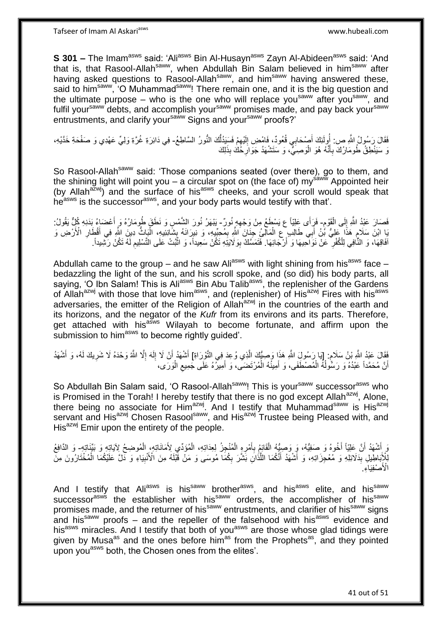Tafseer of Imam Al Askariasws www.hubeali.com

**S 301 -** The Imam<sup>asws</sup> said: 'Ali<sup>asws</sup> Bin Al-Husayn<sup>asws</sup> Zayn Al-Abideen<sup>asws</sup> said: 'And that is, that Rasool-Allah<sup>saww</sup>, when Abdullah Bin Salam believed in him<sup>saww</sup> after having asked questions to Rasool-Allah<sup>saww</sup>, and him<sup>saww</sup> having answered these, said to him<sup>saww</sup>, 'O Muhammad<sup>saww</sup>! There remain one, and it is the big question and the ultimate purpose – who is the one who will replace you<sup>saww</sup> after you<sup>saww</sup>, and fulfil your<sup>saww</sup> debts, and accomplish your<sup>saww</sup> promises made, and pay back your<sup>saww</sup> entrustments, and clarify your<sup>saww</sup> Signs and your<sup>saww</sup> proofs?'

فَقَالَ رَسُولُ اللَّهِ ص: أُولَئِكَ أَصْحَابِي قُعُودٌ، فَامْضِ إِلَيْهِمْ فَسَيَدُلُّكَ النُّورُ السَّاطِعُ- فِي دَائِرَةِ غُرَّةِ وَلِيٍّ عَهْدِي وَ صَفْحَةِ خَدَّيْهِ، ُّ ِ لَ ِ َ وَ سَيَنْطِقُ طُومَارُكَ بِأَنَّهُ هُوَ الْوَصِبَيُّ، وَ سَتَشْهَدُ جَوَالِۨخَكَ بِذَلِكَ **ٍ** ْ َ ِ

So Rasool-Allah<sup>saww</sup> said: 'Those companions seated (over there), go to them, and the shining light will point you – a circular spot on (the face of) my<sup>saww</sup> Appointed heir (by Allah $a^2$ <sup>wi</sup>) and the surface of his<sup>asws</sup> cheeks, and your scroll would speak that he<sup>asws</sup> is the successor<sup>asws</sup>, and your body parts would testify with that'.

م<br>ہ فَصَارَ عَبْدُ اللَّهِ إِلَى الْقَوْمِ- فَرَأَى عَلِيّاً ع يَسْطَعُ مِنْ وَجْهِهِ نُورٌ- يَنْهَرُ نُورَ الشَّمْسِ وَ نَطَقَ طُومَارُهُ وَ أَعْضَاءُ بَدَنِهِ كُلٍّ يَقُولُ: ْ יִי (ו ِ َ ْ يَا ابْنَ سَلَامٍ هَذَا عَلِيُّ بَّنُ أَبِي طَالِبٍ عَ الْمَالِئُ جَنَانَ اللَّهِ بِمُجِبِّدٍ، وَ نَبِرَانَهُ بِشَانِئِيهِ، الْبَاثُ دِينَ اللَّهِ فِي أَقْطَارِ الْأَرْضِ وَ ¦ ِ ْ َ ٍ ِ َ افَاقِهَا، وَ النَّافِي لِلْكُفْرِ ۚ عَنْ نَوَاحِيهَا وَ أَرْجَائِهَا. فَتَمَسَّكُ بِوَلَايَتِهِ تَكُنْ سَعِيداً، وَ اثْبُتْ عَلَى التَّسْلِيم لَهُ تَكُنْ رَشِيداً. َ ِ لَ ِ ْ ِ

Abdullah came to the group – and he saw Ali<sup>asws</sup> with light shining from his<sup>asws</sup> face – bedazzling the light of the sun, and his scroll spoke, and (so did) his body parts, all saying, 'O Ibn Salam! This is Ali<sup>asws</sup> Bin Abu Talib<sup>asws</sup>, the replenisher of the Gardens of Allah<sup>azwj</sup> with those that love him<sup>asws</sup>, and (replenisher) of His<sup>azwj</sup> Fires with his<sup>asws</sup> adversaries, the emitter of the Religion of Allah<sup>azwj</sup> in the countries of the earth and its horizons, and the negator of the *Kufr* from its environs and its parts. Therefore, get attached with his<sup>asws</sup> Wilayah to become fortunate, and affirm upon the submission to him<sup>asws</sup> to become rightly guided'.

فَقَالَ عَبْدُ اللَّهِ بْنُ سَلَامٍ. [يَا رَسُولَ اللَّهِ هَذَا وَصِيُّكَ الَّذِي وُعِدَ فِي النَّوْرَاةِ] أَشْهَدُ أَنْ لَا إِلَهَ إِلَّا اللَّهُ وَحْدَهُ لَا شَرِيكَ لَمُ، وَ أَشْهَدُ َ ه ٍ َ ِ ِ لَ ِ َ أَنَّ مُحَمَّداً عَبْدُهُ وَ رَسُّولُهُ الْمُصْطَفَى، وَ أَمِينُهُ الْمُرْتَضَى، وَ أَمِيرُهُ عَلَى جَمِيع الْوَرَى، اً ْ ِ َ ْ َ ْ ا<br>ا

So Abdullah Bin Salam said, 'O Rasool-Allah<sup>saww</sup>! This is your<sup>saww</sup> successor<sup>asws</sup> who is Promised in the Torah! I hereby testify that there is no god except Allah $^{azwj}$ , Alone, there being no associate for  $\text{Him}^{\text{azwj}}$ . And I testify that Muhammad<sup>saww</sup> is  $\text{His}^{\text{azwj}}$ servant and His<sup>azwj</sup> Chosen Rasoolsaww, and His<sup>azwj</sup> Trustee being Pleased with, and His<sup>azwj</sup> Emir upon the entirety of the people.

وَ أَشْهَدُ أَنَّ عَلِيّاً أَخُوهُ وَ صَفِيُّهُ، وَ وَصِيُّهُ الْقَائِمُ بِأَمْرِهِ الْمُنْجِزُ لِعِدَاتِهِ، الْمُؤدِّي لِأَمَانَاتِهِ، الْمُوضِحُ لِآيَاتِهِ وَ بَيِّنَاتِهِ- وَ الدَّافِعُ َ َ ْ ْ ْ ِ َ ِ لِلْإِبَاطِيلِ بِدَلَائِلِهِ وَ مُعْجِزَاتِهِ، وَ أَشْهَدُ أَنَّكُمَا اللَّذَانِ بَشَّرَ بِكُمَا مُوسَى وَ مَنْ قَبْلَهُ مِنَ الْأَنْبِيَاءِ وَ دَلَّ عَلَيْكُمَا الْمُخْتَارُونَ مِنَ **∣** ِ ه َ َ ْ ِ الْأَصْفِيَاءِ ِ

And I testify that Ali<sup>asws</sup> is his<sup>saww</sup> brother<sup>asws</sup>, and his<sup>asws</sup> elite, and his<sup>saww</sup> successor<sup>asws</sup> the establisher with his<sup>saww</sup> orders, the accomplisher of his<sup>saww</sup> promises made, and the returner of his<sup>saww</sup> entrustments, and clarifier of his<sup>saww</sup> signs and his $s_{\text{a}}$  proofs – and the repeller of the falsehood with his $s_{\text{a}}$  evidence and his<sup>asws</sup> miracles. And I testify that both of you<sup>asws</sup> are those whose glad tidings were given by Musa<sup>as</sup> and the ones before him<sup>as</sup> from the Prophets<sup>as</sup>, and they pointed upon you<sup>asws</sup> both, the Chosen ones from the elites'.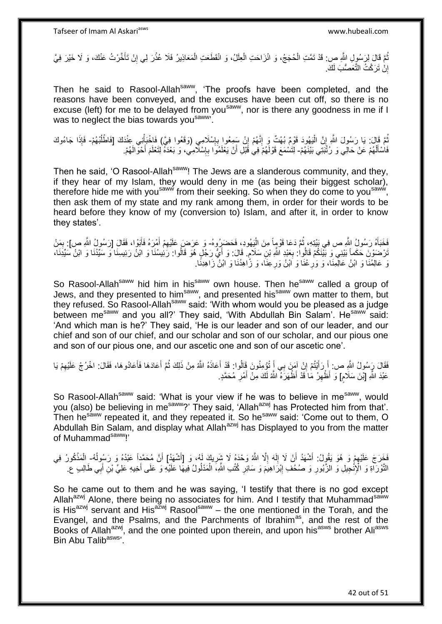ُمَّ قَالَ لِرَسُولِ اللَّهِ ص: قَدْ تَمَّتِ الْحُجَجُ، وَ انْزَاحَتِ الْعِلَلُ، وَ انْقَطَعَتِ الْمَعَاذِيرُ فَلَا عُذْرَ لِي إِنْ تَأَخَّرْتُ عَنْكَ، وَ لَا خَيْرَ فِيَّ ْ ْ َ ِ **ٔ** ْ إِنْ تَرَكْتُ التَّعَصُّبَ لَكَ. <u>֖֚֚֚֚֚֚֚֓</u>

Then he said to Rasool-Allah<sup>saww</sup>, 'The proofs have been completed, and the reasons have been conveyed, and the excuses have been cut off, so there is no excuse (left) for me to be delayed from you<sup>saww</sup>, nor is there any goodness in me if I was to neglect the bias towards you saww.

ثُمَّ قَالَ: يَا رَسُولَ اللَّهِ إِنَّ الْيَهُودَ قَوْمٌ بُهْتٌ وَ إِنَّهُمْ إِنْ سَمِعُوا بِإِسْلَامِي (وَقَعُوا فِيَّ) فَاخْبَأْنِي عِنْدَكَ [فَاطْلُبْهُمْ- فَإِذَا جَاءُوكَ ْ ِ ِ ِ ֺ֧֖ׅ֧ׅ֧֧֚֚֚֚֚֚֚֚֚֚֚֚֚֚֝֝֬֓֡֡֓֡֟֡֡֡֡֡֡֬֓֡֟֓֡֟֓֡֟֓֡֡֡֬֩֓֓֩ ا<br>ا ْ فَاسْأَلْهُمْ عَنْ حَالِي وَ رُثْبَتِي بَيْنَهُمْ- لِتَسْمَعَ قَوْلَهُمْ فِي قَبْلِ أَنْ يَعْلَمُوا بِإِسْلَامِي، وَ بَعْدَهُ لِتَعْلَمَ أَحْوَالَهُمْ. ْ َ َ ِ ِ

Then he said, 'O Rasool-Allah<sup>saww</sup>! The Jews are a slanderous community, and they, if they hear of my Islam, they would deny in me (as being their biggest scholar), therefore hide me with you<sup>saww</sup> from their seeking. So when they do come to you<sup>saww</sup>, then ask them of my state and my rank among them, in order for their words to be heard before they know of my (conversion to) Islam, and after it, in order to know they states'.

فَخَبَأَهُ رَسُولُ اللَّهِ ص فِي بَيْتِهِ، ثُمَّ دَعَا قَوْمٍاً مِنَ الْيَهُودِ، فَحَضَرِرُوهُ- وَ عَرَضَ عَلَيْهِمْ أَمْرَهُ فَأَبَوْا، فَقَالَ [رَسُولُ اللَّهِ ص]: بِمَنْ ْ ُ َ َ ِ ِ نْرْضَوْنَ حَكَماً بَيْنِي وَ بَيّْنَكُمْ قَالُوا: بِعَبْدِ اللَّهِ بْنِ سَلَامٍ. قَالَ: وَ أَيُّ رَجُلٍ هُوَ قَالُوا: رَئِيسُنَا وَ ابْنُ رَئِيسِنَا وَ سَيِّدُنَا وَ ابْنُ سَيِّدَنَا، َ ٍ **∶** َ عَالِمُنَا وَ ابْنُ عَالِمِنَا، وَ وَرِ عُنَا وَ اْبْنُ وَرِعِنَا، وَ زَاهِدُنَا وَ الْبُنُ زَاهِدِنَا. **∶ ∶** 

So Rasool-Allah<sup>saww</sup> hid him in his<sup>saww</sup> own house. Then he<sup>saww</sup> called a group of Jews, and they presented to him<sup>saww</sup>, and presented his<sup>saww</sup> own matter to them, but they refused. So Rasool-Allah<sup>saww</sup> said: 'With whom would you be pleased as a judge between me<sup>saww</sup> and you all?' They said, 'With Abdullah Bin Salam'. He<sup>saww</sup> said: 'And which man is he?' They said, 'He is our leader and son of our leader, and our chief and son of our chief, and our scholar and son of our scholar, and our pious one and son of our pious one, and our ascetic one and son of our ascetic one'.

فَقَالَ رَسُولُ اللَّهِ ص: إِذَابَنُمْ إِنْ آمَنَ بِي أَ تُؤْمِنُونَ قَالُوا: قَدْ أَعَاذَهُ اللَّهُ مِنْ ذَلِكَ ثُمَّ أَعَادَهَا فَأَعَادُوهَا، فَقَالَ: اخْرُجْ عَلَيْهِمْ يَا َ ِ َ َ ُ َ ِ َ َ ڔ عَبْدَ اللَّهِ [بَّنَ سَلَامٍ] وَ أَظْهِرْ مَا َقَدْ أَظْهَرَهُ أَاللَّهُ لَكَ مِنْ أَمْرِ مُحَمَّدٍ. ِ **∶** َ

So Rasool-Allah<sup>saww</sup> said: 'What is your view if he was to believe in me<sup>saww</sup>, would you (also) be believing in me<sup>saww</sup>?' They said, 'Allah<sup>azwj</sup> has Protected him from that'. Then he<sup>saww</sup> repeated it, and they repeated it. So he<sup>saww</sup> said: 'Come out to them, O Abdullah Bin Salam, and display what Allah<sup>azwj</sup> has Displayed to you from the matter of Muhammad<sup>saww</sup>!'

فَخَرَجَ عَلَيْهِمْ وَ هُوَ يَقُولُ: أَشْهَدُ أَنْ لَا إِلَهَ إِلَّا اللَّهُ وَحْدَهُ لَا شَرِيكَ لَمُ، وَ [أَشْهَدُ] أَنَّ مُحَمَّدٍاً عَبْدُهُ وَ رَسُولُهُ- ِالْمَذْكُورُ فِي َ َ ِ ِ لَ  $\frac{1}{2}$ َ َ ِ ُ **ٔ:** ْ النَّوْرَآةِ وَ الْإِنْجِيلِ وَ الزَّبُورِ وَ صُحُفِ إِبْرَاهِيَمَ وَ سَائِرِ كُتُبِ الثَّهِ، الْمَذْلُولُ فِيهَا عَلَيْهِ وَ عَلَى أَخِيهِ عَلِيٍّ بْنِ أَبِي طَالِبٍ ع ِ **∶** َ َ ْ **ٍ** 

So he came out to them and he was saying, 'I testify that there is no god except Allah<sup>azwj</sup> Alone, there being no associates for him. And I testify that Muhammad<sup>saww</sup> is His<sup>azwj</sup> servant and His<sup>azwj</sup> Rasool<sup>saww</sup> – the one mentioned in the Torah, and the Evangel, and the Psalms, and the Parchments of Ibrahim<sup>as</sup>, and the rest of the Books of Allah<sup>azwj</sup>, and the one pointed upon therein, and upon his<sup>asws</sup> brother Ali<sup>asws</sup> Bin Abu Talib<sup>asws,</sup>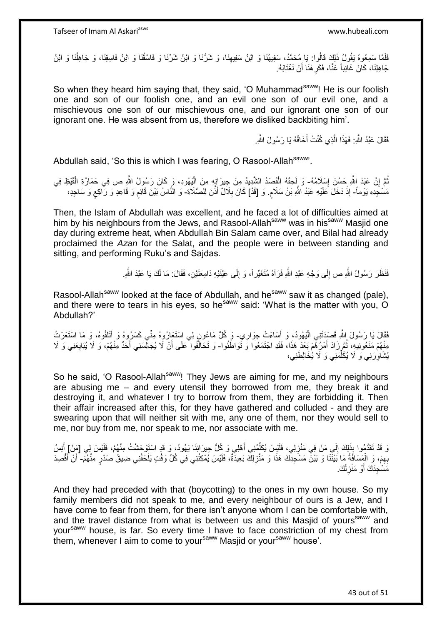فَلَمَّا سَمِعُوهُ يَقُولُ ذَلِكَ قَالُوا: يَا مُحَمَّدُ، سَفِيهُنَا وَ ابْنُ سَفِيهِنَا، وَ شَرُّنَا وَ ابْنُ شَرِّنَا وَ فَاسْقُنَا وَ ابْنُ فَاسِقِنَا، وَ جَاهِلْنَا وَ ابْنُ ِ ا<br>ا جَاهِلِنَا، كَانَ غَائِباً عَنَّا، فَكَرِ هْنَا أَنْ نَغْنَابَهُ. َ ِ

So when they heard him saying that, they said, 'O Muhammad<sup>saww</sup>! He is our foolish one and son of our foolish one, and an evil one son of our evil one, and a mischievous one son of our mischievous one, and our ignorant one son of our ignorant one. He was absent from us, therefore we disliked backbiting him'.

> فَقَالَ عَبْدُ النَّهِ: فَهَذَا الَّذِي كُنْتُ أَخَافُهُ يَا رَسُولَ اللَّهِ. َ ه

Abdullah said, 'So this is which I was fearing, O Rasool-Allah<sup>saww</sup>'

نُمَّ إِنَّ عَبْدَ إِللَّهِ حَسُنَ إِسْلِاَمُهُ- وَ لَحِقَهُ الْقَصْدُ الشَّدِيدُ مِنْ جِيرَانٍهِ مِنَ الْيَهُودِ، وَ كَانَ رَسُولُ اللَّهِ ص فِي حَمَارَةِ الْقَيْظِ فِي ِ ْ ْ ْ مَسْجِّدِهِ يَوْماً- إِذْ دَخَلَ عَلَيْهِ عَبْدُ اللَّهِ بْنُ سَلَامٍ. وَ [قَدْ] كَانَ بِلَاَلٌ أَذَّنَ لِلصَّلَاةِ- وَ النَّاسُ بَيْنَ قَانِمٍ وَ قَاعِدٍ وَ رَّاكِعٍ وَ سَاجِدٍ، ٍ **ٔ** َ **∶ ∶** ֧֖֧֦֖֖֖֧֧֧֧֧֧֧֧֧֧֧֧֧֧֚֚֚֝֝֝֓֟֓֝֓֝֓֝֓֟֓֝֬֝֬֝֬֝֓֬֝֬֝֓֟֓֟֓֬֓֝֓֝֬֝֬֝֓֝֬֝֬֓֝֬֝֓֝֬֝֬

Then, the Islam of Abdullah was excellent, and he faced a lot of difficulties aimed at him by his neighbours from the Jews, and Rasool-Allah<sup>saww</sup> was in his<sup>saww</sup> Masjid one day during extreme heat, when Abdullah Bin Salam came over, and Bilal had already proclaimed the *Azan* for the Salat, and the people were in between standing and sitting, and performing Ruku's and Sajdas.

> فَنَظَرَ رَسُولُ اللَّهِ ص إِلَى وَجْهِ عَبْدِ اللَّهِ فَرَآهُ مُتَغَيِّر!ً، وَ إِلَى عَيْنَيْهِ دَامِعَتَيْنِ، فَقَالَ: مَا لَكَ يَا عَبْدَ اللَّهِ ـ ِ  $\frac{1}{2}$

Rasool-Allah<sup>saww</sup> looked at the face of Abdullah, and he<sup>saww</sup> saw it as changed (pale), and there were to tears in his eyes, so he<sup>saww</sup> said: 'What is the matter with you, O Abdullah?'

فَقَالَ يَا رَسُولَ اللَّهِ قَصَدَتْنِي الْيَهُودُ، وَ أَسَاءَتْ جِوَارِي ۖ وَ كُلُّ مَاعُونٍ لِي اسْتَعَارُوهُ مِنِّي كَسَرُوهُ وَ أَتْلَفُوهُ، وَ مَا اسْتَعَرْتُ ِ َ :<br>إ لَ َ مِنْهُمْ مَنَعُونِيهِ، ثُمَّ زَادَ أَمْرُهُمْ بَعْدَ هَذَا، فَقَدِ اجْتَمَعُوا وَ تَوَاطَنُوا- وَ تَحَالَّفُوا عَلَى أَنْ لَا يُجَالِّسَنِي أَحَدٌ مِنْهُمْ، وَ لَا يُبَايِعَنِي وَ لَا َ ٔ.<br>ـ ِ َ اُ يُشَاوِرَنِي وَ لَا يُكَلِّمَنِي وَ لَا يُخَالِطَنِي، **∶** ِّ

So he said, 'O Rasool-Allah<sup>saww</sup>! They Jews are aiming for me, and my neighbours are abusing me – and every utensil they borrowed from me, they break it and destroying it, and whatever I try to borrow from them, they are forbidding it. Then their affair increased after this, for they have gathered and colluded - and they are swearing upon that will neither sit with me, any one of them, nor they would sell to me, nor buy from me, nor speak to me, nor associate with me.

وَ قَدْ تَقَدَّمُوا بِذَلِكَ إِلَي مَنْ فِي مَنْزِلِي، فَلَيْسَ يُكَلِّمُنِي أَهْلِي وَ كُلُّ جِيرَانِنَا يَهُودُ، وَ قَدٍ اسْتَوْحَشْتُ مِنْهُمْ، فَلَيْسَ لِي [مَنْ] أُنِسُ َ ِّ ِ  $\frac{1}{2}$ َ بِهِمْ، وَ الْمَسَافَةُ مَا بَيْنَنَا وَ بَيْنَ مَسْجِدِكَ هَذَا وَ مَنْزِلِكَ بَعِيدَّةٌ، فَلَيْسَ يُمْكِنُنِي فِي كُلِّ وَقْتٍ يَلْحَقُنِي ضِيقُ صَدْرٍ مِنْهُمْ- أَنْ أَقْصِدَ **ٍ** ْ ِ َ َ مََسْجِدَكَ أَوْ مَنْزِلَكَ. لَ ِ َ

And they had preceded with that (boycotting) to the ones in my own house. So my family members did not speak to me, and every neighbour of ours is a Jew, and I have come to fear from them, for there isn't anyone whom I can be comfortable with, and the travel distance from what is between us and this Masjid of yours<sup>saww</sup> and your<sup>saww</sup> house, is far. So every time I have to face constriction of my chest from them, whenever I aim to come to your<sup>saww</sup> Masjid or your<sup>saww</sup> house'.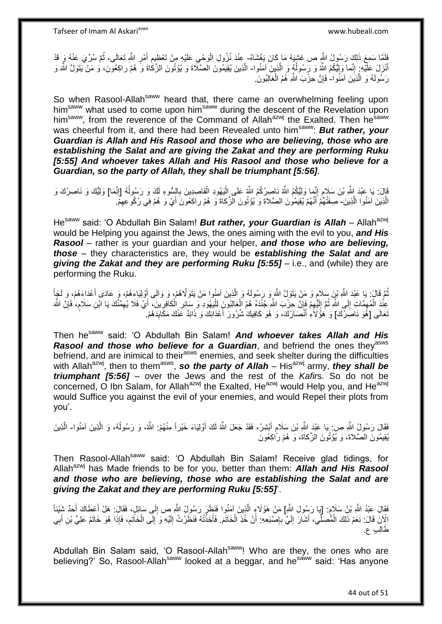نَاهَا سَمِعَ ذَلِكَ رَسُولُ النَّهِ ص غَشِيَهُ مَا كَانَ يَغْشَاهُ- عِنْدَ نُزُولِ الْوَحْيِ عَلَيْهِ مِنْ تَعْظِيمِ أَمْرِ اللَّهِ تَعَالَى، ثُمَّ سُرِّيَ عَنْهُ وَ قَدْ ا<br>ا ِ َ ِ ِ ْ أَنْزَلَ عَلَيْهِ ۚ إِنَّما وَلِيُّكُمُ اللَّهُ وَ رَسُولُهُ وَ الَّذِينَ آمَنُوا- الَّذِينَ يُقِيمُونَ الصَّلَاةَ وَ يُوُتُونَ الزَّكَاةَ وَ هُمْ راكِعُونَ، و مَنْ يَتَوَلَّ اللَّهَ وَ َ ه ُ ِ رَسُولَهُ وَ الَّذِينَ آمَنُوا-ٰ فَإِنَّ حِزْبَ النَّهِ هُمُ الْغالِبُونَ<sub>.</sub> ه ْ ِ

So when Rasool-Allah<sup>saww</sup> heard that, there came an overwhelming feeling upon him<sup>saww</sup> what used to come upon him<sup>saww</sup> during the descent of the Revelation upon him<sup>saww</sup>, from the reverence of the Command of Allah<sup>azwj</sup> the Exalted. Then he<sup>saww</sup> was cheerful from it, and there had been Revealed unto him<sup>saww</sup>: **But rather, your** *Guardian is Allah and His Rasool and those who are believing, those who are establishing the Salat and are giving the Zakat and they are performing Ruku [5:55] And whoever takes Allah and His Rasool and those who believe for a Guardian, so the party of Allah, they shall be triumphant [5:56]*.

ٍ قَالَ: يَا عَبْدَ إِللَّهِ بْنَ سَلَامٍ إِنَّمِا وَلِيُّكُمُ اللَّهُ نَاصِرُكُمُ اللَّهُ عَلَى اِلْيَهُودِ الْقَاصِدِينَ بِالسُّوءِ لَكَ وَ رَسُولُهُ [إِنَّمَا] وَلِيُّكَ وَ نَاصِرُكَ وَ ֧֦֧֧֧֧ׅ֧֧֦֧ׅ֧֧֧ׅ֧֧֧֧ׅ֧֧֧ׅ֧֚֚֚֚֚֚֚֚֝֟֓֝֬֓֡֡֓֓֡֟֓֡֟֓֡֡֟֓֡֟֓֡֟֓֡֟֓֡֟֓֡֡֬֓֞֡֟֓֡֓֓֟֓֓֞֓֟֓֓֟ **∶** ْ :<br>ا ِ الَّذِينَ آمَنُوا الَّذِينَ- صِفَتُٰهًمْ أَنَّهُمْ يُقِيمُونَ الصَّلاةَ وَ يُؤْتُونَ الزَّكاةَ وَ هُمْ راكِعُونَ أَيْ وَ هُمْ فِي رُكُوعِهِمْۖ. ه َ ِ َ

He<sup>saww</sup> said: 'O Abdullah Bin Salam! **But rather, your Guardian is Allah** – Allah<sup>azwj</sup> would be Helping you against the Jews, the ones aiming with the evil to you, *and His Rasool* – rather is your guardian and your helper, *and those who are believing, those* – they characteristics are, they would be *establishing the Salat and are giving the Zakat and they are performing Ruku [5:55]* – i.e., and (while) they are performing the Ruku.

ٍ نُمَّ قَالَ: يَا عَبْدَ اللَّهِ بْنَ سَلَامٍ وَ مَنْ يَتَوَلَّ اللَّهَ وَ رَسُولَهُ وَ الَّذِينَ آمَنُوا مَنْ يَتَوَلَّاهُمْ، وَ وَالَى أَوْلِيَاءَهُمْ، وَ عَادَى أَعْدَاءَهُمْ، وَ لَجَأَ ُ َ َ ه َ لَ י<br>י عِنْدَ الْمُهمَّاتِ إِلَى اللَّهِ ثُمَّ إِلَيْهِمْ فَإِنَّ حِزْبَ اللَّهِ جُنْدَهُ هُمُ الْغالِبُونَ لِلْيَهُودِ وَ سَائِرِ الْكَافِرِينَ، أَيْ فَلَا يُهِمَّنَّكَ يَا ابْنِ سَلَامٍ، فَإِنَّ اللَّهَ<br>يَرِيدَ حَمَّلَتَ عَلَي ِ ْ ِ لَ  $\frac{1}{2}$ ُ ِ َ ْ :<br>ا ْ ِ نَعَالَى [هُوَ نَاصِرُكَ] وَ هَؤُلاَءِ أَنْصَارُكَ، وَ هُوَ كَافِيكَ شُرُورَ أَعْدَائِكَ وَ ذَائِدٌ عَنْكَ مَكَايِدَهُمْ. َ ِ َ

Then hesaww said: 'O Abdullah Bin Salam! *And whoever takes Allah and His Rasool and those who believe for a Guardian*, and befriend the ones they<sup>asws</sup> befriend, and are inimical to their<sup>asws</sup> enemies, and seek shelter during the difficulties with Allah<sup>azwj</sup>, then to them<sup>asws</sup>, so the party of Allah – His<sup>azwj</sup> army, they shall be *triumphant [5:56]* – over the Jews and the rest of the *Kafir*s. So do not be concerned, O Ibn Salam, for Allah<sup>azwj</sup> the Exalted, He<sup>azwj</sup> would Help you, and He<sup>azwj</sup> would Suffice you against the evil of your enemies, and would Repel their plots from you'.

فَقَالَ رَسُولُ اللَّهِ ص: بَا عَبْدَ اللَّهِ بْنَ سَلَامٍ أَبْشِرْ، فَقَدْ جَعَلَ اللَّهُ لَكَ أَوْلِيَاءَ خَيْراً مِنْهُمْ: اللَّهُ، وَ رَسُولُهُ، وَ الَّذِينَ آمَنُوا- الَّذِينَ اُ َ ٍ ه ه يُقِيمُونَ الصَّلاَةَ، وَ يُؤْتُونَ الزَّكاةَ، وَ هُمْ رَّاكِعُونَ

Then Rasool-Allah<sup>saww</sup> said: 'O Abdullah Bin Salam! Receive glad tidings, for Allah<sup>azwj</sup> has Made friends to be for you, better than them: **Allah and His Rasool** *and those who are believing, those who are establishing the Salat and are giving the Zakat and they are performing Ruku [5:55]*'.

فَقَالَ عَبْدُ اللَّهِ بْنُ سَلَامٍ. [يَا رَسُولَ اللَّهِ] مَنْ هَؤُلَاءِ الَّذِينَ آمَنُوا فَنَظَرَ رَسُولُ اللَّهِ ص إِلَى سَائِلٍ، فَقَالَ: هَلْ أَعْطَاكَ أَحَدٌ شَيْئاً ٍ ه َ َ ∣∣<br>ِ الْإِنَ قَالَ: نَعَمْ ذَلِكَ الْمُصَلِّي، أَشَارَ إِلَيَّ بِإِصْبَعِهِ: أَنْ خُذِ الْخَاتَمَ. فَأَخَذْتُهُ فَنَظَرْتُ إِلَيْهِ وَ إِلَى الْخَاتَمِ، فَإِذَا هُوَ خَاتَمُ عَلِيٍّ بْنِ أَبِي ْ اُ ן<br>; ِ لَ  $\frac{1}{2}$ َ ْ ِ َ ِ ْ ِ لَ ِ ة<br>ـ َ َطالِ ٍب ع.

Abdullah Bin Salam said, 'O Rasool-Allah<sup>saww</sup>! Who are they, the ones who are believing?' So, Rasool-Allah<sup>saww</sup> looked at a beggar, and he<sup>saww</sup> said: 'Has anyone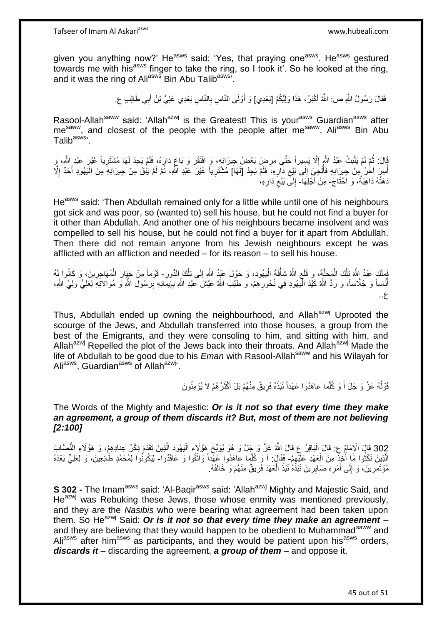given you anything now?' He<sup>asws</sup> said: 'Yes, that praying one<sup>asws</sup>. He<sup>asws</sup> gestured towards me with his<sup>asws</sup> finger to take the ring, so I took it'. So he looked at the ring, and it was the ring of Ali<sup>asws</sup> Bin Abu Talib<sup>asws'</sup>.

> فَقَالَ رَسُولُ اللَّهِ ص: اللَّهُ أَكْبَرُ، هَذَا وَلِيُّكُمْ [بَعْدِي] وَ أَوْلَى النَّاسِ بِالنَّاسِ بَعْدِي عَلِيُّ بْنُ أَبِي طَالِبِ ع َ ِ اُ

Rasool-Allah<sup>saww</sup> said: 'Allah<sup>azwj</sup> is the Greatest! This is your<sup>asws</sup> Guardian<sup>asws</sup> after messor research state is the control to the control time to your conditions and closest of the people with the people after me<sup>saww</sup>, Ali<sup>asws</sup> Bin Abu Talib<sup>asws,</sup>

َةِلَ: ثُمَّ لَمْ يَلْبَثْ عَبْدُ اللَّهِ إِلَّا يَسِيراً حَتَّى مَرِضٍ بَعْضُ جِيرَانِهِ، وَ افْتَقَرَ وَ بَاعَ دَارَهُ، فَلَمْ يَجِدْ لَهَا مُشْتَرِياً غَيْرَ عَبْدِ اللَّهِ، وَ ِ ِ ْ ُ ِ أُسِرَ آخُرُ مِنْ جِبِرَانِهِ فَأُلْجَبِيَّ إِلَى بَيْعِ دَارِهِ، فَلَمْ يَجِدْ [لَهَا] مُشْتَرِياً غَيْرَ عَبْدِ اللَّهِ، ثُمَّ لَمْ يَيْقَ مِنْ جِيرَانِهِ مِنَ الْيَهُودِ أَحَدٌ إِلَّا ِ ِ ׀<br>֧֓ ْ ُ ر<br>ا ا<br>ا َ ْ ا پایا<br>ا ِ دَهَنْهُ دَاهِيَةٌ، وَ اَحْتَاجَ- مِنْ أَجْلِهَا- إِلَمِّ بَيْعَ دَارِهِ، َ ِ ِ  $\frac{1}{2}$ 

He<sup>asws</sup> said: 'Then Abdullah remained only for a little while until one of his neighbours got sick and was poor, so (wanted to) sell his house, but he could not find a buyer for it other than Abdullah. And another one of his neighbours became insolvent and was compelled to sell his house, but he could not find a buyer for it apart from Abdullah. Then there did not remain anyone from his Jewish neighbours except he was afflicted with an affliction and needed – for its reason – to sell his house.

َفَظَكَ عَبْدُ اللَّهَ تِلْكَ الْمَحَلَّةَ، وَ قَلَعَ اللَّهُ شَأْفَةَ الْيَهُودِ، وَ حَوَّلَ عَيْدُ اللَّهِ تِلْكَ الدُّورِ- قَوْماً مِنْ خِيَارِ الْمُهَاجِرِينَ، وَ كَانُوا لَهُ ا<br>ا ْ ْ ֡֡<u>֡</u> ِ ْ ِ ِ ْ ِ أُنَّاساً وَ جُلَّاساً، وَ رَدَّ اللَّهُ كَيْدَ الْمَيْهُودِ فِي نُحُورِهِمْ، وَ طَيِّبَ اللَّهُ عَيْشَ عَبْدِ اللَّهِ بِإِيمَانِهِ بِرَسُولِ اللَّهِ وَ مُوَالاتِهِ لِّعَلِيٍّ وَلِيٍّ اللَّهِ، اן<br>ِ∘ ِ ِ ֪֪֦֪֦֪֪֦֪֦֪֪֦֧֦֪֪֪ׅ֦֡֡֟֟֟֓֟֓֟֟֟֟֓֟֓֟֓֡֟֓֟֓֟֓֡֟֓֟֡֟֓֟֓֞֟֓֡֟֓֞֟֓֞֟֓֞֟֓֞֞֟֞֟֟֞֟֞֟֟֓֞֟ ِ ع..

Thus, Abdullah ended up owning the neighbourhood, and Allah<sup>azwj</sup> Uprooted the scourge of the Jews, and Abdullah transferred into those houses, a group from the best of the Emigrants, and they were consoling to him, and sitting with him, and Allah<sup>azwj</sup> Repelled the plot of the Jews back into their throats. And Allah<sup>azwj</sup> Made the life of Abdullah to be good due to his *Eman* with Rasool-Allah<sup>saww</sup> and his Wilayah for Ali<sup>asws</sup>, Guardian<sup>asws</sup> of Allah<sup>azwj</sup>'.

> قَوْلُهُ عَزَّ وَ جَلَ أَ وَ كُلُّما عاهَدُوا عَهْداً نَبَذَهُ فَرِيقٌ مِنْهُمْ بَلْ أَكْثَرُ هُمْ لا يُؤْمِنُونَ اً.<br>ا َ َ ِ َ

#### The Words of the Mighty and Majestic: *Or is it not so that every time they make an agreement, a group of them discards it? But, most of them are not believing [2:100]*

302 قَالَ الْإِمَامُ عِ: قَالَ الْبَاقِرُ عِ قَالَ اللَّهُ عَزَّ وَ جَلَّ وَ هُوَ يُوَبِّخَ هَؤُلَاءِ الْيَهُودَ الَّذِينَ تَقَدَّمَ ذِكْرُ عِنَادِهِمْ، وَ هَؤُلَاءِ النُّصَّابَ<br>وَ مَنْ الْإِمَامُ عَنِيسًا وَ الْمَاقِدَةِ ه ا<br>ا ْ الَّذِينَ نَكَثُوا مَا أُخِذٌ مِنَ الْعَهْدِ عَلَيْهِمْ- فَقَالَ: أَ وَ كُلِّما عاهَدُوا عَهْداً وَاتَقُوا وَ عَاقَدُوا- لِيَكُونُوا لِمُحَمَّدٍ طَائِعِينَ، وَ لِعَلِيٍّ بَعْدَهُ ِ ْ ِّ ِ ُ ه َ مُؤْتَمِرِينَ، وَ إِلَى أَمْرِهِ صَابِرِينَ نَبَذُهُ نَبَذَ الْعَهْدَ فَرِيقٌ مِنْهُمْ وَ خَالَفَهُ. ِ ِ َ  $\frac{1}{2}$ ِ ِ ْ

**S 302 -** The Imam<sup>asws</sup> said: 'Al-Baqir<sup>asws</sup> said: 'Allah<sup>azwj</sup> Mighty and Majestic Said, and He<sup>azwj</sup> was Rebuking these Jews, those whose enmity was mentioned previously, and they are the *Nasibis* who were bearing what agreement had been taken upon them. So He<sup>azwj</sup> Said: Or is it not so that every time they make an agreement and they are believing that they would happen to be obedient to Muhammad<sup>saww</sup> and Aliasws after him<sup>asws</sup> as participants, and they would be patient upon his<sup>asws</sup> orders, *discards it* – discarding the agreement, *a group of them* – and oppose it.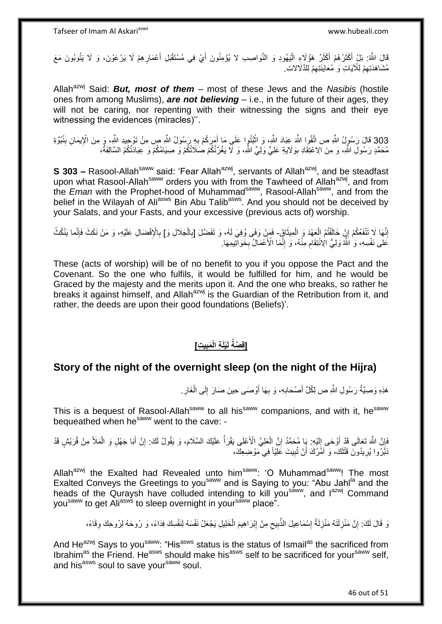قَالَ اللَّهُ: بَلْ أَكْثَرُ هُمْ أَكْثَرُ هَؤُلَاءِ الْيَهُودِ وَ النَّوَاصِيبِ لا يُؤْمِنُونَ أَيْ فِي مُسْتَقْبَلِ أَعْمَارِهِمْ لَا يَرْعَوْنَ، وَ لَا يَتُوبُونَ مَعَ<br>وَيَنِيَقُونَ وَلَا يَتُوبُونَ مَعَ َ :<br>ا َ َ َ َ مُشَاهَدَتِهِمْ لِلْآيَاتِ وَ ٰمُعَايَنَتِهِمْ لِلذَّلَالاتِ. ِ ِ

Allah<sup>azwj</sup> Said: **But, most of them** – most of these Jews and the *Nasibis* (hostile ones from among Muslims), *are not believing* – i.e., in the future of their ages, they will not be caring, nor repenting with their witnessing the signs and their eye witnessing the evidences (miracles)''.

303 قَالَ رَسُولُ اللَّهِ ص اتَّقُوا اللَّهَ عِبَادَ اللَّهِ، وَ اتْبُنُوا عَلَى مَا أَمَرَكُمْ بِهِ رَسُولُ اللَّهِ ص مِنْ تَوْحِيدِ اللَّهِ، وَ مِنَ الْإِيمَانِ بِنُبُوَّةِ **∶** َ ْ مُحَمَّدٍ رَسُولِ اللَّهِ، وَ مِنَ الِاعْتِقَادِ بِوَلَايَةِ عَلِيٍّ وَلِيٍّ اللَّهِ، وَ لَا يَغُرَّنَّكُمْ صَلَاتُكُمْ وَ عِبَادَتُكُمُ السَّالِفَةُ، **!** 

**S 303 –** Rasool-Allah<sup>saww</sup> said: 'Fear Allah<sup>azwj</sup>, servants of Allah<sup>azwj</sup>, and be steadfast upon what Rasool-Allah<sup>saww</sup> orders you with from the Tawheed of Allah<sup>azwj</sup>, and from the *Eman* with the Prophet-hood of Muhammad<sup>saww</sup>, Rasool-Allah<sup>saww</sup>, and from the belief in the Wilayah of Ali<sup>asws</sup> Bin Abu Talib<sup>asws</sup>. And you should not be deceived by your Salats, and your Fasts, and your excessive (previous acts of) worship.

إِنَّهَا لَا تَنْفَعُكُمْ إِنْ خَالَفْتُمُ الْعَهْدَ وَ الْمِيثَاقِ ۖ فَمَنْ وَفَى وُفِيَ لَهُ، وَ تَفَضَّلَ [بِالْجَلَالِ وَ] بِالْإِفْضَالِ عَلَيْهِ، وَ مَنْ نَكَثَ فَإِنَّما يَنْكُثُ َ ْ ْ ِ ِ **∶** ْ ِ ا∣<br>ِ∘ِ َعَلى نَفْسِهِ، وَ ٰ اللَّهُ وَلِيُّ الِْانْتِقَامِ مِنْْهُ، وَ ۚ إِنَّمَا الْأَعْمَالُ بِخَوَالَّتِيمِهَا. **∶** ِ ِ

These (acts of worship) will be of no benefit to you if you oppose the Pact and the Covenant. So the one who fulfils, it would be fulfilled for him, and he would be Graced by the majesty and the merits upon it. And the one who breaks, so rather he breaks it against himself, and Allah<sup>azwj</sup> is the Guardian of the Retribution from it, and rather, the deeds are upon their good foundations (Beliefs)'.

#### **[قِصَةُ لَيْلَةِ الْمَبِيتِ] ِ**

## **Story of the night of the overnight sleep (on the night of the Hijra)**

هَذِهِ وَصِيَّةُ رَسُولِ اللَّهِ ص لِكُلِّ أَصْحَابِهِ، وَ بِهَا أَوْصَى حِينَ صَارَ إِلَى الْغَارِ ـ ِ ْ ِ اُ **∶ ∶** َ

This is a bequest of Rasool-Allah<sup>saww</sup> to all his<sup>saww</sup> companions, and with it, he<sup>saww</sup> bequeathed when he<sup>saww</sup> went to the cave: -

فَإِنَّ اللَّهَ تَعَالَى قَدْ أَوْحَى إِلَيْهِ: بَإِ مُحَمَّدُ إِنَّ الْعَلِيَّ الْأَعْلَى يَقْرَأُ عَلَيْكَ السَّلَامَ، وَ يَقُولُ لَكَ: إِنَّ أَبَا جَهْلٍ وَ الْمَلَأَ مِنْ قُرَيْشٍ قَدْ ا<br>ا ْ ِ لَ ِ َ ِ ْ َ ِ دَبَّرُوا يُرِيدُونَ قَتْلَكَ، وَ آمُرُكَ أَنْ تُبِيتَ عَلِيّاً فِي مَوْضِعِكَ، **!** لَ ِ

Allah<sup>azwj</sup> the Exalted had Revealed unto him<sup>saww</sup>: 'O Muhammad<sup>saww</sup>! The most Exalted Conveys the Greetings to you<sup>saww</sup> and is Saying to you: "Abu Jahl<sup>la</sup> and the heads of the Quraysh have colluded intending to kill you<sup>saww</sup>, and l<sup>azwj</sup> Command you<sup>saww</sup> to get Ali<sup>asws</sup> to sleep overnight in your<sup>saww</sup> place".

وَ قَالَ لَكَ: إِنَّ مَنْزِلَتَهُ مَنْزِلَةُ إِسْمَاعِيلَ الذُّبِيعِ مِنْ إِبْرَاهِيمَ الْخَلِيلِ يَجْعَلُ نَفْسَهُ لِنَفْسِكَ فِدَاءً، وَ رُوحَهُ لِرُوحِكَ وِقَاءً، ِ **∶** ِ ِ ِ ْ ِ  $\zeta$ ِ

And He<sup>azwj</sup> Says to you<sup>saww</sup>: "His<sup>asws</sup> status is the status of Ismail<sup>as</sup> the sacrificed from Ibrahim<sup>as</sup> the Friend. He<sup>asws</sup> should make his<sup>asws</sup> self to be sacrificed for your<sup>saww</sup> self, and his<sup>asws</sup> soul to save your<sup>saww</sup> soul.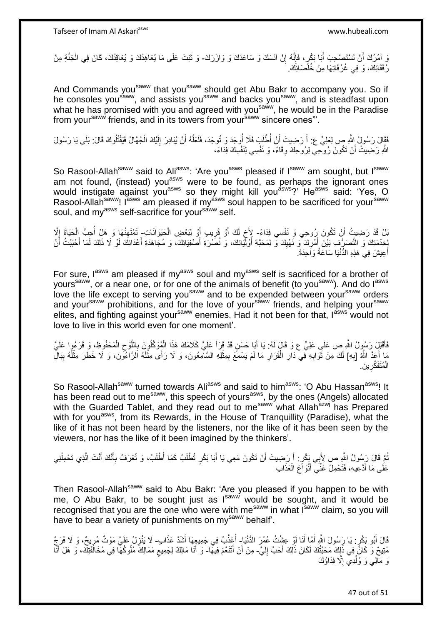وَ آمُرُكَ أَنْ تَسْتَصْحِبَ أَبَا بَكْرٍ، فَإِنَّهُ إِنْ آنَسَكَ وَ سَاعَدَكَ وَ وَازَرَكَ- وَ ثَبَتَ عَلَى مَا يُعَاهِدُكَ وَ يُعَاقِدُكَ، كَانَ فِي الْجَنَّةِ مِنْ َ ِ ِ ْ َ رُفَقَائِكَ، وَ فِي غُرُفَاتِهَا مِنْ خُلَّصَائِكَ.

And Commands you<sup>saww</sup> that you<sup>saww</sup> should get Abu Bakr to accompany you. So if he consoles you<sup>saww</sup>, and assists you<sup>saww</sup> and backs you<sup>saww</sup>, and is steadfast upon what he has promised with you and agreed with you<sup>saww</sup>, he would be in the Paradise from your<sup>saww</sup> friends, and in its towers from your<sup>saww</sup> sincere ones"'.

فَقَالَ رَسُولُ اللَّهِ صِ لِعَلِيٍّ عِ: أَ رَضِيتَ أَنْ أُطْلَبَ فَلَا أُوجَدَ وَ تُوجَدَ، فَلَعَلَّهُ أَنْ يُبَادِرَ إِلَيْكَ الْجُهَّالُ فَيَقْتُلُوكَ قَالَ: بَلَى يَا رَسُولَ ْ لَ  $\frac{1}{2}$ ه ُ اُ اللَّهِ رَضِيتُ أَنْ تَكُونَ رُوحِيٍّ لِرُوحِكَ وِقَاءً، وَ نَفْسِي لِنَفْسِكَ فِدَاءً، ِ

So Rasool-Allah<sup>saww</sup> said to Ali<sup>asws</sup>: 'Are you<sup>asws</sup> pleased if I<sup>saww</sup> am sought, but I<sup>saww</sup> am not found, (instead) you<sup>asws</sup> were to be found, as perhaps the ignorant ones would instigate against you<sup>asws</sup> so they might kill you<sup>asws</sup>?' He<sup>asws</sup> said: 'Yes, O Rasool-Allahsaww! I<sup>asws</sup> am pleased if my<sup>asws</sup> soul happen to be sacrificed for your<sup>saww</sup> soul, and my<sup>asws</sup> self-sacrifice for your<sup>saww</sup> self.

بْلْ قَدْ رَضِيتُ أَنْ تَكُونَ رِرُوحِي وَ نَفْسِي فِدَاءً- لِأَخ لَكَ أَوْ قَرِيبِ أَوْ لِبَعْضِ الْحَيَوَانَاتِ- تَمْتَهِنُهَا وَ هَلْ أُحِبُّ الْحَيَاةَ إِلَّا اً ْ َ **∶** َ لَ ٍ ْ ا<br>أ ِ ِ لِخِدْمَتِكَ وَ النَّصَرُّفِ بَيْنَ أَمْرِكَ ۖ وَ نَهْيِكَ وَّ لِمَحَبَّةِ أَوْلَيْكِكَ، وَ نُصَرَةِ أَصْنُويَائِكَ، وَ مُجَاهَدَةِ أَعْدَائِكَ لَوْ لَا ذَلِكَ لَمَا أَحْبَبْتُ أَنْ َ َ َ ِ ِ َ َ َ أَعِيشَ فِي هَذِهِ الدُّنْيَا سَاعَةً وَاَحِدَةً. َ

For sure, last am pleased if myasws soul and myasws self is sacrificed for a brother of yours<sup>saww</sup>, or a near one, or for one of the animals of benefit (to you<sup>saww</sup>). And do l<sup>asws</sup> love the life except to serving you<sup>saww</sup> and to be expended between your<sup>saww</sup> orders and your<sup>saww</sup> prohibitions, and for the love of your<sup>saww</sup> friends, and helping your<sup>saww</sup> elites, and fighting against your<sup>saww</sup> enemies. Had it not been for that, l<sup>asws</sup> would not love to live in this world even for one moment'.

فَأَقْبَلِ رَسُولُ اللَّهِ ص عَلَى عَلِيٍّ ع وَ قَالٍ لَهُ: يَا أَبَا حَسَنٍ قَدْ قَرَأَ عَلَيَّ كَلَامَكَ هَذَا الْمُوقَلُورِيَ بِاللَّوْحِ الْمَحْفُوظِ، وَ قَرَءُوا عَلَيَّ َ ْ  $\zeta$ ه ِ ْ َ َ مَا أَعَدُّ اللَّهُ [بِهِ] لَكَ مِنْ ثَّوَابِهِ فِي دَارِ الْقَرَارِ مَا لَمْ يَسْمَعْ بِمِثْلِهِ السَّآمِعُونَ، وَ لَا رَأَى مِثْلَهُ الرَّاءُونَ، وَ لَا خَطَرَ مِثْلُهُ بِبَالِّ ِ **ٔ** ِ **ٍ** ْ **∶** ِ َ ِ ُ **ٔ** لَ ة<br>. الْمُتَفَكِّرِينَ **∶** ْ

So Rasool-Allah<sup>saww</sup> turned towards Ali<sup>asws</sup> and said to him<sup>asws</sup>: 'O Abu Hassan<sup>asws</sup>! It has been read out to me<sup>saww</sup>, this speech of yours<sup>asws</sup>, by the ones (Angels) allocated with the Guarded Tablet, and they read out to me<sup>saww</sup> what Allah<sup>azwj</sup> has Prepared with for you<sup>asws</sup>, from its Rewards, in the House of Tranquillity (Paradise), what the like of it has not been heard by the listeners, nor the like of it has been seen by the viewers, nor has the like of it been imagined by the thinkers'.

نُمَّ قَالَ رَسُولُ اللَّهِ صِ لِأَبِي بَكْرٍ: أَ رَضِيتَ أَنْ تَكُونَ مَعِي يَا أَبَا بَكْرٍ تُطْلَبُ كَمَا أُطْلَبُ، وَ تُعْرَفُ بِأَنَّكَ أَنْتَ الَّذِي تَحْمِلُنِي َ اُ َ ا<br>ا ه َ َ **∶** عَلَى مَا أَدَّعِيهِ، فَتَحْمِلُ عَنِّي أَنْوَاعَ الْعَذَابِ َ ْ َ

Then Rasool-Allah<sup>saww</sup> said to Abu Bakr: 'Are you pleased if you happen to be with me, O Abu Bakr, to be sought just as Isaww would be sought, and it would be recognised that you are the one who were with me<sup>saww</sup> in what  $I<sup>saww</sup>$  claim, so you will have to bear a variety of punishments on mysaww behalf'.

قَالَ أَبُو بَكْرٍ : يَا رَسُولَ اللَّهِ أَمَّا أَنَا لَوْ عِشْتُ عُمُرَ الدُّنْيَا- أُعَذَّبُ فِي جَمِيعِِهَا أَشَدَّ عَذَابٍ- لَا يَنْزِلُ عَلَيَّ مَوْتٌ مُرِيحٌ، وَ لَا فَرَجٌ َ َ َ َ ِ ِ مُتِيحٌ وَ كَانٍّ فِي ذَلِكَ مَحَبَّتُكَ لَكَانَ ذَلِكَ أَحَبَّ إِلَيَّ- مِنْ أَنْ أَتَنَعَّمَ فِيهَّا- وَ أَنَا مَالِكٌ لِجَمِيعِ مَمَالِكَ مُلُوكُهَا فِي مُخَالَفَتِكَ، وَ هَلْ أَنَا لَ ِ َ َ ِ َ َ وَ مَالِي وَ وُلْدِي إِلَّا فِدَاؤُكَ ِ ْ

47 out of 51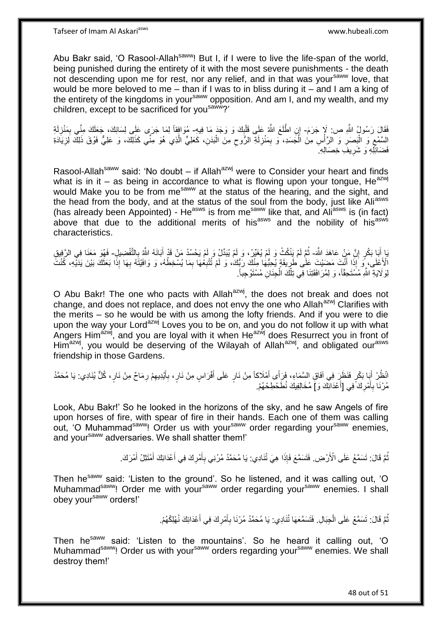Abu Bakr said, 'O Rasool-Allah<sup>saww</sup>! But I, if I were to live the life-span of the world, being punished during the entirety of it with the most severe punishments - the death not descending upon me for rest, nor any relief, and in that was your<sup>saww</sup> love, that would be more beloved to me – than if I was to in bliss during it – and I am a king of the entirety of the kingdoms in your<sup>saww</sup> opposition. And am I, and my wealth, and my children, except to be sacrificed for you<sup>saww</sup>?'

َفَقَالَ رَسُولُ اللَّهِ ص: لَإِ جَرَمَ- إِنِ اطَّلَعَ اللَّهُ عَلَى قَلْبِكَ وَ وَجَدَ مَا فِيهِ- مُوَافِقاً لِمَا جَرَى عَلَى لِسَانِكَ، جَعَلَكَ مِنِّي بِمَنْزِلَةِ  $\frac{1}{2}$ ْ لَ **ٍ** ِ اِلسَّمْعِ وَ الْبَصَرِ وَ الرَّأْسِ مِنَ الْجَسَدِ، ۖ وَ بِمَنْزِلَةِ الرُّوحِ مِنَ الْبَدَنِ، كَعَلِيٍّ الَّذِي هُوَ مِنِّي كَذَلِكَ، وَ عَلِيٍّ فَوْقَ ذَلِكَ لَزِيَادَةِ ه ْ ِ لَ ِ ِ ْ **∶** ْ ِ ِ فَضَائِلِهِ وَ شَرِيفَ خِصَالِهِ ۖ ِ

Rasool-Allah<sup>saww</sup> said: 'No doubt – if Allah<sup>azwj</sup> were to Consider your heart and finds what is in it – as being in accordance to what is flowing upon your tongue, He<sup>azwj</sup> would Make you to be from me<sup>saww</sup> at the status of the hearing, and the sight, and the head from the body, and at the status of the soul from the body, just like Ali<sup>asws</sup> (has already been Appointed) - He<sup>asws</sup> is from me<sup>saww</sup> like that, and Ali<sup>asws</sup> is (in fact) above that due to the additional merits of his<sup>asws</sup> and the nobility of his<sup>asws</sup> characteristics.

يَا أَبَا بَكْرٍ إِنَّ مَنْ عَاهَدَ اللَّهَ- ثُمَّ لَمْ يَنْكُثْ وَ لَمْ يُغَيِّرْ، وَ لَمْ يُبَدِّلْ وَ لَمْ يَحْسُدْ مَنْ قَدْ أَبَانَهُ اللَّهِ بِالتَّفْضِيلِ- فَهُوَ مَعَنَا فِي الرَّفِيقِ ِ َ ا ماہ<br>سال **∶** الْأَعْلَى، مِّنَ إِذَا أَنَّتَ مَضَيْتَ عَلَى طَرِيقَةٍ يُجِبُّهَا مِنْكَ رَبُّك، وَ لَمْ تُتْبِعُهَا بِمَا يُسْجَطُهُ، وَ وَافَيْتَهُ بِهَا إِذَا بَعَثَكَ بَيْنَ يَدَيْهِ، كُنْتَ ِ ِ ֦֧֦֧֦֧֦֦֦֦֦֦֦֦֦֢ׅ֦֦֦ׅׅׅ֛ׅׅׅׅׅׅ֧ׅ֛֝֜֜֡֜֜֜֡֜֜֡֜֓֡֜֡֜֜֡֜֡֜֡֬֜֓֡֜ َ َ ِ لِوَ لَايَةِ اللَّهِ مُسْتَحِقًّاً، وَ لِمُرَافَقَتِنَا فِي تِلْكَ الْجِنَانِ مُسْتَوْجِباً. ْ ْ

O Abu Bakr! The one who pacts with Allah<sup>azwj</sup>, the does not break and does not change, and does not replace, and does not envy the one who Allah<sup>azwj</sup> Clarifies with the merits – so he would be with us among the lofty friends. And if you were to die upon the way your Lord<sup>azwj</sup> Loves you to be on, and you do not follow it up with what Angers Him<sup>azwj</sup>, and you are loyal with it when He<sup>azwj</sup> does Resurrect you in front of Him<sup>azwj</sup>, you would be deserving of the Wilayah of Allah<sup>azwj</sup>, and obligated our<sup>asws</sup> friendship in those Gardens.

انْظُرْ أَبَا بَكْرٍ فَنَظَرَ فِي آفَاقِ السَّمَاءِ، فَرَأَى أَمْلَاكاً مِنْ نَارٍ عَلَى أَفْرَاسٍ مِنْ نَارٍ، بِأَيْدِيهِمْ رِمَاحٌ مِنْ نَارٍ ، كُلٍّ يُنَادِي: يَا مُحَمَّدُ ِ َ ِ َ َ َ ِ مُرْنَا بِأَمْرِكَ َفِي [أَعْدَائِكَ وَ] مُخَالِفِيكَ نُطَحْطِحْهُمْ. اً<br>ا ِ َ **∶** 

Look, Abu Bakr!' So he looked in the horizons of the sky, and he saw Angels of fire upon horses of fire, with spear of fire in their hands. Each one of them was calling out, 'O Muhammad<sup>saww</sup>! Order us with your<sup>saww</sup> order regarding your<sup>saww</sup> enemies, and yoursaww adversaries. We shall shatter them!'

> نُّمَّ قَالَ: تَسَمَّعْ عَلَى الْأَرْضِ. فَتَسَمَّعَ فَإِذَا هِيَ تُنَادِي: يَا مُحَمَّدُ مُرْنِي بِأَمْرِكَ فِي أَعْدَائِكَ أَمْتَثِلْ أَمْرَكَ. ُ َ َ َ ِ َ ِ

Then he<sup>saww</sup> said: 'Listen to the ground'. So he listened, and it was calling out, 'O Muhammad<sup>saww</sup>! Order me with your<sup>saww</sup> order regarding your<sup>saww</sup> enemies. I shall obey your<sup>saww</sup> orders!'

> ثُمَّ قَالَ: تَسَمَّعْ عَلَى الْجِبَالِ. فَتَسَمَّعَهَا تُنَادِي: يَا مُحَمَّدُ مُرْنَا بِأَمْرِكَ فِي أَعْدَائِكَ نُهْلِكُهُمْ. ُ َ **∶** َ ِ ْ

Then he<sup>saww</sup> said: 'Listen to the mountains'. So he heard it calling out, 'O Muhammad<sup>saww</sup>! Order us with your<sup>saww</sup> orders regarding your<sup>saww</sup> enemies. We shall destroy them!'

48 out of 51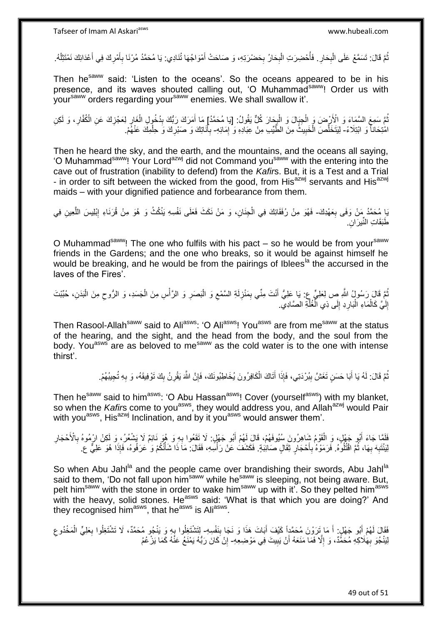نْمَّ قَالَ: تَسَمَّعْ عَلَى الْبِحَارِ . فَأَحْضِرَتِ الْبِحَارُ بِحَضْرَتِهِ، وَ صَاحَتْ أَمْوَاجُهَا تُنَادِي: يَا مُحَمَّدُ مُرْنَا بِأَمْرِكَ فِي أَعْدَائِكَ نَمْتَتِلْهُ. َ **∶ ∶** ْ ا<br>أ ِ **∶** ْ ُ ْ َ ِ َ **∶** 

Then he<sup>saww</sup> said: 'Listen to the oceans'. So the oceans appeared to be in his presence, and its waves shouted calling out, 'O Muhammad<sup>saww</sup>! Order us with your<sup>saww</sup> orders regarding your<sup>saww</sup> enemies. We shall swallow it'.

نُمَّ سَمِعَ السَّمَاءَ وَ الْأَرْضَ وَ الْجِبَالَ وَ الْبِحَارَ كُلٌّ يَقُولُ: [يَا مُحَمَّدُ] مَا أَمَرَكَ رَبُّكَ بِدُخُولِ الْغَارِ لِعَجْزِكَ عَنِ الْكُفَّارِ، وَ لَكِنِ ِ ْ ْ ُ ِ ِ ।<br>द ْ ِ َ امْتِحَاناً وَ ابْتِلَاءً- لِيَتَخَلَّصَ الْخَبِيثُ مِنَ الطَّيِّبِ مِنْ عِبَادِهِ وَ إِمَائِهِ- بِأَنَاتِكَ وَ صَبْرِكَ وَ حِلْمِكَ عَنْهُمْ. ه ِ ِ َ **∶** ْ ِ

Then he heard the sky, and the earth, and the mountains, and the oceans all saying, 'O Muhammad<sup>saww</sup>! Your Lord<sup>azwj</sup> did not Command you<sup>saww</sup> with the entering into the cave out of frustration (inability to defend) from the *Kafir*s. But, it is a Test and a Trial - in order to sift between the wicked from the good, from His<sup>azwj</sup> servants and His<sup>azwj</sup> maids – with your dignified patience and forbearance from them.

يَا مُحَمَّدُ مَنْ وَفَى بِعَهْدِكَ- فَهُوَ مِنْ رُفَقَائِكَ فِي الْجِنَانِ، وَ مَنْ نَكَثَ فَعَلَى نَفْسِهِ يَنْكُثُ وَ هُوَ مِنْ قُرَنَاءِ إِبْلِيسَ اللَّعِينِ فِي **∶** ه ِ طَبَقَاتِ النِّيرَانِ

O Muhammad<sup>saww</sup>! The one who fulfils with his pact – so he would be from your<sup>saww</sup> friends in the Gardens; and the one who breaks, so it would be against himself he would be breaking, and he would be from the pairings of Iblees<sup>la</sup> the accursed in the laves of the Fires'.

نْمَ قَالَ رَسُولُ اللَّهِ صِ لِعَلِيٍّ عِ: يَا عَلِيُّ أَنْتَ مِنِّي بِمَنْزِلَةِ السَّمْعِ وَ الْبَصَرِ وَ الرَّأْسِ مِنَ الْجَسَدِ، وَ الرُّوحِ مِنَ الْبَدَنِ، حُبِّبْتَ ْ ِ ْ **ٔ ∶** ْ ِ لَ **ٍ** ِ إِلَيَّ كَالْمَاءِ الْبَارِدِ إِلَى ذِي الْغُلّةِ الصَّادِيّ. ه ا<br>ا  $\frac{1}{2}$ ِ ا.<br>ا ْ لَ יִי<br>;

Then Rasool-Allah<sup>saww</sup> said to Ali<sup>asws</sup>: 'O Ali<sup>asws</sup>! You<sup>asws</sup> are from me<sup>saww</sup> at the status of the hearing, and the sight, and the head from the body, and the soul from the body. You<sup>asws</sup> are as beloved to me<sup>saww</sup> as the cold water is to the one with intense thirst'.

> نُّمَّ قَالَ: لَهُ يَا أَبَا حَسَنٍ تَغَشَّ بِبُرْدَتِي، فَإِذَا أَتَاكَ الْكَافِرُونَ يُخَاطِبُونَكَ، فَإِنَّ اللَّهَ يَقْرِنُ بِكَ تَوْفِيقَهُ، وَ بِهِ تُجِيبُهُمْ. ْ َ ِ َ ُ ِ ِ ِ ِ

Then he<sup>saww</sup> said to him<sup>asws</sup>: 'O Abu Hassan<sup>asws</sup>! Cover (yourself<sup>asws</sup>) with my blanket, so when the *Kafir*s come to you<sup>asws</sup>, they would address you, and Allah<sup>azwj</sup> would Pair with you<sup>asws</sup>, His<sup>azwj</sup> Inclination, and by it you<sup>asws</sup> would answer them'.

فَلَمَّا جَاءَ أَبُو جَهْلٍ، وَ الْقَوْمُ شَاهِرُونَ سُيُوفَهُمْ، قَالَ لَهُمْ أَبُو جَهْلٍ: لَا تَقَعُوا بِهِ وَ هُوَ نَائِمٌ لَا يَشْعُرُ، وَ لَكِنْ ارْمُوهُ بِالْأَحْجَارِ **∶** َ ْ َ ِ ِ لِنَنْتِهِ بِهَا، ثُمَّ اقْتُلُوهُ. فَرَمَوْهُ بِأَحْجَارٍ ثِقَالٍ صَائِبَةٍ. فَكَشَفَ عَنْ رَأْسِهِ، فَقَالَ: مَاَ ذَا شَأْتُكُمْ وَ عَرَفُوهُ، فَإِذَا هُوَ عَلِيٌّ ع َ ِ ֦֖֪֪֦֪֪֪֦֪֦֪֦֪֦֪֦֖֪֪֦֖֦֪֪֦֧֦֪֪֦֪֪֪֪֦֧֦֝֟֟֟֟֟֟֟֟֟֟֟֟֟֟֟֟֟֟֟֟֟֟֟֟֟֟֟֟֟֟֟֟֟֟֟֟֟֟֞֟֝֟֟֟֟ **∶ ∶** ْ

So when Abu Jahl<sup>la</sup> and the people came over brandishing their swords, Abu Jahl<sup>la</sup> said to them, 'Do not fall upon him<sup>saww</sup> while he<sup>saww</sup> is sleeping, not being aware. But, pelt him<sup>saww</sup> with the stone in order to wake him<sup>saww</sup> up with it'. So they pelted him<sup>asws</sup> with the heavy, solid stones. He<sup>asws</sup> said: 'What is that which you are doing?' And they recognised him<sup>asws</sup>, that he<sup>asws</sup> is Ali<sup>asws</sup>.

فَقَالَ لَهُمْ أَبُو جَهْلٍ. أَ مَا تَرَوْنَ مُحَمَّدٍاً كَيْفَ أَبَاتَ هَذَا وَ نَجَا بِنَفْسِهِ- لِتَشْتَغِلُوا بِهِ وَ يَنْجُو مُحَمَّدٌ، لَا تَشْتَغِلُوا بِعَلِيٍّ الْمَخْدُوعِ **ِ** َ َ َ ِ ْ ِ ِ لِبَنْجُوَ بِهَٰلَاكِهِ مُحَمًّدٌ، وَ إِلَّا فَمَا مَنَعَهُ أَنْ يَبِيتَ فِي مَوْضِعِهِ- إِنْ كَانَ رَبُّهُ يَمْنَعُ عَنْهُ كَمَا يَزْعُمُ ِ **!** اً ِ ِ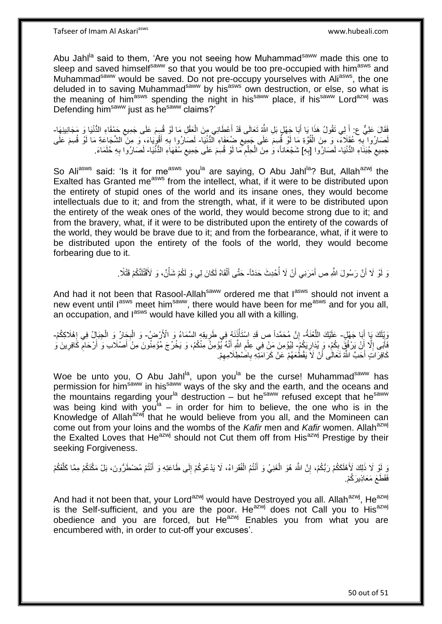Abu Jahl<sup>la</sup> said to them, 'Are you not seeing how Muhammad<sup>saww</sup> made this one to sleep and saved himself<sup>saww</sup> so that you would be too pre-occupied with him<sup>asws</sup> and Muhammad<sup>saww</sup> would be saved. Do not pre-occupy yourselves with Aliasws, the one deluded in to saving Muhammad<sup>saww</sup> by his<sup>asws</sup> own destruction, or else, so what is the meaning of him<sup>asws</sup> spending the night in his<sup>saww</sup> place, if his<sup>saww</sup> Lord<sup>azwj</sup> was Defending him<sup>saww</sup> just as he<sup>saww</sup> claims?'

فَقَالَ عَلِيٌّ ع: أَلِي تَقُولُ هَذَا يَا أَبَا جَهْلٍ بَلِ اللَّهُ تَعَالَى قَدْ أَعْطَانِي مِنَ الْعَقْلِ مَا لَوْ قُسِمَ عَلَى جَمِيعِ حَمْقَاءِ الدُّنْيَا وَ مَجَانِينِهَا-ِ ْ َ َ لَصَارُوا بِهِ عُقَلَاءٌ، وَ مِنَ الْقُوَّةِ مَا لَوْ قُسِمَ عَلَى جَمِيعِ ضِعَفَاءِ الدُّنْيَا- لَصَارُوا بِهِ أَقْوِيَاءَ، وَ مِنَ الشَّجَاعَةِ مَا لَوْ قُسِمَ عَلَى ِ ْ **∶** ِ َ ِ لَ جَمِيعِ جُبَنَاءِ الدُّنْيَا- لَصَارُوا [بِهِ] شَجْعَاناً، وَ مِنَ الْحِلْمِ مَا لَوْ قُسِمَ عَلَى جَمِيعِ سُفَهَاءِ الدُّنْيَا- لَصَارُوا بِهِ حُلَمَاءَ.  $\zeta$ **∶** لَ ْ ْ ِ ِ لَ

So Aliasws said: 'Is it for measws you<sup>la</sup> are saying, O Abu Jahl<sup>la</sup>? But, Allah<sup>azwj</sup> the Exalted has Granted me<sup>asws</sup> from the intellect, what, if it were to be distributed upon the entirety of stupid ones of the world and its insane ones, they would become intellectuals due to it; and from the strength, what, if it were to be distributed upon the entirety of the weak ones of the world, they would become strong due to it; and from the bravery, what, if it were to be distributed upon the entirety of the cowards of the world, they would be brave due to it; and from the forbearance, what, if it were to be distributed upon the entirety of the fools of the world, they would become forbearing due to it.

> وَ لَوْ لَا أَنَّ رَسُولَ اللَّهِ ص أَمَرَنِي أَنْ لَا أُحْدِثَ حَدَثاً- حَتَّى أَلْقَاهُ لَكَانَ لِي وَ لَكُمْ شَأْنٌ، وَ لَأَقْتُلَنَّكُمْ قَتْلًا ـ :<br>ا اً َ لَ **المشارا** ْ َ

And had it not been that Rasool-Allah<sup>saww</sup> ordered me that l<sup>asws</sup> should not invent a new event until l<sup>asws</sup> meet him<sup>saww</sup>, there would have been for me<sup>asws</sup> and for you all, an occupation, and l<sup>asws</sup> would have killed you all with a killing.

وَيْلَكَ يَا أَبَا جَهْلٍ- عَلَيْكَ اللَّعْنَةُ- إِنَّ مُحَمَّداً ص قَدِ اسْتَأْنَنَهُ فِي طَرِيقِهِ السَّمَاءُ وَ الْأَرْضِ ۖ وَ الْبِجَارُ وَ الْجَبَالِ فِي إِهْلَاكِكُمْ-َ ه ْ ِ **∶ ↓** ْ ِ فَأَبَى إِلَّا أَنْ يَرْفُقُ بِكُمْ، وَ يُدَارِيَكُمْ- لِيُوْمِنَ مَنْ فِي عِلْمِ اللَّهِ أَنَّهُ يُوْمِنُ مِنْكُمْ، وَ يَخْرُجَ مُوْمِنُونَ مِنْ أَصْلَاب وَ أَرْحَام كَافِرِينَ وَ ِ ِ اً ِ ن<br>ا َ َ َ ِ ِ ِ كَافِرَاتٍ أَحَبَّ اللَّهُ تَعَالَٰى أَنْ لَا يَقْطُعَهُمْ عَنْ كَرَامَتِهِ بِاصَٰطِلَامِهِمْ. ِ **∶** اً

Woe be unto you, O Abu Jahl<sup>la</sup>, upon you<sup>la</sup> be the curse! Muhammad<sup>saww</sup> has permission for him<sup>saww</sup> in his<sup>saww</sup> ways of the sky and the earth, and the oceans and the mountains regarding your<sup>la</sup> destruction – but he<sup>saww</sup> refused except that he<sup>saww</sup> was being kind with you<sup>la</sup> – in order for him to believe, the one who is in the Knowledge of Allah $a^{2x}$  that he would believe from you all, and the Momineen can come out from your loins and the wombs of the *Kafir* men and *Kafir* women. Allah<sup>azwj</sup> the Exalted Loves that He<sup>azwj</sup> should not Cut them off from His<sup>azwj</sup> Prestige by their seeking Forgiveness.

يَ لَوْ لَا ذَلِكَ لَأَهْلَكُمْ رَبُّكُمْ، إِنَّ اللَّهَ هُوَ الْغَنِيُ وَ أَنْتُمُ الْفُقَراءُ، لَا يَدْعُوكُمْ إِلَى طَاعَتِهِ وَ أَنْتُمْ مُضْطَرُّونَ، بَلْ مَكَّنَكُمْ مِمَّا كَلَّفَكُمْ ِ ه َ ِ ْ َ فَقَطَعَ مَعَاذِينَ كُمْ

And had it not been that, your Lord<sup>azwj</sup> would have Destroyed you all. Allah<sup>azwj</sup>, He<sup>azwj</sup> is the Self-sufficient, and you are the poor. He<sup>azwj</sup> does not Call you to His<sup>azwj</sup> obedience and you are forced, but  $He^{azw}$  Enables you from what you are encumbered with, in order to cut-off your excuses'.